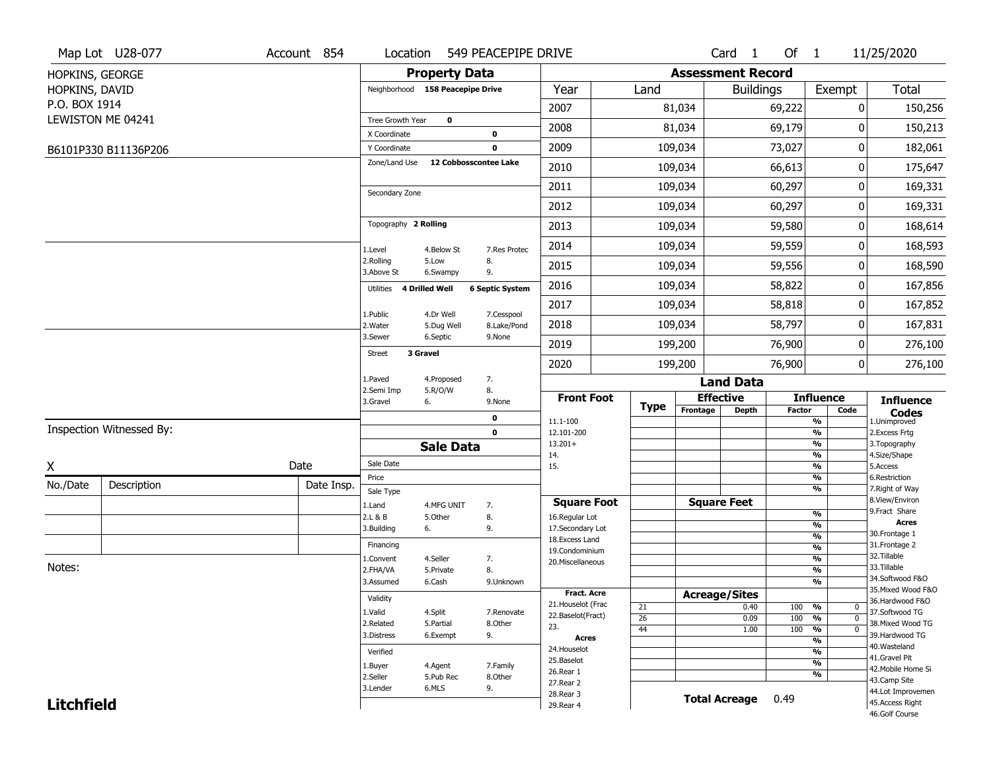|                   | Map Lot U28-077          | Account 854 | Location                         |                         | 549 PEACEPIPE DRIVE       |                                          |                       |          | Card <sub>1</sub>        | Of $1$           |                                     | 11/25/2020                            |
|-------------------|--------------------------|-------------|----------------------------------|-------------------------|---------------------------|------------------------------------------|-----------------------|----------|--------------------------|------------------|-------------------------------------|---------------------------------------|
| HOPKINS, GEORGE   |                          |             |                                  | <b>Property Data</b>    |                           |                                          |                       |          | <b>Assessment Record</b> |                  |                                     |                                       |
| HOPKINS, DAVID    |                          |             | Neighborhood 158 Peacepipe Drive |                         |                           | Year                                     | Land                  |          |                          | <b>Buildings</b> | Exempt                              | <b>Total</b>                          |
| P.O. BOX 1914     |                          |             |                                  |                         |                           | 2007                                     |                       | 81,034   |                          | 69,222           | 0                                   | 150,256                               |
|                   | LEWISTON ME 04241        |             | Tree Growth Year                 | $\mathbf 0$             |                           | 2008                                     |                       | 81,034   |                          | 69,179           | 0                                   | 150,213                               |
|                   |                          |             | X Coordinate                     |                         | $\mathbf 0$               |                                          |                       |          |                          |                  |                                     |                                       |
|                   | B6101P330 B11136P206     |             | Y Coordinate                     |                         | $\mathbf 0$               | 2009                                     |                       | 109,034  |                          | 73,027           |                                     | 0<br>182,061                          |
|                   |                          |             | Zone/Land Use                    | 12 Cobbosscontee Lake   |                           | 2010                                     |                       | 109,034  |                          | 66,613           |                                     | 175,647<br>0                          |
|                   |                          |             | Secondary Zone                   |                         |                           | 2011                                     |                       | 109,034  |                          | 60,297           | 0                                   | 169,331                               |
|                   |                          |             |                                  |                         |                           | 2012                                     |                       | 109,034  |                          | 60,297           |                                     | 0<br>169,331                          |
|                   |                          |             | Topography 2 Rolling             |                         |                           | 2013                                     |                       | 109,034  |                          | 59,580           |                                     | 168,614<br>0                          |
|                   |                          |             | 1.Level                          | 4.Below St              | 7.Res Protec              | 2014                                     |                       | 109,034  |                          | 59,559           | 0                                   | 168,593                               |
|                   |                          |             | 2.Rolling<br>3.Above St          | 5.Low<br>6.Swampy       | 8.<br>9.                  | 2015                                     |                       | 109,034  |                          | 59,556           |                                     | 0<br>168,590                          |
|                   |                          |             | 4 Drilled Well<br>Utilities      |                         | <b>6 Septic System</b>    | 2016                                     |                       | 109,034  |                          | 58,822           | 0                                   | 167,856                               |
|                   |                          |             |                                  |                         |                           | 2017                                     |                       | 109,034  |                          | 58,818           |                                     | 0<br>167,852                          |
|                   |                          |             | 1.Public<br>2. Water             | 4.Dr Well<br>5.Dug Well | 7.Cesspool<br>8.Lake/Pond | 2018                                     |                       | 109,034  |                          | 58,797           |                                     | 167,831<br>0                          |
|                   |                          |             | 3.Sewer                          | 6.Septic                | 9.None                    | 2019                                     |                       | 199,200  |                          | 76,900           |                                     | 276,100<br>0                          |
|                   |                          |             | 3 Gravel<br><b>Street</b>        |                         |                           | 2020                                     |                       | 199,200  |                          | 76,900           |                                     | 0<br>276,100                          |
|                   |                          |             | 1.Paved                          | 4.Proposed              | 7.                        |                                          |                       |          | <b>Land Data</b>         |                  |                                     |                                       |
|                   |                          |             | 2.Semi Imp<br>3.Gravel           | 5.R/O/W<br>6.           | 8.<br>9.None              | <b>Front Foot</b>                        |                       |          | <b>Effective</b>         |                  | <b>Influence</b>                    | <b>Influence</b>                      |
|                   |                          |             |                                  |                         | 0                         | 11.1-100                                 | <b>Type</b>           | Frontage | <b>Depth</b>             | <b>Factor</b>    | Code<br>%                           | <b>Codes</b><br>1.Unimproved          |
|                   | Inspection Witnessed By: |             |                                  |                         | $\mathbf 0$               | 12.101-200                               |                       |          |                          |                  | $\frac{9}{6}$                       | 2. Excess Frtg                        |
|                   |                          |             |                                  | <b>Sale Data</b>        |                           | $13.201+$<br>14.                         |                       |          |                          |                  | $\frac{9}{6}$<br>$\frac{9}{6}$      | 3. Topography<br>4.Size/Shape         |
| X                 |                          | Date        | Sale Date                        |                         |                           | 15.                                      |                       |          |                          |                  | $\frac{9}{6}$                       | 5.Access                              |
| No./Date          | Description              | Date Insp.  | Price                            |                         |                           |                                          |                       |          |                          |                  | %                                   | 6.Restriction                         |
|                   |                          |             | Sale Type                        |                         |                           | <b>Square Foot</b>                       |                       |          | <b>Square Feet</b>       |                  | %                                   | 7. Right of Way<br>8.View/Environ     |
|                   |                          |             | 1.Land<br>2.L & B                | 4.MFG UNIT<br>5.Other   | 7.<br>8.                  | 16.Regular Lot                           |                       |          |                          |                  | $\frac{9}{6}$                       | 9.Fract Share                         |
|                   |                          |             | 3.Building                       | 6.                      | 9.                        | 17.Secondary Lot                         |                       |          |                          |                  | $\frac{9}{6}$                       | <b>Acres</b><br>30. Frontage 1        |
|                   |                          |             | Financing                        |                         |                           | 18.Excess Land                           |                       |          |                          |                  | $\frac{9}{6}$<br>$\frac{9}{6}$      | 31. Frontage 2                        |
|                   |                          |             | 1.Convent                        | 4.Seller                | 7.                        | 19.Condominium<br>20.Miscellaneous       |                       |          |                          |                  | $\frac{9}{6}$                       | 32.Tillable                           |
| Notes:            |                          |             | 2.FHA/VA                         | 5.Private               | 8.                        |                                          |                       |          |                          |                  | $\frac{9}{6}$                       | 33.Tillable                           |
|                   |                          |             | 3.Assumed                        | 6.Cash                  | 9.Unknown                 |                                          |                       |          |                          |                  | $\frac{9}{6}$                       | 34.Softwood F&O<br>35. Mixed Wood F&O |
|                   |                          |             | Validity                         |                         |                           | <b>Fract. Acre</b><br>21. Houselot (Frac |                       |          | <b>Acreage/Sites</b>     |                  |                                     | 36.Hardwood F&O                       |
|                   |                          |             | 1.Valid                          | 4.Split                 | 7.Renovate                | 22.Baselot(Fract)                        | 21                    |          | 0.40                     | 100              | %<br>0<br>$\mathbf 0$               | 37.Softwood TG                        |
|                   |                          |             | 2.Related                        | 5.Partial               | 8.Other                   | 23.                                      | $\overline{26}$<br>44 |          | 0.09<br>1.00             | 100<br>100       | $\frac{9}{6}$<br>$\frac{9}{6}$<br>0 | 38. Mixed Wood TG                     |
|                   |                          |             | 3.Distress                       | 6.Exempt                | 9.                        | <b>Acres</b>                             |                       |          |                          |                  | $\frac{9}{6}$                       | 39.Hardwood TG                        |
|                   |                          |             | Verified                         |                         |                           | 24. Houselot                             |                       |          |                          |                  | $\frac{9}{6}$                       | 40. Wasteland<br>41.Gravel Pit        |
|                   |                          |             | 1.Buyer                          | 4.Agent                 | 7.Family                  | 25.Baselot                               |                       |          |                          |                  | $\frac{9}{6}$                       | 42. Mobile Home Si                    |
|                   |                          |             | 2.Seller                         | 5.Pub Rec               | 8.Other                   | 26.Rear 1<br>27.Rear 2                   |                       |          |                          |                  | %                                   | 43.Camp Site                          |
|                   |                          |             | 3.Lender                         | 6.MLS                   | 9.                        | 28. Rear 3                               |                       |          |                          |                  |                                     | 44.Lot Improvemen                     |
|                   |                          |             |                                  |                         |                           |                                          |                       |          |                          |                  |                                     |                                       |
| <b>Litchfield</b> |                          |             |                                  |                         |                           | 29. Rear 4                               |                       |          | <b>Total Acreage</b>     | 0.49             |                                     | 45. Access Right<br>46.Golf Course    |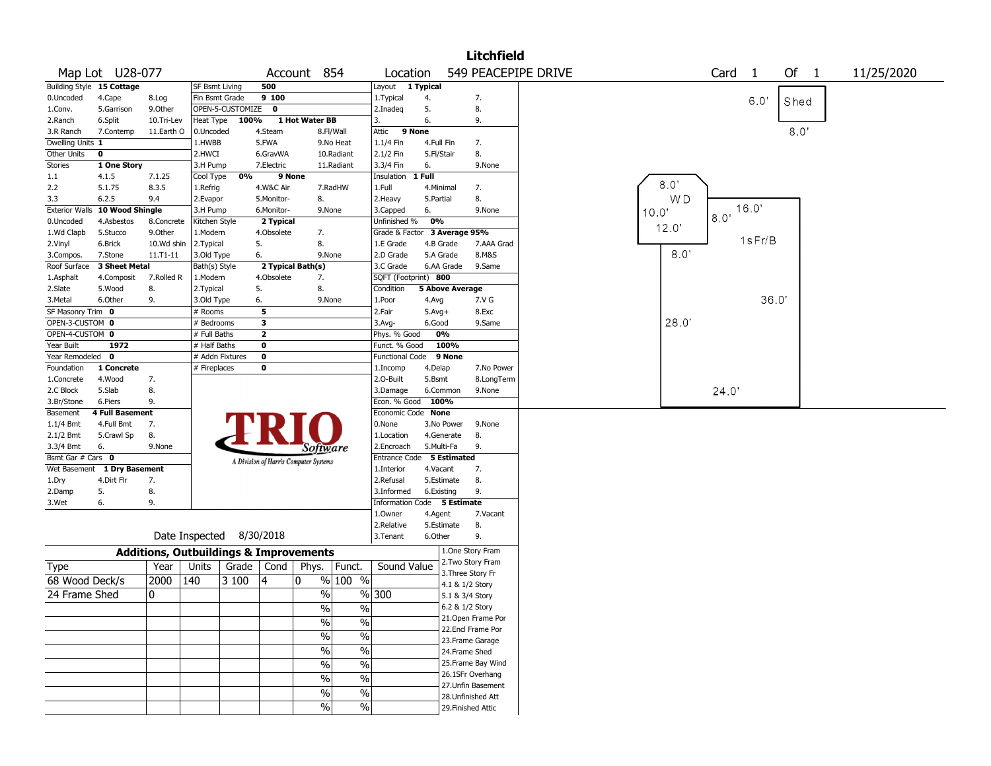|                           |                                |            |                          |                    |                |                                                   |               |                             |            |                        | <b>Litchfield</b>  |                                                                |
|---------------------------|--------------------------------|------------|--------------------------|--------------------|----------------|---------------------------------------------------|---------------|-----------------------------|------------|------------------------|--------------------|----------------------------------------------------------------|
|                           | Map Lot U28-077                |            |                          |                    |                | Account 854                                       |               | Location                    |            |                        |                    | 549 PEACEPIPE DRIVE<br>Card <sub>1</sub><br>Of 1<br>11/25/2020 |
| Building Style 15 Cottage |                                |            | <b>SF Bsmt Living</b>    |                    | 500            |                                                   |               | Layout 1 Typical            |            |                        |                    |                                                                |
| 0.Uncoded                 | 4.Cape                         | 8.Log      | Fin Bsmt Grade           |                    | 9 100          |                                                   |               | 1. Typical                  | 4.         |                        | 7.                 | 6.0"<br>Shed                                                   |
| 1.Conv.                   | 5.Garrison                     | 9.Other    |                          | OPEN-5-CUSTOMIZE 0 |                |                                                   |               | 2.Inadeq                    | 5.         |                        | 8.                 |                                                                |
| 2.Ranch                   | 6.Split                        | 10.Tri-Lev | Heat Type                | 100%               |                | 1 Hot Water BB                                    |               | 3.                          | 6.         |                        | 9.                 |                                                                |
| 3.R Ranch                 | 7.Contemp                      | 11.Earth O | 0.Uncoded                |                    | 4.Steam        |                                                   | 8.Fl/Wall     | Attic                       | 9 None     |                        |                    | 8.0'                                                           |
| Dwelling Units 1          |                                |            | 1.HWBB                   |                    | 5.FWA          |                                                   | 9.No Heat     | 1.1/4 Fin                   | 4.Full Fin |                        | 7.                 |                                                                |
| <b>Other Units</b>        | 0                              |            | 2.HWCI                   |                    | 6.GravWA       |                                                   | 10.Radiant    | 2.1/2 Fin                   | 5.Fl/Stair |                        | 8.                 |                                                                |
| Stories                   | 1 One Story                    |            | 3.H Pump                 |                    | 7.Electric     |                                                   | 11.Radiant    | 3.3/4 Fin                   | 6.         |                        | 9.None             |                                                                |
| 1.1                       | 4.1.5                          | 7.1.25     | Cool Type                | 0%                 | 9 None         |                                                   |               | Insulation                  | 1 Full     |                        |                    | 8.0                                                            |
| 2.2                       | 5.1.75                         | 8.3.5      | 1.Refrig                 |                    | 4.W&C Air      |                                                   | 7.RadHW       | 1.Full                      | 4.Minimal  |                        | 7.                 |                                                                |
| 3.3                       | 6.2.5                          | 9.4        | 2.Evapor                 |                    | 5.Monitor-     | 8.                                                |               | 2. Heavy                    | 5.Partial  |                        | 8.                 | WD<br>16.0'                                                    |
|                           | Exterior Walls 10 Wood Shingle |            | 3.H Pump                 |                    | 6.Monitor-     | 9.None                                            |               | 3.Capped                    | 6.         |                        | 9.None             | 10.0'<br>8.0 <sup>1</sup>                                      |
| 0.Uncoded                 | 4.Asbestos                     | 8.Concrete | Kitchen Style            |                    | 2 Typical      |                                                   |               | Unfinished %                | 0%         |                        |                    | 12.0'                                                          |
| 1.Wd Clapb                | 5.Stucco                       | 9.Other    | 1.Modern                 |                    | 4.Obsolete     | 7.                                                |               | Grade & Factor              |            | 3 Average 95%          |                    | 1sFr/B                                                         |
| 2.Vinyl                   | 6.Brick                        | 10.Wd shin | 2.Typical                |                    | 5.             | 8.                                                |               | 1.E Grade                   | 4.B Grade  |                        | 7.AAA Grad         |                                                                |
| 3.Compos.                 | 7.Stone                        | 11.T1-11   | 3.Old Type               |                    | 6.             | 9.None                                            |               | 2.D Grade                   | 5.A Grade  |                        | 8.M&S              | 8.0'                                                           |
| Roof Surface              | 3 Sheet Metal                  |            | Bath(s) Style            |                    |                | 2 Typical Bath(s)                                 |               | 3.C Grade                   |            | 6.AA Grade             | 9.Same             |                                                                |
| 1.Asphalt                 | 4.Composit                     | 7.Rolled R | 1.Modern                 |                    | 4.Obsolete     | 7.                                                |               | SQFT (Footprint) 800        |            |                        |                    |                                                                |
| 2.Slate                   | 5.Wood                         | 8.         | 2. Typical               |                    | 5.             | 8.                                                |               | Condition                   |            | <b>5 Above Average</b> |                    |                                                                |
| 3. Metal                  | 6.Other                        | 9.         | 3.Old Type               |                    | 6.             | 9.None                                            |               | 1.Poor                      | 4.Avg      |                        | 7.V G              | 36.0'                                                          |
| SF Masonry Trim 0         |                                |            | # Rooms                  |                    | 5              |                                                   |               | 2.Fair                      | $5.Avg+$   |                        | 8.Exc              |                                                                |
| OPEN-3-CUSTOM 0           |                                |            | # Bedrooms               |                    | 3              |                                                   |               | 3.Avg-                      | 6.Good     |                        | 9.Same             | 28.0'                                                          |
| OPEN-4-CUSTOM 0           |                                |            | # Full Baths             |                    | $\overline{2}$ |                                                   |               | Phys. % Good                |            | 0%                     |                    |                                                                |
| Year Built                | 1972                           |            | # Half Baths             |                    | 0              |                                                   |               | Funct. % Good               |            | 100%                   |                    |                                                                |
| Year Remodeled            | $\mathbf 0$                    |            |                          | # Addn Fixtures    | 0              |                                                   |               | <b>Functional Code</b>      |            | 9 None                 |                    |                                                                |
| Foundation                | 1 Concrete                     |            | # Fireplaces             |                    | 0              |                                                   |               | 1.Incomp                    | 4.Delap    |                        | 7.No Power         |                                                                |
| 1.Concrete                | 4.Wood                         | 7.         |                          |                    |                |                                                   |               | 2.0-Built                   | 5.Bsmt     |                        | 8.LongTerm         |                                                                |
| 2.C Block                 | 5.Slab                         | 8.         |                          |                    |                |                                                   |               | 3.Damage                    | 6.Common   |                        | 9.None             | 24.0'                                                          |
| 3.Br/Stone                | 6.Piers                        | 9.         |                          |                    |                |                                                   |               | Econ. % Good                | 100%       |                        |                    |                                                                |
| Basement                  | <b>4 Full Basement</b>         |            |                          |                    |                |                                                   |               | Economic Code None          |            |                        |                    |                                                                |
| $1.1/4$ Bmt               | 4.Full Bmt                     | 7.         |                          |                    |                |                                                   |               | 0.None                      |            | 3.No Power             | 9.None             |                                                                |
| 2.1/2 Bmt                 | 5.Crawl Sp                     | 8.         |                          |                    |                |                                                   |               | 1.Location                  |            | 4.Generate             | 8.                 |                                                                |
| 3.3/4 Bmt                 | 6.                             | 9.None     |                          |                    |                | Software                                          |               | 2.Encroach                  | 5.Multi-Fa |                        | 9.                 |                                                                |
| Bsmt Gar # Cars 0         |                                |            |                          |                    |                | A Division of Harris Computer Systems             |               | Entrance Code 5 Estimated   |            |                        |                    |                                                                |
| Wet Basement              | 1 Dry Basement                 |            |                          |                    |                |                                                   |               | 1.Interior                  | 4.Vacant   |                        | 7.                 |                                                                |
| 1.Dry                     | 4.Dirt Flr                     | 7.         |                          |                    |                |                                                   |               | 2.Refusal                   |            | 5.Estimate             | 8.                 |                                                                |
| 2.Damp                    | 5.                             | 8.         |                          |                    |                |                                                   |               | 3.Informed                  | 6.Existing |                        | 9.                 |                                                                |
| 3.Wet                     | 6.                             | 9.         |                          |                    |                |                                                   |               | Information Code 5 Estimate |            |                        |                    |                                                                |
|                           |                                |            |                          |                    |                |                                                   |               | 1.Owner                     | 4.Agent    |                        | 7.Vacant           |                                                                |
|                           |                                |            |                          |                    |                |                                                   |               | 2.Relative                  |            | 5.Estimate             | 8.                 |                                                                |
|                           |                                |            | Date Inspected 8/30/2018 |                    |                |                                                   |               | 3.Tenant                    | 6.Other    |                        | 9.                 |                                                                |
|                           |                                |            |                          |                    |                | <b>Additions, Outbuildings &amp; Improvements</b> |               |                             |            |                        | 1.One Story Fram   |                                                                |
| Type                      |                                | Year       | Units                    | Grade              | Cond           | Phys.                                             | Funct.        | Sound Value                 |            |                        | 2.Two Story Fram   |                                                                |
| 68 Wood Deck/s            |                                | 2000       | 140                      | 3100               | 4              | 10                                                | % 100 %       |                             |            |                        | 3. Three Story Fr  |                                                                |
|                           |                                |            |                          |                    |                |                                                   |               | %300                        |            | 4.1 & 1/2 Story        |                    |                                                                |
| 24 Frame Shed             |                                | 0          |                          |                    |                | $\%$                                              |               |                             |            | 5.1 & 3/4 Story        |                    |                                                                |
|                           |                                |            |                          |                    |                | $\frac{1}{0}$                                     | $\%$          |                             |            | 6.2 & 1/2 Story        |                    |                                                                |
|                           |                                |            |                          |                    |                | $\%$                                              | $\sqrt{2}$    |                             |            |                        | 21. Open Frame Por |                                                                |
|                           |                                |            |                          |                    |                | $\%$                                              | $\sqrt{20}$   |                             |            |                        | 22.Encl Frame Por  |                                                                |
|                           |                                |            |                          |                    |                |                                                   |               |                             |            |                        | 23. Frame Garage   |                                                                |
|                           |                                |            |                          |                    |                | $\%$                                              | $\frac{0}{6}$ |                             |            | 24.Frame Shed          |                    |                                                                |
|                           |                                |            |                          |                    |                | $\%$                                              | $\frac{9}{6}$ |                             |            |                        | 25. Frame Bay Wind |                                                                |
|                           |                                |            |                          |                    |                | $\%$                                              | $\frac{0}{6}$ |                             |            |                        | 26.1SFr Overhang   |                                                                |
|                           |                                |            |                          |                    |                |                                                   | $\frac{9}{6}$ |                             |            |                        | 27.Unfin Basement  |                                                                |
|                           |                                |            |                          |                    |                | $\%$                                              |               |                             |            |                        | 28. Unfinished Att |                                                                |
|                           |                                |            |                          |                    |                | %                                                 | $\sqrt{6}$    |                             |            |                        | 29. Finished Attic |                                                                |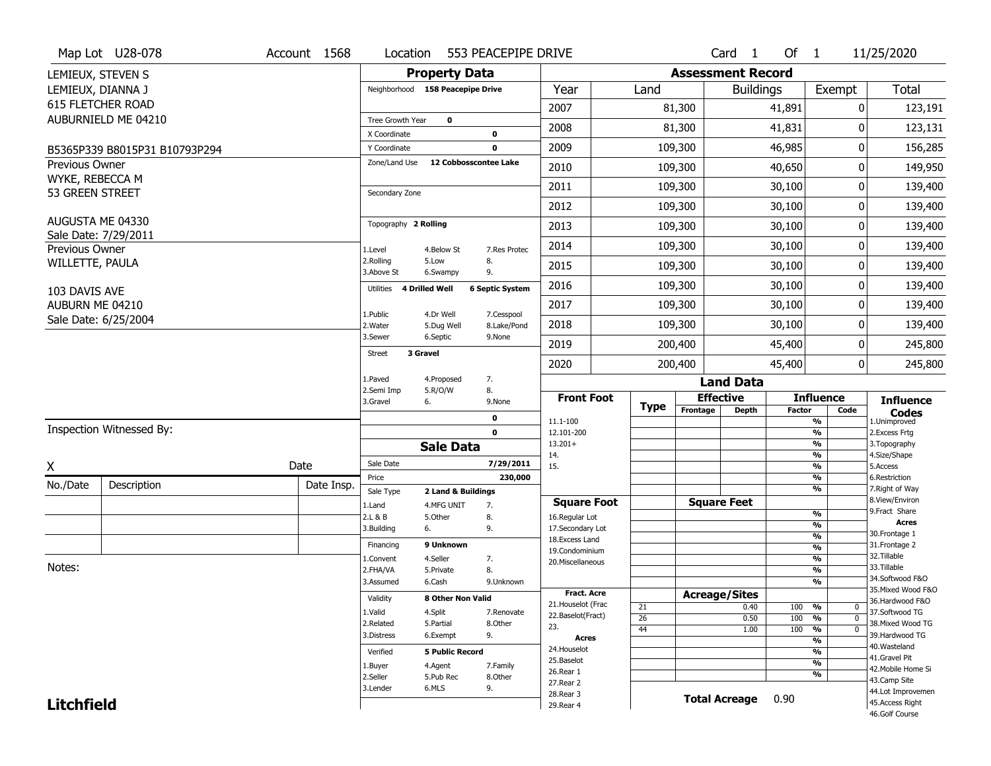|                                    | Map Lot U28-078               | Account 1568 | Location                           | 553 PEACEPIPE DRIVE                                  |                                    |             |                      | $Card \t1$               | Of $1$                           | 11/25/2020                            |
|------------------------------------|-------------------------------|--------------|------------------------------------|------------------------------------------------------|------------------------------------|-------------|----------------------|--------------------------|----------------------------------|---------------------------------------|
|                                    | LEMIEUX, STEVEN S             |              |                                    | <b>Property Data</b>                                 |                                    |             |                      | <b>Assessment Record</b> |                                  |                                       |
|                                    | LEMIEUX, DIANNA J             |              |                                    | Neighborhood 158 Peacepipe Drive                     | Year                               | Land        |                      | <b>Buildings</b>         | Exempt                           | <b>Total</b>                          |
|                                    | 615 FLETCHER ROAD             |              |                                    |                                                      | 2007                               |             | 81,300               | 41,891                   |                                  | 0<br>123,191                          |
|                                    | AUBURNIELD ME 04210           |              | Tree Growth Year                   | $\mathbf 0$                                          |                                    |             |                      |                          |                                  |                                       |
|                                    |                               |              | X Coordinate                       | $\mathbf 0$                                          | 2008                               |             | 81,300               | 41,831                   |                                  | 0<br>123,131                          |
|                                    | B5365P339 B8015P31 B10793P294 |              | Y Coordinate                       | $\mathbf 0$                                          | 2009                               |             | 109,300              | 46,985                   |                                  | 0<br>156,285                          |
| <b>Previous Owner</b>              |                               |              | Zone/Land Use                      | 12 Cobbosscontee Lake                                | 2010                               |             | 109,300              | 40,650                   |                                  | 149,950<br>0                          |
| WYKE, REBECCA M<br>53 GREEN STREET |                               |              | Secondary Zone                     |                                                      | 2011                               |             | 109,300              | 30,100                   |                                  | 0<br>139,400                          |
|                                    |                               |              |                                    |                                                      | 2012                               |             | 109,300              | 30,100                   |                                  | 0<br>139,400                          |
|                                    | AUGUSTA ME 04330              |              | Topography 2 Rolling               |                                                      | 2013                               |             | 109,300              | 30,100                   |                                  | 139,400<br>0                          |
| Previous Owner                     | Sale Date: 7/29/2011          |              | 1.Level                            | 4.Below St<br>7.Res Protec                           | 2014                               |             | 109,300              | 30,100                   |                                  | 0<br>139,400                          |
| WILLETTE, PAULA                    |                               |              | 2.Rolling<br>3.Above St            | 5.Low<br>8.<br>9.<br>6.Swampy                        | 2015                               |             | 109,300              | 30,100                   |                                  | 139,400<br>0                          |
| 103 DAVIS AVE                      |                               |              | <b>4 Drilled Well</b><br>Utilities | <b>6 Septic System</b>                               | 2016                               |             | 109,300              | 30,100                   |                                  | 0<br>139,400                          |
| AUBURN ME 04210                    |                               |              |                                    |                                                      | 2017                               |             | 109,300              | 30,100                   |                                  | 0<br>139,400                          |
|                                    | Sale Date: 6/25/2004          |              | 1.Public<br>2. Water               | 7.Cesspool<br>4.Dr Well<br>8.Lake/Pond<br>5.Dug Well | 2018                               |             | 109,300              | 30,100                   |                                  | 0<br>139,400                          |
|                                    |                               |              | 3.Sewer                            | 6.Septic<br>9.None                                   | 2019                               |             | 200,400              | 45,400                   |                                  | 245,800<br>0                          |
|                                    |                               |              | 3 Gravel<br><b>Street</b>          |                                                      | 2020                               |             | 200,400              | 45,400                   |                                  | 0<br>245,800                          |
|                                    |                               |              | 1.Paved                            | 4.Proposed<br>7.                                     |                                    |             |                      | <b>Land Data</b>         |                                  |                                       |
|                                    |                               |              | 2.Semi Imp<br>3.Gravel             | 8.<br>5.R/O/W<br>6.<br>9.None                        | <b>Front Foot</b>                  |             | <b>Effective</b>     |                          | <b>Influence</b>                 | <b>Influence</b>                      |
|                                    |                               |              |                                    | 0                                                    | 11.1-100                           | <b>Type</b> | Frontage             | <b>Depth</b>             | <b>Factor</b><br>Code<br>%       | <b>Codes</b><br>1.Unimproved          |
|                                    | Inspection Witnessed By:      |              |                                    | $\mathbf 0$                                          | 12.101-200                         |             |                      |                          | $\frac{9}{6}$                    | 2.Excess Frtg                         |
|                                    |                               |              |                                    | <b>Sale Data</b>                                     | $13.201+$                          |             |                      |                          | %                                | 3. Topography                         |
| X                                  |                               | Date         | Sale Date                          | 7/29/2011                                            | 14.<br>15.                         |             |                      |                          | %<br>%                           | 4.Size/Shape<br>5.Access              |
|                                    |                               |              | Price                              |                                                      | 230,000                            |             |                      |                          |                                  | 6.Restriction                         |
| No./Date                           | Description                   |              |                                    |                                                      |                                    |             |                      |                          | %                                |                                       |
|                                    |                               | Date Insp.   | Sale Type                          | 2 Land & Buildings                                   |                                    |             |                      |                          | %                                | 7. Right of Way                       |
|                                    |                               |              | 1.Land                             | 4.MFG UNIT<br>7.                                     | <b>Square Foot</b>                 |             | <b>Square Feet</b>   |                          |                                  | 8.View/Environ<br>9. Fract Share      |
|                                    |                               |              | 2.L & B                            | 5.Other<br>8.                                        | 16.Regular Lot                     |             |                      |                          | $\frac{9}{6}$<br>$\frac{9}{6}$   | <b>Acres</b>                          |
|                                    |                               |              | 3.Building                         | 9.<br>6.                                             | 17.Secondary Lot<br>18.Excess Land |             |                      |                          | $\frac{9}{6}$                    | 30. Frontage 1                        |
|                                    |                               |              | Financing                          | 9 Unknown                                            | 19.Condominium                     |             |                      |                          | $\frac{9}{6}$                    | 31. Frontage 2                        |
|                                    |                               |              | 1.Convent                          | 4.Seller<br>7.                                       | 20.Miscellaneous                   |             |                      |                          | $\frac{9}{6}$                    | 32.Tillable                           |
| Notes:                             |                               |              | 2.FHA/VA                           | 8.<br>5.Private                                      |                                    |             |                      |                          | $\frac{9}{6}$                    | 33.Tillable<br>34.Softwood F&O        |
|                                    |                               |              | 3.Assumed                          | 6.Cash<br>9.Unknown                                  | <b>Fract. Acre</b>                 |             |                      |                          | $\overline{\frac{9}{6}}$         | 35. Mixed Wood F&O                    |
|                                    |                               |              | Validity                           | <b>8 Other Non Valid</b>                             | 21. Houselot (Frac                 |             | <b>Acreage/Sites</b> |                          |                                  | 36.Hardwood F&O                       |
|                                    |                               |              | 1.Valid                            | 4.Split<br>7.Renovate                                | 22.Baselot(Fract)                  | 21<br>26    |                      | 0.40<br>0.50             | 100<br>%<br>100<br>$\frac{9}{6}$ | 0<br>37.Softwood TG<br>$\mathbf 0$    |
|                                    |                               |              | 2.Related                          | 5.Partial<br>8.Other                                 | 23.                                | 44          |                      | 1.00                     | 100<br>$\frac{9}{6}$             | 38. Mixed Wood TG<br>0                |
|                                    |                               |              | 3.Distress                         | 6.Exempt<br>9.                                       | Acres                              |             |                      |                          | $\frac{9}{6}$                    | 39.Hardwood TG                        |
|                                    |                               |              | Verified                           | <b>5 Public Record</b>                               | 24. Houselot                       |             |                      |                          | $\frac{9}{6}$                    | 40. Wasteland                         |
|                                    |                               |              | 1.Buyer                            | 4.Agent<br>7.Family                                  | 25.Baselot                         |             |                      |                          | $\frac{9}{6}$                    | 41.Gravel Pit<br>42. Mobile Home Si   |
|                                    |                               |              | 2.Seller                           | 5.Pub Rec<br>8.Other                                 | 26.Rear 1<br>27. Rear 2            |             |                      |                          | %                                | 43.Camp Site                          |
| <b>Litchfield</b>                  |                               |              | 3.Lender                           | 6.MLS<br>9.                                          | 28. Rear 3                         |             | <b>Total Acreage</b> | 0.90                     |                                  | 44.Lot Improvemen<br>45. Access Right |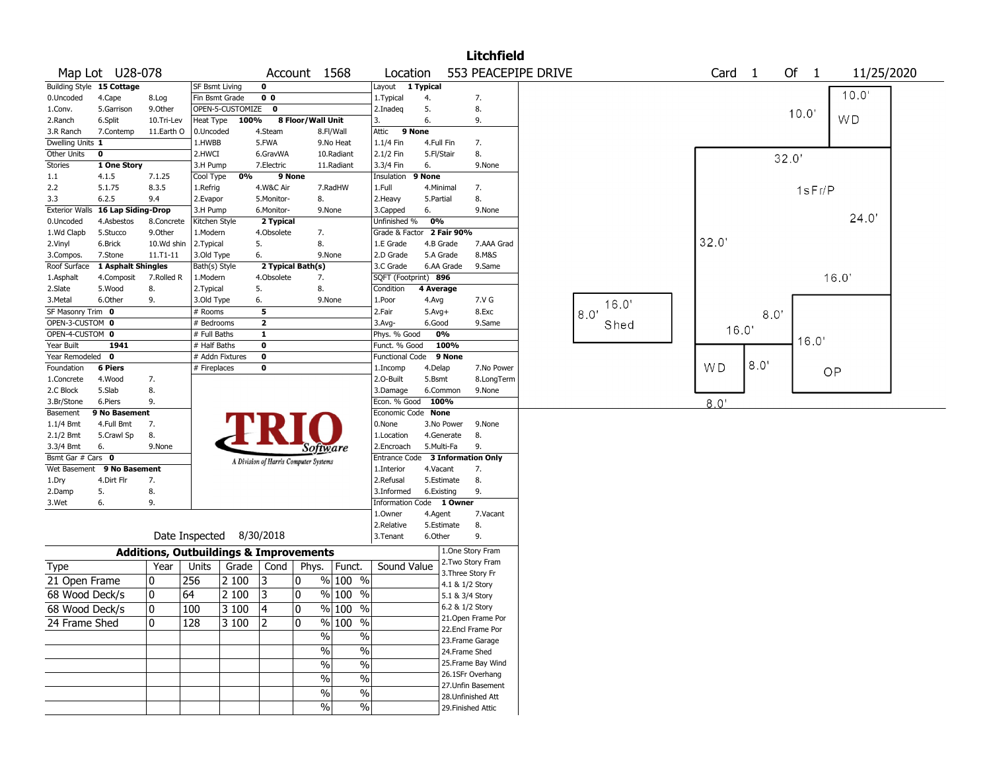|                         |                                   |               |                                                   |                  |                                       |                   |                          |                                  |                  |                 | <b>Litchfield</b>                      |                     |       |       |                   |      |       |        |           |            |  |
|-------------------------|-----------------------------------|---------------|---------------------------------------------------|------------------|---------------------------------------|-------------------|--------------------------|----------------------------------|------------------|-----------------|----------------------------------------|---------------------|-------|-------|-------------------|------|-------|--------|-----------|------------|--|
|                         | Map Lot U28-078                   |               |                                                   |                  |                                       | Account 1568      |                          | Location                         |                  |                 |                                        | 553 PEACEPIPE DRIVE |       |       | Card <sub>1</sub> |      | Of 1  |        |           | 11/25/2020 |  |
|                         | <b>Building Style 15 Cottage</b>  |               | SF Bsmt Living                                    |                  | $\mathbf 0$                           |                   |                          | Layout 1 Typical                 |                  |                 |                                        |                     |       |       |                   |      |       |        | 10.0'     |            |  |
| 0.Uncoded               | 4.Cape                            | 8.Log         | Fin Bsmt Grade                                    |                  | 0 <sub>0</sub>                        |                   |                          | 1. Typical                       | 4.               |                 | 7.                                     |                     |       |       |                   |      |       |        |           |            |  |
| 1.Conv.                 | 5.Garrison                        | 9.Other       |                                                   | OPEN-5-CUSTOMIZE | $\mathbf{0}$                          |                   |                          | 2.Inadeq                         | 5.               |                 | 8.                                     |                     |       |       |                   |      | 10.0  |        |           |            |  |
| 2.Ranch                 | 6.Split                           | 10.Tri-Lev    | Heat Type                                         | 100%             |                                       | 8 Floor/Wall Unit |                          | 3.                               | 6.               |                 | 9.                                     |                     |       |       |                   |      |       |        | <b>WD</b> |            |  |
| 3.R Ranch               | 7.Contemp                         | 11.Earth O    | 0.Uncoded                                         |                  | 4.Steam                               |                   | 8.Fl/Wall                | Attic                            | 9 None           |                 |                                        |                     |       |       |                   |      |       |        |           |            |  |
| Dwelling Units 1        | $\mathbf 0$                       |               | 1.HWBB                                            |                  | 5.FWA                                 |                   | 9.No Heat                | 1.1/4 Fin<br>2.1/2 Fin           | 4.Full Fin       |                 | 7.<br>8.                               |                     |       |       |                   |      |       |        |           |            |  |
| Other Units<br>Stories  | 1 One Story                       |               | 2.HWCI<br>3.H Pump                                |                  | 6.GravWA<br>7.Electric                |                   | 10.Radiant<br>11.Radiant | 3.3/4 Fin                        | 5.Fl/Stair<br>6. |                 | 9.None                                 |                     |       |       |                   |      | 32.0' |        |           |            |  |
| 1.1                     | 4.1.5                             | 7.1.25        | Cool Type                                         | 0%               |                                       | 9 None            |                          | Insulation 9 None                |                  |                 |                                        |                     |       |       |                   |      |       |        |           |            |  |
| 2.2                     | 5.1.75                            | 8.3.5         | 1.Refrig                                          |                  | 4.W&C Air                             |                   | 7.RadHW                  | 1.Full                           | 4.Minimal        |                 | 7.                                     |                     |       |       |                   |      |       |        |           |            |  |
| 3.3                     | 6.2.5                             | 9.4           | 2.Evapor                                          |                  | 5.Monitor-                            | 8.                |                          | 2. Heavy                         | 5.Partial        |                 | 8.                                     |                     |       |       |                   |      |       | 1sFr/P |           |            |  |
|                         | Exterior Walls 16 Lap Siding-Drop |               | 3.H Pump                                          |                  | 6.Monitor-                            |                   | 9.None                   | 3.Capped                         | 6.               |                 | 9.None                                 |                     |       |       |                   |      |       |        |           |            |  |
| 0.Uncoded               | 4.Asbestos                        | 8.Concrete    | Kitchen Style                                     |                  | 2 Typical                             |                   |                          | Unfinished %                     | 0%               |                 |                                        |                     |       |       |                   |      |       |        |           | 24.0'      |  |
| 1.Wd Clapb              | 5.Stucco                          | 9.Other       | 1.Modern                                          |                  | 4.Obsolete                            | 7.                |                          | Grade & Factor 2 Fair 90%        |                  |                 |                                        |                     |       |       |                   |      |       |        |           |            |  |
| 2.Vinyl                 | 6.Brick                           | 10.Wd shin    | 2. Typical                                        |                  | 5.                                    | 8.                |                          | 1.E Grade                        | 4.B Grade        |                 | 7.AAA Grad                             |                     |       | 32.0' |                   |      |       |        |           |            |  |
| 3.Compos.               | 7.Stone                           | $11. T1 - 11$ | 3.Old Type                                        |                  | 6.                                    |                   | 9.None                   | 2.D Grade                        | 5.A Grade        |                 | 8.M&S                                  |                     |       |       |                   |      |       |        |           |            |  |
| Roof Surface            | 1 Asphalt Shingles                |               | Bath(s) Style                                     |                  | 2 Typical Bath(s)                     |                   |                          | 3.C Grade                        |                  | 6.AA Grade      | 9.Same                                 |                     |       |       |                   |      |       |        |           |            |  |
| 1.Asphalt               | 4.Composit                        | 7.Rolled R    | 1.Modern                                          |                  | 4.Obsolete                            | 7.                |                          | SQFT (Footprint) 896             |                  |                 |                                        |                     |       |       |                   |      |       |        | 16.0'     |            |  |
| 2.Slate                 | 5.Wood                            | 8.            | 2. Typical                                        |                  | 5.                                    | 8.                |                          | Condition                        | 4 Average        |                 |                                        |                     |       |       |                   |      |       |        |           |            |  |
| 3.Metal                 | 6.Other                           | 9.            | 3.Old Type                                        |                  | 6.                                    |                   | 9.None                   | 1.Poor                           | 4.Avg            |                 | 7.V G                                  |                     | 16.0' |       |                   |      |       |        |           |            |  |
| SF Masonry Trim 0       |                                   |               | # Rooms                                           |                  | 5                                     |                   |                          | 2.Fair                           | $5.Avg+$         |                 | 8.Exc                                  |                     | 8.0   |       |                   | 8.0' |       |        |           |            |  |
| OPEN-3-CUSTOM 0         |                                   |               | # Bedrooms                                        |                  | $\overline{2}$                        |                   |                          | 3.Avg-                           | 6.Good           |                 | 9.Same                                 |                     | Shed  |       | 16.0'             |      |       |        |           |            |  |
| OPEN-4-CUSTOM 0         |                                   |               | # Full Baths                                      |                  | $\mathbf{1}$                          |                   |                          | Phys. % Good                     |                  | 0%              |                                        |                     |       |       |                   |      |       | 16.0'  |           |            |  |
| Year Built              | 1941                              |               | # Half Baths                                      |                  | 0                                     |                   |                          | Funct. % Good                    |                  | 100%            |                                        |                     |       |       |                   |      |       |        |           |            |  |
| Year Remodeled 0        |                                   |               | # Addn Fixtures                                   |                  | $\mathbf 0$                           |                   |                          | <b>Functional Code</b>           |                  | 9 None          |                                        |                     |       |       |                   | 8.0" |       |        |           |            |  |
| Foundation              | <b>6 Piers</b>                    |               | # Fireplaces                                      |                  | 0                                     |                   |                          | 1.Incomp                         | 4.Delap          |                 | 7.No Power                             |                     |       | WD    |                   |      |       |        | OP        |            |  |
| 1.Concrete<br>2.C Block | 4.Wood<br>5.Slab                  | 7.<br>8.      |                                                   |                  |                                       |                   |                          | 2.O-Built                        | 5.Bsmt           | 6.Common        | 8.LongTerm<br>9.None                   |                     |       |       |                   |      |       |        |           |            |  |
| 3.Br/Stone              | 6.Piers                           | 9.            |                                                   |                  |                                       |                   |                          | 3.Damage<br>Econ. % Good         | 100%             |                 |                                        |                     |       |       |                   |      |       |        |           |            |  |
| Basement                | 9 No Basement                     |               |                                                   |                  |                                       |                   |                          | Economic Code None               |                  |                 |                                        |                     |       | 8.0'  |                   |      |       |        |           |            |  |
| $1.1/4$ Bmt             | 4.Full Bmt                        | 7.            |                                                   |                  |                                       |                   |                          | 0.None                           |                  | 3.No Power      | 9.None                                 |                     |       |       |                   |      |       |        |           |            |  |
| $2.1/2$ Bmt             | 5.Crawl Sp                        | 8.            |                                                   |                  |                                       |                   |                          | 1.Location                       |                  | 4.Generate      | 8.                                     |                     |       |       |                   |      |       |        |           |            |  |
| 3.3/4 Bmt               | 6.                                | 9.None        |                                                   |                  |                                       |                   | Software                 | 2.Encroach                       | 5.Multi-Fa       |                 | 9.                                     |                     |       |       |                   |      |       |        |           |            |  |
| Bsmt Gar # Cars 0       |                                   |               |                                                   |                  | A Division of Harris Computer Systems |                   |                          | Entrance Code 3 Information Only |                  |                 |                                        |                     |       |       |                   |      |       |        |           |            |  |
|                         | Wet Basement 9 No Basement        |               |                                                   |                  |                                       |                   |                          | 1.Interior                       | 4.Vacant         |                 | 7.                                     |                     |       |       |                   |      |       |        |           |            |  |
| 1.Dry                   | 4.Dirt Flr                        | 7.            |                                                   |                  |                                       |                   |                          | 2.Refusal                        |                  | 5.Estimate      | 8.                                     |                     |       |       |                   |      |       |        |           |            |  |
| 2.Damp                  | 5.                                | 8.            |                                                   |                  |                                       |                   |                          | 3.Informed                       | 6.Existing       |                 | 9.                                     |                     |       |       |                   |      |       |        |           |            |  |
| 3.Wet                   | 6.                                | 9.            |                                                   |                  |                                       |                   |                          | Information Code 1 Owner         |                  |                 |                                        |                     |       |       |                   |      |       |        |           |            |  |
|                         |                                   |               |                                                   |                  |                                       |                   |                          | 1.Owner                          | 4.Agent          |                 | 7.Vacant                               |                     |       |       |                   |      |       |        |           |            |  |
|                         |                                   |               |                                                   |                  |                                       |                   |                          | 2.Relative                       |                  | 5.Estimate      | 8.                                     |                     |       |       |                   |      |       |        |           |            |  |
|                         |                                   |               | Date Inspected 8/30/2018                          |                  |                                       |                   |                          | 3.Tenant                         | 6.Other          |                 | 9.                                     |                     |       |       |                   |      |       |        |           |            |  |
|                         |                                   |               | <b>Additions, Outbuildings &amp; Improvements</b> |                  |                                       |                   |                          |                                  |                  |                 | 1.One Story Fram                       |                     |       |       |                   |      |       |        |           |            |  |
| Type                    |                                   | Year          | Units                                             | Grade            | Cond                                  | Phys.             | Funct.                   | Sound Value                      |                  |                 | 2. Two Story Fram<br>3. Three Story Fr |                     |       |       |                   |      |       |        |           |            |  |
| 21 Open Frame           |                                   | 0             | 256                                               | 2 100            | 3                                     | 10                | $%100$ %                 |                                  |                  | 4.1 & 1/2 Story |                                        |                     |       |       |                   |      |       |        |           |            |  |
| 68 Wood Deck/s          |                                   | ٥١            | 64                                                | 2 100            | 3                                     | 10                | % 100 %                  |                                  |                  | 5.1 & 3/4 Story |                                        |                     |       |       |                   |      |       |        |           |            |  |
| 68 Wood Deck/s          |                                   | 0             | 100                                               | 3 100            | $\vert$ 4                             | $ 0\rangle$       | % 100 %                  |                                  |                  | 6.2 & 1/2 Story |                                        |                     |       |       |                   |      |       |        |           |            |  |
|                         |                                   |               |                                                   |                  |                                       |                   |                          |                                  |                  |                 | 21.Open Frame Por                      |                     |       |       |                   |      |       |        |           |            |  |
| 24 Frame Shed           |                                   | 10            | 128                                               | 3 100            | 2                                     | 10                | % 100 %                  |                                  |                  |                 | 22.Encl Frame Por                      |                     |       |       |                   |      |       |        |           |            |  |
|                         |                                   |               |                                                   |                  |                                       |                   | $\%$<br>%                |                                  |                  |                 | 23. Frame Garage                       |                     |       |       |                   |      |       |        |           |            |  |
|                         |                                   |               |                                                   |                  |                                       |                   | $\frac{0}{6}$<br>$\%$    |                                  |                  | 24.Frame Shed   |                                        |                     |       |       |                   |      |       |        |           |            |  |
|                         |                                   |               |                                                   |                  |                                       |                   | $\frac{0}{6}$<br>$\%$    |                                  |                  |                 | 25. Frame Bay Wind                     |                     |       |       |                   |      |       |        |           |            |  |
|                         |                                   |               |                                                   |                  |                                       |                   | $\frac{0}{6}$<br>$\%$    |                                  |                  |                 | 26.1SFr Overhang                       |                     |       |       |                   |      |       |        |           |            |  |
|                         |                                   |               |                                                   |                  |                                       |                   |                          |                                  |                  |                 | 27.Unfin Basement                      |                     |       |       |                   |      |       |        |           |            |  |
|                         |                                   |               |                                                   |                  |                                       |                   | $\frac{0}{6}$<br>%       |                                  |                  |                 | 28. Unfinished Att                     |                     |       |       |                   |      |       |        |           |            |  |
|                         |                                   |               |                                                   |                  |                                       |                   | $\sqrt{6}$<br>$\%$       |                                  |                  |                 | 29. Finished Attic                     |                     |       |       |                   |      |       |        |           |            |  |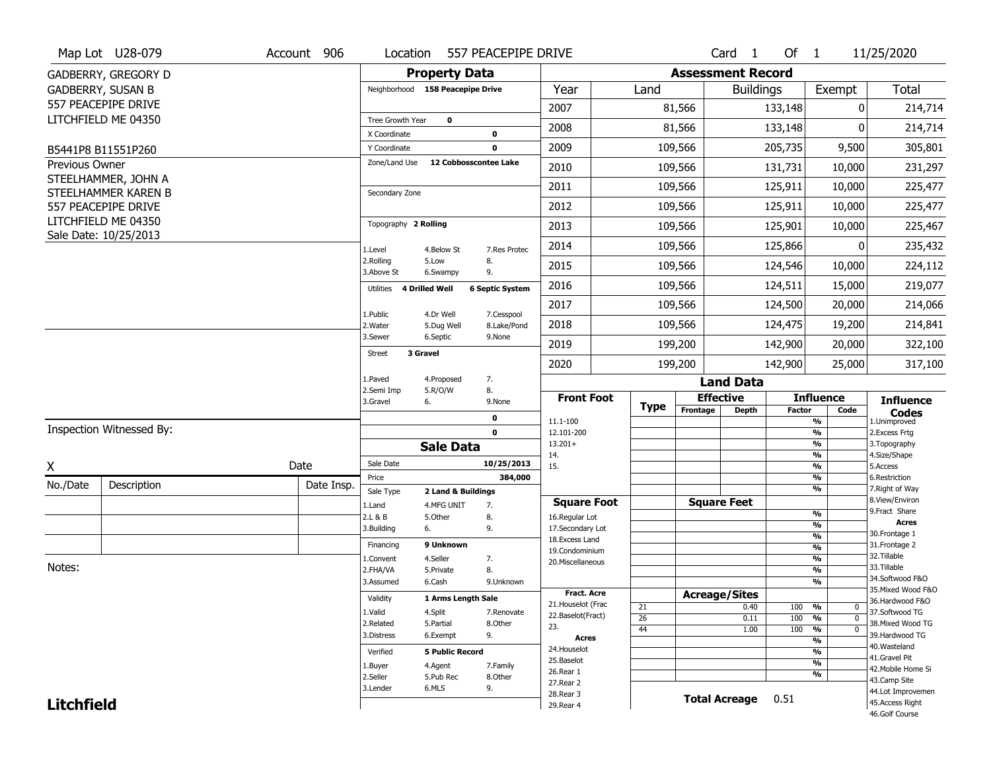|                   | Map Lot U28-079                              | Account 906 | Location                     | 557 PEACEPIPE DRIVE                     |                                      |                 |                          | Card <sub>1</sub>  | Of 1          |                                                      | 11/25/2020                           |
|-------------------|----------------------------------------------|-------------|------------------------------|-----------------------------------------|--------------------------------------|-----------------|--------------------------|--------------------|---------------|------------------------------------------------------|--------------------------------------|
|                   | GADBERRY, GREGORY D                          |             |                              | <b>Property Data</b>                    |                                      |                 | <b>Assessment Record</b> |                    |               |                                                      |                                      |
|                   | <b>GADBERRY, SUSAN B</b>                     |             |                              | Neighborhood 158 Peacepipe Drive        | Year                                 | Land            |                          | <b>Buildings</b>   |               | Exempt                                               | <b>Total</b>                         |
|                   | 557 PEACEPIPE DRIVE                          |             |                              |                                         | 2007                                 |                 | 81,566                   |                    | 133,148       | 0                                                    | 214,714                              |
|                   | LITCHFIELD ME 04350                          |             | Tree Growth Year             | $\mathbf 0$                             | 2008                                 |                 | 81,566                   |                    | 133,148       | 0                                                    | 214,714                              |
|                   | B5441P8 B11551P260                           |             | X Coordinate<br>Y Coordinate | 0<br>0                                  | 2009                                 |                 | 109,566                  |                    | 205,735       | 9,500                                                | 305,801                              |
| Previous Owner    |                                              |             | Zone/Land Use                | 12 Cobbosscontee Lake                   | 2010                                 |                 | 109,566                  |                    | 131,731       | 10,000                                               | 231,297                              |
|                   | STEELHAMMER, JOHN A                          |             |                              |                                         |                                      |                 |                          |                    |               |                                                      |                                      |
|                   | STEELHAMMER KAREN B                          |             | Secondary Zone               |                                         | 2011                                 |                 | 109,566                  |                    | 125,911       | 10,000                                               | 225,477                              |
|                   | 557 PEACEPIPE DRIVE                          |             |                              |                                         | 2012                                 |                 | 109,566                  |                    | 125,911       | 10,000                                               | 225,477                              |
|                   | LITCHFIELD ME 04350<br>Sale Date: 10/25/2013 |             | Topography 2 Rolling         |                                         | 2013                                 |                 | 109,566                  |                    | 125,901       | 10,000                                               | 225,467                              |
|                   |                                              |             | 1.Level                      | 4.Below St<br>7.Res Protec              | 2014                                 |                 | 109,566                  |                    | 125,866       | 0                                                    | 235,432                              |
|                   |                                              |             | 2.Rolling<br>3.Above St      | 5.Low<br>8.<br>9.<br>6.Swampy           | 2015                                 |                 | 109,566                  |                    | 124,546       | 10,000                                               | 224,112                              |
|                   |                                              |             | 4 Drilled Well<br>Utilities  | <b>6 Septic System</b>                  | 2016                                 |                 | 109,566                  |                    | 124,511       | 15,000                                               | 219,077                              |
|                   |                                              |             | 1.Public                     | 4.Dr Well                               | 2017                                 |                 | 109,566                  |                    | 124,500       | 20,000                                               | 214,066                              |
|                   |                                              |             | 2. Water                     | 7.Cesspool<br>8.Lake/Pond<br>5.Dug Well | 2018                                 |                 | 109,566                  |                    | 124,475       | 19,200                                               | 214,841                              |
|                   |                                              |             | 3.Sewer                      | 6.Septic<br>9.None                      | 2019                                 |                 | 199,200                  |                    | 142,900       | 20,000                                               | 322,100                              |
|                   |                                              |             | 3 Gravel<br>Street           |                                         | 2020                                 |                 | 199,200                  |                    | 142,900       | 25,000                                               | 317,100                              |
|                   |                                              |             | 1.Paved                      | 7.<br>4.Proposed                        |                                      |                 |                          | <b>Land Data</b>   |               |                                                      |                                      |
|                   |                                              |             | 2.Semi Imp<br>3.Gravel<br>6. | 5.R/O/W<br>8.<br>9.None                 | <b>Front Foot</b>                    | <b>Type</b>     | <b>Effective</b>         |                    |               | <b>Influence</b>                                     | <b>Influence</b>                     |
|                   |                                              |             |                              | $\mathbf 0$                             | 11.1-100                             |                 | Frontage                 | <b>Depth</b>       | <b>Factor</b> | Code<br>$\frac{9}{6}$                                | <b>Codes</b><br>1.Unimproved         |
|                   | Inspection Witnessed By:                     |             |                              | $\mathbf 0$                             | 12.101-200                           |                 |                          |                    |               | $\overline{\frac{9}{6}}$                             | 2. Excess Frtg                       |
|                   |                                              |             |                              | <b>Sale Data</b>                        | $13.201+$<br>14.                     |                 |                          |                    |               | $\overline{\frac{9}{6}}$<br>$\overline{\frac{9}{6}}$ | 3. Topography<br>4.Size/Shape        |
| X                 |                                              | Date        | Sale Date                    | 10/25/2013                              | 15.                                  |                 |                          |                    |               | $\overline{\frac{9}{6}}$                             | 5.Access                             |
| No./Date          | Description                                  | Date Insp.  | Price                        | 384,000                                 |                                      |                 |                          |                    |               | %<br>$\overline{\frac{9}{6}}$                        | 6.Restriction<br>7. Right of Way     |
|                   |                                              |             | Sale Type                    | 2 Land & Buildings                      |                                      |                 |                          |                    |               |                                                      |                                      |
|                   |                                              |             |                              |                                         |                                      |                 |                          |                    |               |                                                      | 8.View/Environ                       |
|                   |                                              |             | 1.Land<br>2.L & B            | 7.<br>4.MFG UNIT<br>8.<br>5.Other       | <b>Square Foot</b><br>16.Regular Lot |                 |                          | <b>Square Feet</b> |               | %                                                    | 9.Fract Share                        |
|                   |                                              |             | 6.<br>3.Building             | 9.                                      | 17.Secondary Lot                     |                 |                          |                    |               | %                                                    | <b>Acres</b>                         |
|                   |                                              |             | Financing                    | 9 Unknown                               | 18.Excess Land                       |                 |                          |                    |               | %                                                    | 30.Frontage 1<br>31. Frontage 2      |
|                   |                                              |             | 1.Convent                    | 4.Seller<br>7.                          | 19.Condominium                       |                 |                          |                    |               | %<br>%                                               | 32.Tillable                          |
| Notes:            |                                              |             | 2.FHA/VA                     | 8.<br>5.Private                         | 20.Miscellaneous                     |                 |                          |                    |               | %                                                    | 33.Tillable                          |
|                   |                                              |             | 3.Assumed                    | 6.Cash<br>9.Unknown                     |                                      |                 |                          |                    |               | %                                                    | 34.Softwood F&O                      |
|                   |                                              |             | Validity                     | 1 Arms Length Sale                      | <b>Fract. Acre</b>                   |                 | <b>Acreage/Sites</b>     |                    |               |                                                      | 35. Mixed Wood F&O                   |
|                   |                                              |             |                              |                                         | 21. Houselot (Frac                   | 21              |                          | 0.40               | 100           | %<br>0                                               | 36.Hardwood F&O                      |
|                   |                                              |             | 1.Valid<br>2.Related         | 4.Split<br>7.Renovate<br>8.Other        | 22.Baselot(Fract)                    | $\overline{26}$ |                          | 0.11               | 100           | %<br>$\mathbf 0$                                     | 37.Softwood TG                       |
|                   |                                              |             | 3.Distress                   | 5.Partial<br>9.<br>6.Exempt             | 23.                                  | 44              |                          | 1.00               | 100           | %<br>$\mathbf 0$                                     | 38. Mixed Wood TG<br>39.Hardwood TG  |
|                   |                                              |             |                              |                                         | <b>Acres</b><br>24. Houselot         |                 |                          |                    |               | %                                                    | 40.Wasteland                         |
|                   |                                              |             | Verified                     | <b>5 Public Record</b>                  | 25.Baselot                           |                 |                          |                    |               | %                                                    | 41.Gravel Pit                        |
|                   |                                              |             | 1.Buyer                      | 4.Agent<br>7.Family                     | 26.Rear 1                            |                 |                          |                    |               | %<br>%                                               | 42. Mobile Home Si                   |
|                   |                                              |             | 2.Seller                     | 5.Pub Rec<br>8.0ther                    | 27. Rear 2                           |                 |                          |                    |               |                                                      | 43.Camp Site                         |
| <b>Litchfield</b> |                                              |             | 3.Lender                     | 6.MLS<br>9.                             | 28. Rear 3<br>29. Rear 4             |                 |                          | Total Acreage 0.51 |               |                                                      | 44.Lot Improvemen<br>45.Access Right |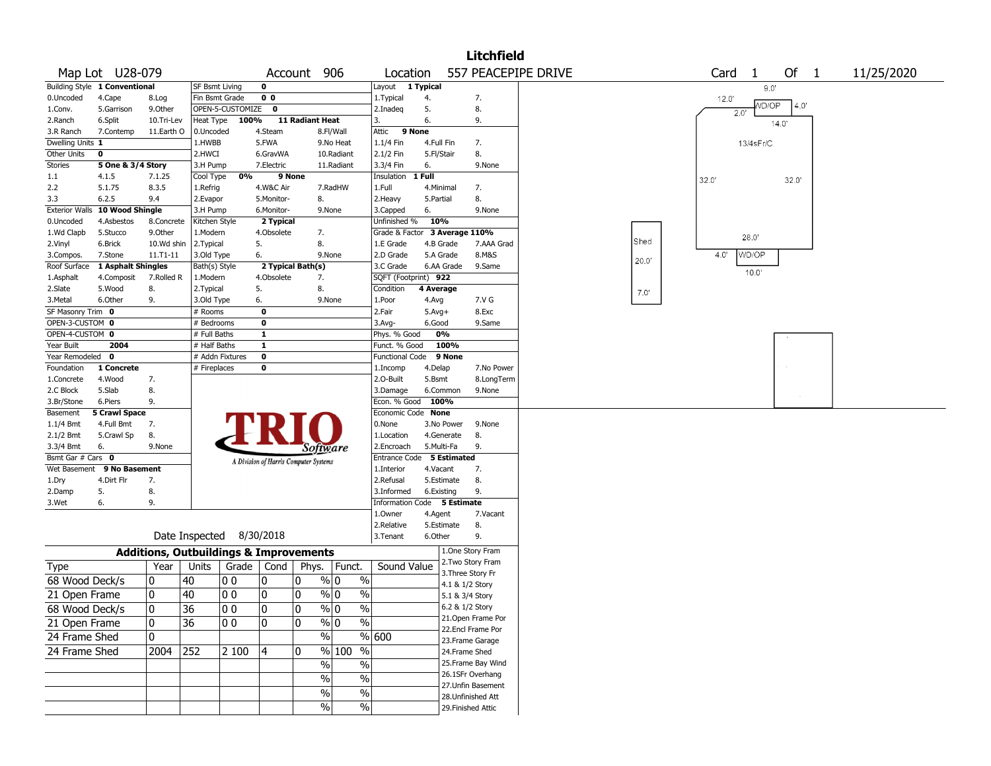|                       |                               |               |                                                   |                  |                |                                       |                         |                               |            |                 | <b>Litchfield</b>  |                     |      |       |               |       |      |            |  |
|-----------------------|-------------------------------|---------------|---------------------------------------------------|------------------|----------------|---------------------------------------|-------------------------|-------------------------------|------------|-----------------|--------------------|---------------------|------|-------|---------------|-------|------|------------|--|
|                       | Map Lot U28-079               |               |                                                   |                  | Account        |                                       | 906                     | Location                      |            |                 |                    | 557 PEACEPIPE DRIVE |      | Card  | -1            |       | Of 1 | 11/25/2020 |  |
|                       | Building Style 1 Conventional |               | <b>SF Bsmt Living</b>                             |                  | 0              |                                       |                         | Layout 1 Typical              |            |                 |                    |                     |      |       | 9.0"          |       |      |            |  |
| 0.Uncoded             | 4.Cape                        | 8.Log         |                                                   | Fin Bsmt Grade   | 0 <sub>0</sub> |                                       |                         | 1.Typical                     | 4.         |                 | 7.                 |                     |      | 12.0' |               |       |      |            |  |
| 1.Conv.               | 5.Garrison                    | 9.0ther       |                                                   | OPEN-5-CUSTOMIZE | $\mathbf 0$    |                                       |                         | 2.Inadeg                      | 5.         |                 | 8.                 |                     |      |       | VD/OP<br>2.0' |       | 4.0' |            |  |
| 2.Ranch               | 6.Split                       | 10.Tri-Lev    | Heat Type                                         | 100%             |                | 11 Radiant Heat                       |                         | 3.                            | 6.         |                 | 9.                 |                     |      |       |               | 14.0  |      |            |  |
| 3.R Ranch             | 7.Contemp                     | 11.Earth O    | 0.Uncoded                                         |                  | 4.Steam        |                                       | 8.Fl/Wall               | Attic                         | 9 None     |                 |                    |                     |      |       |               |       |      |            |  |
| Dwelling Units 1      |                               |               | 1.HWBB                                            |                  | 5.FWA          |                                       | 9.No Heat               | 1.1/4 Fin                     | 4.Full Fin |                 | 7.                 |                     |      |       | 13/4sFr/C     |       |      |            |  |
| Other Units           | $\mathbf 0$                   |               | 2.HWCI                                            |                  | 6.GravWA       |                                       | 10.Radiant              | 2.1/2 Fin                     | 5.Fl/Stair |                 | 8.                 |                     |      |       |               |       |      |            |  |
| <b>Stories</b>        | 5 One & 3/4 Story             |               | 3.H Pump                                          |                  | 7.Electric     |                                       | 11.Radiant              | 3.3/4 Fin                     | 6.         |                 | 9.None             |                     |      |       |               |       |      |            |  |
| 1.1                   | 4.1.5                         | 7.1.25        | Cool Type                                         | 0%               | 9 None         |                                       |                         | Insulation                    | 1 Full     |                 |                    |                     |      | 32.0' |               | 32.0' |      |            |  |
| 2.2                   | 5.1.75                        | 8.3.5         | 1.Refrig                                          |                  | 4.W&C Air      |                                       | 7.RadHW                 | 1.Full                        | 4.Minimal  |                 | 7.                 |                     |      |       |               |       |      |            |  |
| 3.3                   | 6.2.5                         | 9.4           | 2.Evapor                                          |                  | 5.Monitor-     | 8.                                    |                         | 2.Heavy                       | 5.Partial  |                 | 8.                 |                     |      |       |               |       |      |            |  |
| <b>Exterior Walls</b> | 10 Wood Shingle               |               | 3.H Pump                                          |                  | 6.Monitor-     | 9.None                                |                         | 3.Capped                      | 6.         |                 | 9.None             |                     |      |       |               |       |      |            |  |
| 0.Uncoded             | 4.Asbestos                    | 8.Concrete    | Kitchen Style                                     |                  | 2 Typical      |                                       |                         | Unfinished %                  | 10%        |                 |                    |                     |      |       |               |       |      |            |  |
| 1.Wd Clapb            | 5.Stucco                      | 9.0ther       | 1.Modern                                          |                  | 4.Obsolete     | 7.                                    |                         | Grade & Factor 3 Average 110% |            |                 |                    |                     |      |       | 28.0          |       |      |            |  |
| 2.Vinyl               | 6.Brick                       | 10.Wd shin    | 2.Typical                                         |                  | 5.             | 8.                                    |                         | 1.E Grade                     |            | 4.B Grade       | 7.AAA Grad         |                     | Shed |       |               |       |      |            |  |
| 3.Compos.             | 7.Stone                       | $11. T1 - 11$ | 3.Old Type                                        |                  | 6.             | 9.None                                |                         | 2.D Grade                     |            | 5.A Grade       | 8.M&S              |                     | 20.0 | 4.0'  | WD/OP         |       |      |            |  |
| Roof Surface          | 1 Asphalt Shingles            |               | Bath(s) Style                                     |                  |                | 2 Typical Bath(s)                     |                         | 3.C Grade                     |            | 6.AA Grade      | 9.Same             |                     |      |       | 10.0'         |       |      |            |  |
| 1.Asphalt             | 4.Composit                    | 7.Rolled R    | 1.Modern                                          |                  | 4.Obsolete     | 7.                                    |                         | SQFT (Footprint) 922          |            |                 |                    |                     |      |       |               |       |      |            |  |
| 2.Slate               | 5.Wood                        | 8.            | 2. Typical                                        |                  | 5.             | 8.                                    |                         | Condition                     | 4 Average  |                 |                    |                     | 7.0' |       |               |       |      |            |  |
| 3. Metal              | 6.Other                       | 9.            | 3.Old Type                                        |                  | 6.             | 9.None                                |                         | 1.Poor                        | 4.Avg      |                 | 7.V G              |                     |      |       |               |       |      |            |  |
| SF Masonry Trim 0     |                               |               | # Rooms                                           |                  | 0              |                                       |                         | 2.Fair                        | $5.Avg+$   |                 | 8.Exc              |                     |      |       |               |       |      |            |  |
| OPEN-3-CUSTOM 0       |                               |               | # Bedrooms                                        |                  | 0              |                                       |                         | 3.Avg-                        | 6.Good     |                 | 9.Same             |                     |      |       |               |       |      |            |  |
| OPEN-4-CUSTOM 0       |                               |               | # Full Baths                                      |                  | 1              |                                       |                         | Phys. % Good                  |            | 0%              |                    |                     |      |       |               |       |      |            |  |
| Year Built            | 2004                          |               | # Half Baths                                      |                  | 1              |                                       |                         | Funct. % Good                 |            | 100%            |                    |                     |      |       |               |       |      |            |  |
| Year Remodeled        | $\mathbf 0$                   |               |                                                   | # Addn Fixtures  | $\mathbf 0$    |                                       |                         | Functional Code               |            | 9 None          |                    |                     |      |       |               |       |      |            |  |
| Foundation            | 1 Concrete                    |               | # Fireplaces                                      |                  | 0              |                                       |                         | 1.Incomp                      | 4.Delap    |                 | 7.No Power         |                     |      |       |               |       |      |            |  |
| 1.Concrete            | 4.Wood                        | 7.            |                                                   |                  |                |                                       |                         | 2.O-Built                     | 5.Bsmt     |                 | 8.LongTerm         |                     |      |       |               |       |      |            |  |
| 2.C Block             | 5.Slab                        | 8.            |                                                   |                  |                |                                       |                         | 3.Damage                      |            | 6.Common        | 9.None             |                     |      |       |               |       |      |            |  |
| 3.Br/Stone            | 6.Piers                       | 9.            |                                                   |                  |                |                                       |                         | Econ. % Good                  | 100%       |                 |                    |                     |      |       |               |       |      |            |  |
| Basement              | <b>5 Crawl Space</b>          |               |                                                   |                  |                |                                       |                         | Economic Code None            |            |                 |                    |                     |      |       |               |       |      |            |  |
| $1.1/4$ Bmt           | 4.Full Bmt                    | 7.            |                                                   |                  |                |                                       |                         | 0.None                        |            | 3.No Power      | 9.None             |                     |      |       |               |       |      |            |  |
| 2.1/2 Bmt             | 5.Crawl Sp                    | 8.            |                                                   |                  |                |                                       |                         | 1.Location                    |            | 4.Generate      | 8.                 |                     |      |       |               |       |      |            |  |
| 3.3/4 Bmt             | 6.                            | 9.None        |                                                   |                  |                | Software                              |                         | 2.Encroach                    |            | 5.Multi-Fa      | 9.                 |                     |      |       |               |       |      |            |  |
| Bsmt Gar # Cars 0     |                               |               |                                                   |                  |                | A Division of Harris Computer Systems |                         | Entrance Code 5 Estimated     |            |                 |                    |                     |      |       |               |       |      |            |  |
| Wet Basement          | 9 No Basement                 |               |                                                   |                  |                |                                       |                         | 1.Interior                    | 4.Vacant   |                 | 7.                 |                     |      |       |               |       |      |            |  |
| 1.Dry                 | 4.Dirt Flr                    | 7.            |                                                   |                  |                |                                       |                         | 2.Refusal                     |            | 5.Estimate      | 8.                 |                     |      |       |               |       |      |            |  |
| 2.Damp                | 5.                            | 8.            |                                                   |                  |                |                                       |                         | 3.Informed                    | 6.Existing |                 | 9.                 |                     |      |       |               |       |      |            |  |
| 3.Wet                 | 6.                            | 9.            |                                                   |                  |                |                                       |                         | Information Code 5 Estimate   |            |                 |                    |                     |      |       |               |       |      |            |  |
|                       |                               |               |                                                   |                  |                |                                       |                         | 1.Owner                       | 4.Agent    |                 | 7.Vacant           |                     |      |       |               |       |      |            |  |
|                       |                               |               |                                                   |                  |                |                                       |                         | 2.Relative                    |            | 5.Estimate      | 8.                 |                     |      |       |               |       |      |            |  |
|                       |                               |               | Date Inspected 8/30/2018                          |                  |                |                                       |                         | 3.Tenant                      | 6.Other    |                 | 9.                 |                     |      |       |               |       |      |            |  |
|                       |                               |               | <b>Additions, Outbuildings &amp; Improvements</b> |                  |                |                                       |                         |                               |            |                 | 1.One Story Fram   |                     |      |       |               |       |      |            |  |
| Type                  |                               | Year          | Units                                             |                  | Grade   Cond   | Phys.   Funct.                        |                         | Sound Value                   |            |                 | 2. Two Story Fram  |                     |      |       |               |       |      |            |  |
|                       |                               | 0             | 40                                                | O O              |                | $\frac{9}{0}$ 0<br>0                  | $\%$                    |                               |            |                 | 3. Three Story Fr  |                     |      |       |               |       |      |            |  |
| 68 Wood Deck/s        |                               |               |                                                   |                  | 0              |                                       |                         |                               |            | 4.1 & 1/2 Story |                    |                     |      |       |               |       |      |            |  |
| 21 Open Frame         |                               | 0             | 40                                                | O O              | 10             | $\frac{9}{0}$ 0<br>0                  | $\frac{0}{0}$           |                               |            | 5.1 & 3/4 Story |                    |                     |      |       |               |       |      |            |  |
| 68 Wood Deck/s        |                               | $\Omega$      | 36                                                | $ 00\rangle$     | 0              | $\Omega$                              | $\frac{9}{0}$<br>$\%$   |                               |            | 6.2 & 1/2 Story |                    |                     |      |       |               |       |      |            |  |
| 21 Open Frame         |                               | 0             | 36                                                | 00               | 10             | $\%$ 0<br>0                           | %                       |                               |            |                 | 21.Open Frame Por  |                     |      |       |               |       |      |            |  |
|                       |                               |               |                                                   |                  |                |                                       |                         |                               |            |                 | 22.Encl Frame Por  |                     |      |       |               |       |      |            |  |
| 24 Frame Shed         |                               | 0             |                                                   |                  |                | $\%$                                  |                         | % 600                         |            |                 | 23. Frame Garage   |                     |      |       |               |       |      |            |  |
| 24 Frame Shed         |                               | 2004          | 252                                               | 2 100            | 4              | 0                                     | $\sqrt{20}$ 100<br>$\%$ |                               |            | 24.Frame Shed   |                    |                     |      |       |               |       |      |            |  |
|                       |                               |               |                                                   |                  |                | $\frac{0}{0}$                         | $\%$                    |                               |            |                 | 25. Frame Bay Wind |                     |      |       |               |       |      |            |  |
|                       |                               |               |                                                   |                  |                | $\%$                                  | $\%$                    |                               |            |                 | 26.1SFr Overhang   |                     |      |       |               |       |      |            |  |
|                       |                               |               |                                                   |                  |                |                                       | $\%$                    |                               |            |                 | 27. Unfin Basement |                     |      |       |               |       |      |            |  |
|                       |                               |               |                                                   |                  |                | $\%$                                  |                         |                               |            |                 | 28. Unfinished Att |                     |      |       |               |       |      |            |  |
|                       |                               |               |                                                   |                  |                | $\frac{0}{0}$                         | %                       |                               |            |                 | 29. Finished Attic |                     |      |       |               |       |      |            |  |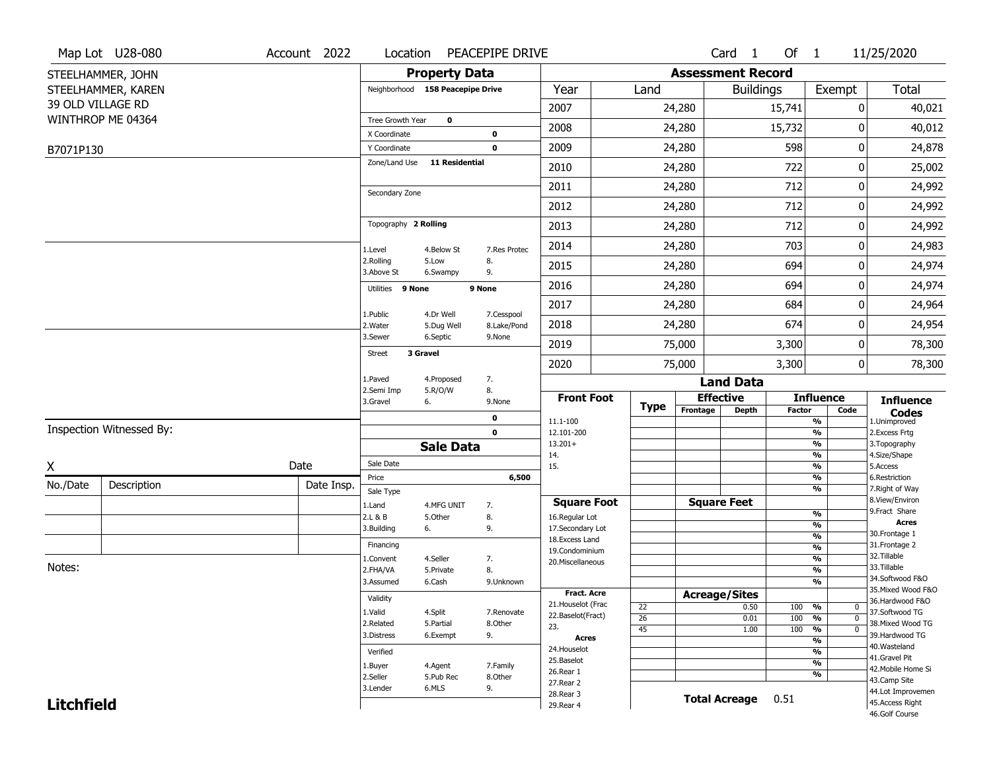|                   | Map Lot U28-080          | Account 2022 | Location                         |                       | PEACEPIPE DRIVE            |                                          |                       |                          | Card <sub>1</sub>    | Of $1$        |                                        | 11/25/2020                            |
|-------------------|--------------------------|--------------|----------------------------------|-----------------------|----------------------------|------------------------------------------|-----------------------|--------------------------|----------------------|---------------|----------------------------------------|---------------------------------------|
|                   | STEELHAMMER, JOHN        |              |                                  | <b>Property Data</b>  |                            |                                          |                       | <b>Assessment Record</b> |                      |               |                                        |                                       |
|                   | STEELHAMMER, KAREN       |              | Neighborhood 158 Peacepipe Drive |                       |                            | Year                                     | Land                  |                          | <b>Buildings</b>     |               | Exempt                                 | Total                                 |
|                   | 39 OLD VILLAGE RD        |              |                                  |                       |                            | 2007                                     |                       | 24,280                   |                      | 15,741        | 0                                      | 40,021                                |
|                   | WINTHROP ME 04364        |              | Tree Growth Year                 | $\mathbf 0$           |                            | 2008                                     |                       | 24,280                   |                      | 15,732        | 0                                      | 40,012                                |
|                   |                          |              | X Coordinate<br>Y Coordinate     |                       | $\mathbf 0$<br>$\mathbf 0$ | 2009                                     |                       | 24,280                   |                      | 598           | 0                                      | 24,878                                |
| B7071P130         |                          |              | Zone/Land Use                    | <b>11 Residential</b> |                            |                                          |                       |                          |                      |               |                                        |                                       |
|                   |                          |              |                                  |                       |                            | 2010                                     |                       | 24,280                   |                      | 722           | 0                                      | 25,002                                |
|                   |                          |              | Secondary Zone                   |                       |                            | 2011                                     |                       | 24,280                   |                      | 712           | 0                                      | 24,992                                |
|                   |                          |              |                                  |                       |                            | 2012                                     |                       | 24,280                   |                      | 712           | 0                                      | 24,992                                |
|                   |                          |              | Topography 2 Rolling             |                       |                            | 2013                                     |                       | 24,280                   |                      | 712           | 0                                      | 24,992                                |
|                   |                          |              | 1.Level                          | 4.Below St            | 7.Res Protec               | 2014                                     |                       | 24,280                   |                      | 703           | 0                                      | 24,983                                |
|                   |                          |              | 2.Rolling<br>3.Above St          | 5.Low<br>6.Swampy     | 8.<br>9.                   | 2015                                     |                       | 24,280                   |                      | 694           | 0                                      | 24,974                                |
|                   |                          |              | Utilities 9 None                 |                       | 9 None                     | 2016                                     |                       | 24,280                   |                      | 694           | 0                                      | 24,974                                |
|                   |                          |              | 1.Public                         | 4.Dr Well             | 7.Cesspool                 | 2017                                     |                       | 24,280                   |                      | 684           | 0                                      | 24,964                                |
|                   |                          |              | 2. Water                         | 5.Dug Well            | 8.Lake/Pond                | 2018                                     |                       | 24,280                   |                      | 674           | 0                                      | 24,954                                |
|                   |                          |              | 3.Sewer                          | 6.Septic              | 9.None                     | 2019                                     |                       | 75,000                   |                      | 3,300         | 0                                      | 78,300                                |
|                   |                          |              | 3 Gravel<br><b>Street</b>        |                       |                            | 2020                                     |                       | 75,000                   |                      | 3,300         | 0                                      | 78,300                                |
|                   |                          |              | 1.Paved                          | 4.Proposed            | 7.                         |                                          |                       |                          | <b>Land Data</b>     |               |                                        |                                       |
|                   |                          |              | 2.Semi Imp<br>3.Gravel           | 5.R/O/W<br>6.         | 8.<br>9.None               | <b>Front Foot</b>                        | <b>Type</b>           | <b>Effective</b>         |                      |               | <b>Influence</b>                       | <b>Influence</b>                      |
|                   |                          |              |                                  |                       | $\mathbf 0$                | 11.1-100                                 |                       | Frontage                 | <b>Depth</b>         | <b>Factor</b> | Code<br>$\frac{9}{6}$                  | <b>Codes</b><br>1.Unimproved          |
|                   | Inspection Witnessed By: |              |                                  |                       | $\mathbf 0$                | 12.101-200                               |                       |                          |                      |               | $\frac{9}{6}$                          | 2.Excess Frtg                         |
|                   |                          |              |                                  | <b>Sale Data</b>      |                            | $13.201+$<br>14.                         |                       |                          |                      |               | $\frac{9}{6}$<br>$\frac{9}{6}$         | 3. Topography<br>4.Size/Shape         |
| χ                 |                          | Date         | Sale Date                        |                       |                            | 15.                                      |                       |                          |                      |               | $\frac{9}{6}$                          | 5.Access                              |
| No./Date          | Description              | Date Insp.   | Price<br>Sale Type               |                       | 6,500                      |                                          |                       |                          |                      |               | $\frac{9}{6}$<br>$\frac{9}{6}$         | 6.Restriction<br>7. Right of Way      |
|                   |                          |              | 1.Land                           | 4.MFG UNIT            | 7.                         | <b>Square Foot</b>                       |                       | <b>Square Feet</b>       |                      |               |                                        | 8.View/Environ                        |
|                   |                          |              | 2.L & B                          | 5.0ther               | 8.                         | 16.Regular Lot                           |                       |                          |                      |               | %<br>%                                 | 9.Fract Share<br><b>Acres</b>         |
|                   |                          |              | 3.Building                       | 6.                    | 9.                         | 17.Secondary Lot<br>18.Excess Land       |                       |                          |                      |               | $\frac{9}{6}$                          | 30.Frontage 1                         |
|                   |                          |              | Financing                        |                       |                            | 19.Condominium                           |                       |                          |                      |               | $\frac{9}{6}$                          | 31. Frontage 2                        |
| Notes:            |                          |              | 1.Convent                        | 4.Seller              | 7.                         | 20.Miscellaneous                         |                       |                          |                      |               | $\frac{9}{6}$                          | 32.Tillable<br>33.Tillable            |
|                   |                          |              |                                  |                       |                            |                                          |                       |                          |                      |               |                                        |                                       |
|                   |                          |              | 2.FHA/VA                         | 5.Private             | 8.                         |                                          |                       |                          |                      |               | $\frac{9}{6}$                          |                                       |
|                   |                          |              | 3.Assumed                        | 6.Cash                | 9.Unknown                  |                                          |                       |                          |                      |               | $\frac{9}{6}$                          | 34.Softwood F&O<br>35. Mixed Wood F&O |
|                   |                          |              | Validity                         |                       |                            | <b>Fract. Acre</b><br>21. Houselot (Frac |                       | <b>Acreage/Sites</b>     |                      |               |                                        | 36.Hardwood F&O                       |
|                   |                          |              | 1.Valid                          | 4.Split               | 7.Renovate                 | 22.Baselot(Fract)                        | 22<br>$\overline{26}$ |                          | 0.50<br>0.01         | 100<br>100    | %<br>0<br>$\frac{9}{6}$<br>$\mathbf 0$ | 37.Softwood TG                        |
|                   |                          |              | 2.Related                        | 5.Partial             | 8.Other                    | 23.                                      | $\overline{45}$       |                          | 1.00                 | 100           | $\frac{9}{6}$<br>$\mathbf 0$           | 38. Mixed Wood TG                     |
|                   |                          |              | 3.Distress                       | 6.Exempt              | 9.                         | <b>Acres</b>                             |                       |                          |                      |               | $\frac{9}{6}$                          | 39.Hardwood TG                        |
|                   |                          |              | Verified                         |                       |                            | 24. Houselot                             |                       |                          |                      |               | $\frac{9}{6}$                          | 40. Wasteland<br>41.Gravel Pit        |
|                   |                          |              | 1.Buyer                          | 4.Agent               | 7.Family                   | 25.Baselot<br>26.Rear 1                  |                       |                          |                      |               | $\frac{9}{6}$                          | 42. Mobile Home Si                    |
|                   |                          |              | 2.Seller                         | 5.Pub Rec             | 8.Other                    | 27.Rear 2                                |                       |                          |                      |               | $\frac{9}{6}$                          | 43.Camp Site                          |
| <b>Litchfield</b> |                          |              | 3.Lender                         | 6.MLS                 | 9.                         | 28. Rear 3<br>29. Rear 4                 |                       |                          | <b>Total Acreage</b> | 0.51          |                                        | 44.Lot Improvemen<br>45.Access Right  |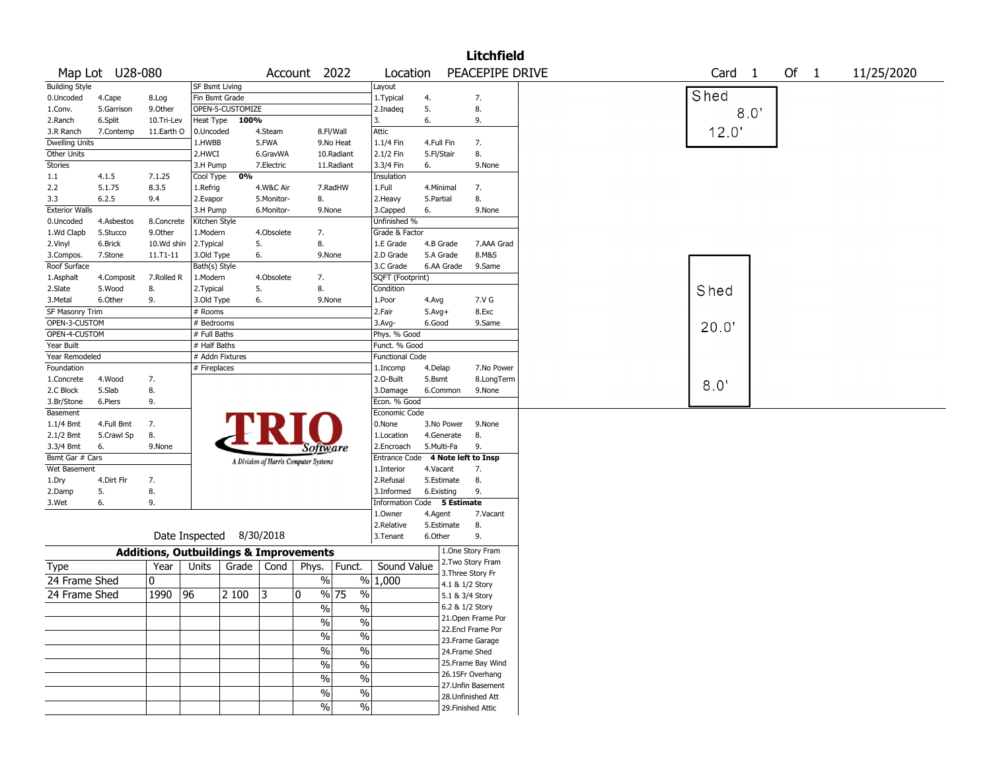|                       |                 |                                                   |                       |                          |            |                                       |                          |                             |            |                     | <b>Litchfield</b>                        |                   |      |      |            |
|-----------------------|-----------------|---------------------------------------------------|-----------------------|--------------------------|------------|---------------------------------------|--------------------------|-----------------------------|------------|---------------------|------------------------------------------|-------------------|------|------|------------|
|                       | Map Lot U28-080 |                                                   |                       |                          |            | Account 2022                          |                          | Location                    |            |                     | PEACEPIPE DRIVE                          | Card <sub>1</sub> |      | Of 1 | 11/25/2020 |
| <b>Building Style</b> |                 |                                                   | <b>SF Bsmt Living</b> |                          |            |                                       |                          | Layout                      |            |                     |                                          |                   |      |      |            |
| 0.Uncoded             | 4.Cape          | 8.Log                                             | Fin Bsmt Grade        |                          |            |                                       |                          | 1.Typical                   | 4.         |                     | 7.                                       | Shed              |      |      |            |
| 1.Conv.               | 5.Garrison      | 9.0ther                                           |                       | OPEN-5-CUSTOMIZE         |            |                                       |                          | 2.Inadeq                    | 5.         |                     | 8.                                       |                   | 8.0' |      |            |
| 2.Ranch               | 6.Split         | 10.Tri-Lev                                        | Heat Type             | 100%                     |            |                                       |                          | 3.                          | 6.         |                     | 9.                                       |                   |      |      |            |
| 3.R Ranch             | 7.Contemp       | 11.Earth O                                        | 0.Uncoded             |                          | 4.Steam    |                                       | 8.Fl/Wall                | <b>Attic</b>                |            |                     |                                          | 12.0              |      |      |            |
| <b>Dwelling Units</b> |                 |                                                   | 1.HWBB                |                          | 5.FWA      |                                       | 9.No Heat                | 1.1/4 Fin                   | 4.Full Fin |                     | 7.                                       |                   |      |      |            |
| Other Units           |                 |                                                   | 2.HWCI                |                          | 6.GravWA   |                                       | 10.Radiant               | 2.1/2 Fin                   | 5.Fl/Stair |                     | 8.                                       |                   |      |      |            |
| Stories               |                 |                                                   | 3.H Pump              |                          | 7.Electric |                                       | 11.Radiant               | 3.3/4 Fin                   | 6.         |                     | 9.None                                   |                   |      |      |            |
| 1.1                   | 4.1.5           | 7.1.25                                            | Cool Type             | 0%                       |            |                                       |                          | Insulation                  |            |                     |                                          |                   |      |      |            |
| 2.2                   | 5.1.75          | 8.3.5                                             | 1.Refrig              |                          | 4.W&C Air  |                                       | 7.RadHW                  | 1.Full                      | 4.Minimal  |                     | 7.                                       |                   |      |      |            |
| 3.3                   | 6.2.5           | 9.4                                               | 2.Evapor              |                          | 5.Monitor- | 8.                                    |                          | 2. Heavy                    | 5.Partial  |                     | 8.                                       |                   |      |      |            |
| <b>Exterior Walls</b> |                 |                                                   | 3.H Pump              |                          | 6.Monitor- | 9.None                                |                          | 3.Capped                    | 6.         |                     | 9.None                                   |                   |      |      |            |
| 0.Uncoded             | 4.Asbestos      | 8.Concrete                                        | Kitchen Style         |                          |            |                                       |                          | Unfinished %                |            |                     |                                          |                   |      |      |            |
| 1.Wd Clapb            | 5.Stucco        | 9.Other                                           | 1.Modern              |                          | 4.Obsolete | 7.                                    |                          | Grade & Factor              |            |                     |                                          |                   |      |      |            |
| 2.Vinyl               | 6.Brick         | 10.Wd shin                                        | 2.Typical             |                          | 5.         | 8.                                    |                          | 1.E Grade                   | 4.B Grade  |                     | 7.AAA Grad                               |                   |      |      |            |
| 3.Compos.             | 7.Stone         | 11.T1-11                                          | 3.Old Type            |                          | 6.         | 9.None                                |                          | 2.D Grade                   | 5.A Grade  |                     | 8.M&S                                    |                   |      |      |            |
| Roof Surface          |                 |                                                   | Bath(s) Style         |                          |            |                                       |                          | 3.C Grade                   | 6.AA Grade |                     | 9.Same                                   |                   |      |      |            |
| 1.Asphalt             | 4.Composit      | 7.Rolled R                                        | 1.Modern              |                          | 4.Obsolete | 7.                                    |                          | SQFT (Footprint)            |            |                     |                                          |                   |      |      |            |
| 2.Slate               | 5.Wood          | 8.                                                | 2. Typical            |                          | 5.         | 8.                                    |                          | Condition                   |            |                     |                                          | Shed              |      |      |            |
| 3.Metal               | 6.Other         | 9.                                                | 3.Old Type            |                          | 6.         | 9.None                                |                          | 1.Poor                      | 4.Avg      |                     | 7.V G                                    |                   |      |      |            |
| SF Masonry Trim       |                 |                                                   | # Rooms               |                          |            |                                       |                          | 2.Fair                      | $5.Avg+$   |                     | 8.Exc                                    |                   |      |      |            |
| OPEN-3-CUSTOM         |                 |                                                   | # Bedrooms            |                          |            |                                       |                          | $3.$ Avg-                   | 6.Good     |                     | 9.Same                                   |                   |      |      |            |
| OPEN-4-CUSTOM         |                 |                                                   | # Full Baths          |                          |            |                                       |                          | Phys. % Good                |            |                     |                                          | 20.0"             |      |      |            |
| Year Built            |                 |                                                   | # Half Baths          |                          |            |                                       |                          | Funct. % Good               |            |                     |                                          |                   |      |      |            |
| Year Remodeled        |                 |                                                   | # Addn Fixtures       |                          |            |                                       |                          | <b>Functional Code</b>      |            |                     |                                          |                   |      |      |            |
| Foundation            |                 |                                                   | # Fireplaces          |                          |            |                                       |                          | 1.Incomp                    | 4.Delap    |                     | 7.No Power                               |                   |      |      |            |
| 1.Concrete            | 4.Wood          | 7.                                                |                       |                          |            |                                       |                          | 2.O-Built                   | 5.Bsmt     |                     | 8.LongTerm                               |                   |      |      |            |
| 2.C Block             | 5.Slab          | 8.                                                |                       |                          |            |                                       |                          | 3.Damage                    | 6.Common   |                     | 9.None                                   | 8.0               |      |      |            |
| 3.Br/Stone            | 6.Piers         | 9.                                                |                       |                          |            |                                       |                          | Econ. % Good                |            |                     |                                          |                   |      |      |            |
| Basement              |                 |                                                   |                       |                          |            |                                       |                          | Economic Code               |            |                     |                                          |                   |      |      |            |
| $1.1/4$ Bmt           | 4.Full Bmt      | 7.                                                |                       |                          |            |                                       |                          | 0.None                      | 3.No Power |                     | 9.None                                   |                   |      |      |            |
| 2.1/2 Bmt             | 5.Crawl Sp      | 8.                                                |                       |                          |            |                                       |                          | 1.Location                  | 4.Generate |                     | 8.                                       |                   |      |      |            |
| 3.3/4 Bmt             | 6.              | 9.None                                            |                       |                          |            |                                       |                          | 2.Encroach                  | 5.Multi-Fa |                     | 9.                                       |                   |      |      |            |
| Bsmt Gar # Cars       |                 |                                                   |                       |                          |            | Software                              |                          | <b>Entrance Code</b>        |            |                     | 4 Note left to Insp                      |                   |      |      |            |
| Wet Basement          |                 |                                                   |                       |                          |            | A Division of Harris Computer Systems |                          | 1.Interior                  | 4.Vacant   |                     | 7.                                       |                   |      |      |            |
| 1.Dry                 | 4.Dirt Flr      | 7.                                                |                       |                          |            |                                       |                          | 2.Refusal                   | 5.Estimate |                     | 8.                                       |                   |      |      |            |
| 2.Damp                | 5.              | 8.                                                |                       |                          |            |                                       |                          | 3.Informed                  | 6.Existing |                     | 9.                                       |                   |      |      |            |
| 3.Wet                 | 6.              | 9.                                                |                       |                          |            |                                       |                          | Information Code 5 Estimate |            |                     |                                          |                   |      |      |            |
|                       |                 |                                                   |                       |                          |            |                                       |                          | 1.Owner                     | 4.Agent    |                     | 7.Vacant                                 |                   |      |      |            |
|                       |                 |                                                   |                       |                          |            |                                       |                          | 2.Relative                  | 5.Estimate |                     | 8.                                       |                   |      |      |            |
|                       |                 |                                                   |                       | Date Inspected 8/30/2018 |            |                                       |                          | 3.Tenant                    | 6.Other    |                     | 9.                                       |                   |      |      |            |
|                       |                 |                                                   |                       |                          |            |                                       |                          |                             |            |                     |                                          |                   |      |      |            |
|                       |                 | <b>Additions, Outbuildings &amp; Improvements</b> |                       |                          |            |                                       |                          |                             |            |                     | 1.One Story Fram<br>2. Two Story Fram    |                   |      |      |            |
| <b>Type</b>           |                 | Year                                              | Units                 | Grade                    | Cond       | Phys.                                 | Funct.                   | Sound Value                 |            |                     | 3. Three Story Fr                        |                   |      |      |            |
| 24 Frame Shed         |                 | 0                                                 |                       |                          |            | %                                     |                          | % 1,000                     |            | 4.1 & 1/2 Story     |                                          |                   |      |      |            |
| 24 Frame Shed         |                 | 1990                                              | 96                    | 2 100                    | 3          | 0                                     | $\sqrt{96}$ 75<br>$\%$   |                             |            | 5.1 & 3/4 Story     |                                          |                   |      |      |            |
|                       |                 |                                                   |                       |                          |            | %                                     | %                        |                             |            | $6.2$ & $1/2$ Story |                                          |                   |      |      |            |
|                       |                 |                                                   |                       |                          |            | $\frac{1}{2}$                         | $\overline{\frac{0}{0}}$ |                             |            |                     | 21. Open Frame Por                       |                   |      |      |            |
|                       |                 |                                                   |                       |                          |            | $\sqrt{6}$                            | $\overline{\frac{0}{6}}$ |                             |            |                     | 22.Encl Frame Por                        |                   |      |      |            |
|                       |                 |                                                   |                       |                          |            |                                       |                          |                             |            |                     | 23. Frame Garage                         |                   |      |      |            |
|                       |                 |                                                   |                       |                          |            | $\sqrt{6}$                            | $\frac{0}{6}$            |                             |            | 24.Frame Shed       |                                          |                   |      |      |            |
|                       |                 |                                                   |                       |                          |            | $\sqrt{6}$                            | $\overline{\frac{0}{0}}$ |                             |            |                     | 25. Frame Bay Wind                       |                   |      |      |            |
|                       |                 |                                                   |                       |                          |            | $\sqrt{6}$                            | $\overline{\frac{0}{0}}$ |                             |            |                     | 26.1SFr Overhang                         |                   |      |      |            |
|                       |                 |                                                   |                       |                          |            | $\%$                                  | $\%$                     |                             |            |                     | 27. Unfin Basement<br>28. Unfinished Att |                   |      |      |            |
|                       |                 |                                                   |                       |                          |            | $\sqrt{6}$                            | $\sqrt{6}$               |                             |            |                     | 29. Finished Attic                       |                   |      |      |            |
|                       |                 |                                                   |                       |                          |            |                                       |                          |                             |            |                     |                                          |                   |      |      |            |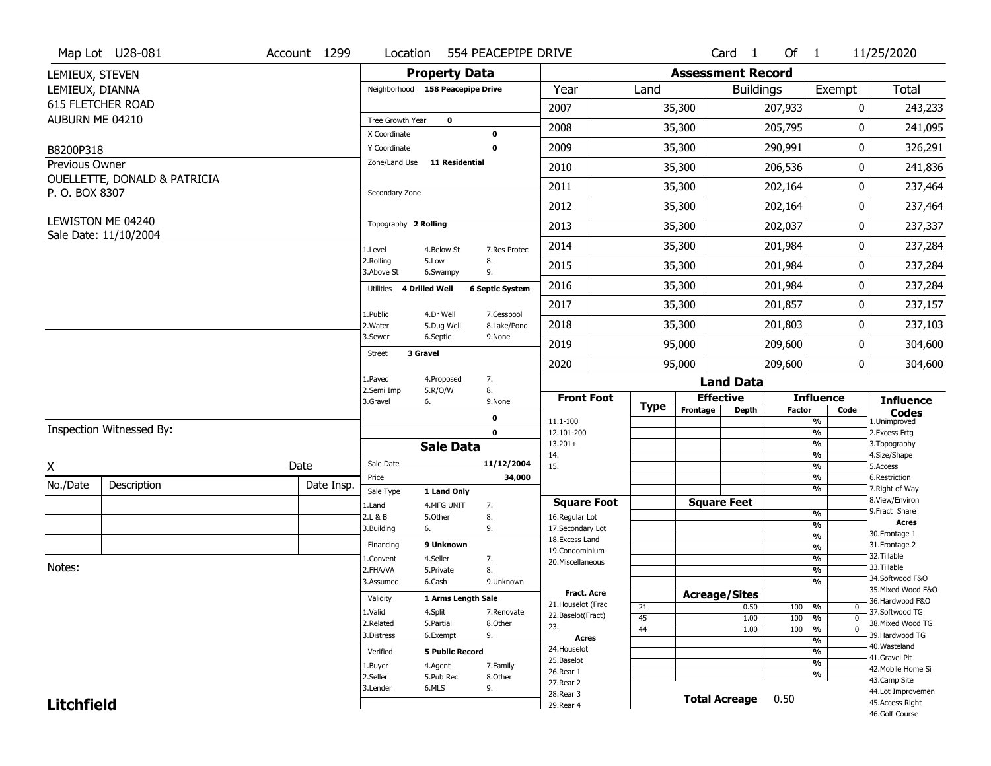|                   | Map Lot U28-081                            | Account 1299 | Location                         |                        | 554 PEACEPIPE DRIVE    |                                    |             |                          | Card <sub>1</sub> | Of $1$        |                                                | 11/25/2020                            |
|-------------------|--------------------------------------------|--------------|----------------------------------|------------------------|------------------------|------------------------------------|-------------|--------------------------|-------------------|---------------|------------------------------------------------|---------------------------------------|
| LEMIEUX, STEVEN   |                                            |              |                                  | <b>Property Data</b>   |                        |                                    |             | <b>Assessment Record</b> |                   |               |                                                |                                       |
| LEMIEUX, DIANNA   |                                            |              | Neighborhood 158 Peacepipe Drive |                        |                        | Year                               | Land        |                          | <b>Buildings</b>  |               | Exempt                                         | <b>Total</b>                          |
|                   | 615 FLETCHER ROAD                          |              |                                  |                        |                        | 2007                               |             | 35,300                   |                   | 207,933       | 0                                              | 243,233                               |
| AUBURN ME 04210   |                                            |              | Tree Growth Year                 | $\mathbf 0$            |                        |                                    |             |                          |                   |               | $\Omega$                                       |                                       |
|                   |                                            |              | X Coordinate                     |                        | $\pmb{0}$              | 2008                               |             | 35,300                   |                   | 205,795       |                                                | 241,095                               |
| B8200P318         |                                            |              | Y Coordinate                     |                        | $\mathbf 0$            | 2009                               |             | 35,300                   |                   | 290,991       | 0                                              | 326,291                               |
| Previous Owner    | OUELLETTE, DONALD & PATRICIA               |              | Zone/Land Use                    | <b>11 Residential</b>  |                        | 2010                               |             | 35,300                   |                   | 206,536       | 0                                              | 241,836                               |
| P. O. BOX 8307    |                                            |              | Secondary Zone                   |                        |                        | 2011                               |             | 35,300                   |                   | 202,164       | 0                                              | 237,464                               |
|                   |                                            |              |                                  |                        |                        | 2012                               |             | 35,300                   |                   | 202,164       | $\pmb{0}$                                      | 237,464                               |
|                   | LEWISTON ME 04240<br>Sale Date: 11/10/2004 |              | Topography 2 Rolling             |                        |                        | 2013                               |             | 35,300                   |                   | 202,037       | 0                                              | 237,337                               |
|                   |                                            |              | 1.Level                          | 4.Below St             | 7.Res Protec           | 2014                               |             | 35,300                   |                   | 201,984       | 0                                              | 237,284                               |
|                   |                                            |              | 2.Rolling<br>3.Above St          | 5.Low<br>6.Swampy      | 8.<br>9.               | 2015                               |             | 35,300                   |                   | 201,984       | 0                                              | 237,284                               |
|                   |                                            |              | 4 Drilled Well<br>Utilities      |                        | <b>6 Septic System</b> | 2016                               |             | 35,300                   |                   | 201,984       | 0                                              | 237,284                               |
|                   |                                            |              | 1.Public                         | 4.Dr Well              | 7.Cesspool             | 2017                               |             | 35,300                   |                   | 201,857       | 0                                              | 237,157                               |
|                   |                                            |              | 2. Water                         | 5.Dug Well             | 8.Lake/Pond            | 2018                               |             | 35,300                   |                   | 201,803       | 0                                              | 237,103                               |
|                   |                                            |              | 3.Sewer                          | 6.Septic               | 9.None                 | 2019                               |             | 95,000                   |                   | 209,600       | 0                                              | 304,600                               |
|                   |                                            |              | 3 Gravel<br><b>Street</b>        |                        |                        | 2020                               |             | 95,000                   |                   | 209,600       | $\mathbf 0$                                    | 304,600                               |
|                   |                                            |              | 1.Paved                          | 4.Proposed             | 7.                     |                                    |             |                          | <b>Land Data</b>  |               |                                                |                                       |
|                   |                                            |              | 2.Semi Imp<br>3.Gravel<br>6.     | 5.R/O/W                | 8.<br>9.None           | <b>Front Foot</b>                  | <b>Type</b> | <b>Effective</b>         |                   |               | <b>Influence</b>                               | <b>Influence</b>                      |
|                   |                                            |              |                                  |                        | $\mathbf 0$            | 11.1-100                           |             | Frontage                 | <b>Depth</b>      | <b>Factor</b> | Code<br>%                                      | <b>Codes</b><br>1.Unimproved          |
|                   | Inspection Witnessed By:                   |              |                                  |                        | $\mathbf 0$            | 12.101-200                         |             |                          |                   |               | %                                              | 2.Excess Frtg                         |
|                   |                                            |              |                                  | <b>Sale Data</b>       |                        | $13.201+$<br>14.                   |             |                          |                   |               | %<br>%                                         | 3. Topography<br>4.Size/Shape         |
| X                 |                                            | Date         | Sale Date                        |                        | 11/12/2004             | 15.                                |             |                          |                   |               | $\frac{9}{6}$                                  | 5.Access                              |
| No./Date          | Description                                | Date Insp.   | Price                            |                        | 34,000                 |                                    |             |                          |                   |               | %<br>%                                         | 6.Restriction<br>7. Right of Way      |
|                   |                                            |              | Sale Type                        | 1 Land Only            |                        | <b>Square Foot</b>                 |             | <b>Square Feet</b>       |                   |               |                                                | 8.View/Environ                        |
|                   |                                            |              | 1.Land<br>2.L & B                | 4.MFG UNIT<br>5.Other  | 7.<br>8.               | 16.Regular Lot                     |             |                          |                   |               | $\frac{9}{6}$                                  | 9. Fract Share                        |
|                   |                                            |              | 3.Building<br>6.                 |                        | 9.                     | 17.Secondary Lot                   |             |                          |                   |               | $\frac{9}{6}$                                  | <b>Acres</b><br>30.Frontage 1         |
|                   |                                            |              | Financing                        | 9 Unknown              |                        | 18.Excess Land                     |             |                          |                   |               | $\frac{9}{6}$<br>$\frac{9}{6}$                 | 31. Frontage 2                        |
|                   |                                            |              | 1.Convent                        | 4.Seller               | 7.                     | 19.Condominium<br>20.Miscellaneous |             |                          |                   |               | $\frac{9}{6}$                                  | 32.Tillable                           |
| Notes:            |                                            |              | 2.FHA/VA                         | 5.Private              | 8.                     |                                    |             |                          |                   |               | $\frac{9}{6}$                                  | 33.Tillable                           |
|                   |                                            |              | 3.Assumed                        | 6.Cash                 | 9.Unknown              |                                    |             |                          |                   |               | $\frac{9}{6}$                                  | 34.Softwood F&O                       |
|                   |                                            |              | Validity                         | 1 Arms Length Sale     |                        | <b>Fract. Acre</b>                 |             | <b>Acreage/Sites</b>     |                   |               |                                                | 35. Mixed Wood F&O<br>36.Hardwood F&O |
|                   |                                            |              | 1.Valid                          | 4.Split                | 7.Renovate             | 21. Houselot (Frac                 | 21          |                          | 0.50              | 100           | %<br>$\mathbf 0$                               | 37.Softwood TG                        |
|                   |                                            |              | 2.Related                        | 5.Partial              | 8.Other                | 22.Baselot(Fract)<br>23.           | 45          |                          | 1.00              | 100           | %<br>$\mathbf{0}$                              | 38. Mixed Wood TG                     |
|                   |                                            |              | 3.Distress                       | 6.Exempt               | 9.                     | <b>Acres</b>                       | 44          |                          | 1.00              | 100           | $\frac{9}{6}$<br>$\mathbf{0}$<br>$\frac{9}{6}$ | 39.Hardwood TG                        |
|                   |                                            |              |                                  |                        |                        |                                    |             |                          |                   |               |                                                | 40. Wasteland                         |
|                   |                                            |              |                                  |                        |                        | 24. Houselot                       |             |                          |                   |               |                                                |                                       |
|                   |                                            |              | Verified                         | <b>5 Public Record</b> |                        | 25.Baselot                         |             |                          |                   |               | %<br>$\frac{9}{6}$                             | 41.Gravel Pit                         |
|                   |                                            |              | 1.Buyer                          | 4.Agent                | 7.Family               | 26.Rear 1                          |             |                          |                   |               | %                                              | 42. Mobile Home Si                    |
|                   |                                            |              | 2.Seller<br>3.Lender             | 5.Pub Rec<br>6.MLS     | 8.Other<br>9.          | 27. Rear 2                         |             |                          |                   |               |                                                | 43.Camp Site                          |
| <b>Litchfield</b> |                                            |              |                                  |                        |                        | 28. Rear 3<br>29. Rear 4           |             | <b>Total Acreage</b>     |                   | 0.50          |                                                | 44.Lot Improvemen<br>45.Access Right  |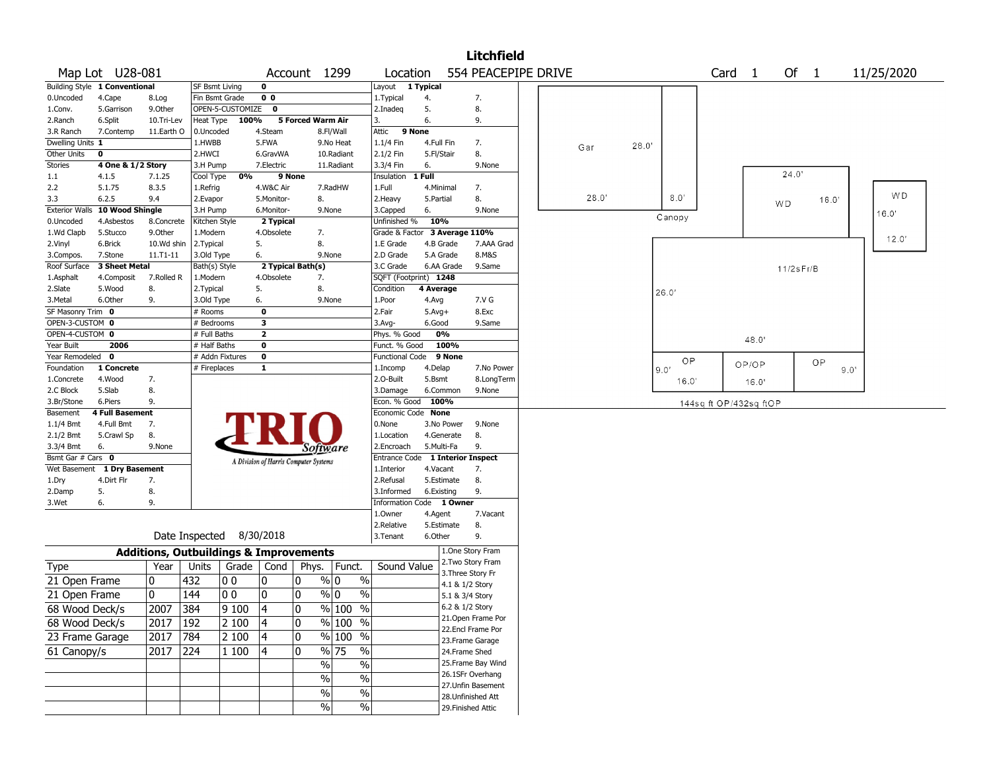|                                      |                               |              |                                                   |                  |                |                                       |                                               |                           |                        |                   | <b>Litchfield</b>   |  |       |       |            |                        |       |                |       |            |
|--------------------------------------|-------------------------------|--------------|---------------------------------------------------|------------------|----------------|---------------------------------------|-----------------------------------------------|---------------------------|------------------------|-------------------|---------------------|--|-------|-------|------------|------------------------|-------|----------------|-------|------------|
|                                      | Map Lot U28-081               |              |                                                   |                  |                | Account 1299                          |                                               | Location                  |                        |                   | 554 PEACEPIPE DRIVE |  |       |       |            | Card <sub>1</sub>      |       | Of 1           |       | 11/25/2020 |
|                                      | Building Style 1 Conventional |              | SF Bsmt Living                                    |                  | 0              |                                       |                                               | Layout                    | 1 Typical              |                   |                     |  |       |       |            |                        |       |                |       |            |
| 0.Uncoded                            | 4.Cape                        | 8.Log        | Fin Bsmt Grade                                    |                  | 0 <sub>0</sub> |                                       |                                               | 1.Typical                 | 4.                     |                   | 7.                  |  |       |       |            |                        |       |                |       |            |
| 1.Conv.                              | 5.Garrison                    | 9.0ther      |                                                   | OPEN-5-CUSTOMIZE | $\mathbf 0$    |                                       |                                               | 2.Inadeq                  | 5.                     |                   | 8.                  |  |       |       |            |                        |       |                |       |            |
| 2.Ranch                              | 6.Split                       | 10.Tri-Lev   | Heat Type                                         | 100%             |                | 5 Forced Warm Air                     |                                               | 3.                        | 6.                     |                   | 9.                  |  |       |       |            |                        |       |                |       |            |
| 3.R Ranch                            | 7.Contemp                     | 11.Earth O   | 0.Uncoded                                         |                  | 4.Steam        |                                       | 8.Fl/Wall                                     | Attic<br>9 None           |                        |                   |                     |  |       |       |            |                        |       |                |       |            |
| Dwelling Units 1                     |                               |              | 1.HWBB                                            |                  | 5.FWA          |                                       | 9.No Heat                                     | 1.1/4 Fin                 | 4.Full Fin             |                   | 7.                  |  | Gar   | 28.0' |            |                        |       |                |       |            |
| Other Units                          | 0                             |              | 2.HWCI                                            |                  | 6.GravWA       |                                       | 10.Radiant                                    | 2.1/2 Fin                 | 5.Fl/Stair             |                   | 8.                  |  |       |       |            |                        |       |                |       |            |
| <b>Stories</b>                       | 4 One & 1/2 Story             |              | 3.H Pump                                          |                  | 7.Electric     |                                       | 11.Radiant                                    | 3.3/4 Fin                 | 6.                     |                   | 9.None              |  |       |       |            |                        |       |                |       |            |
| 1.1                                  | 4.1.5                         | 7.1.25       | Cool Type                                         | 0%               | 9 None         |                                       |                                               | Insulation                | 1 Full                 |                   |                     |  |       |       |            |                        |       | 24.0'          |       |            |
| 2.2                                  | 5.1.75                        | 8.3.5        | 1.Refrig                                          |                  | 4.W&C Air      |                                       | 7.RadHW                                       | 1.Full                    | 4.Minimal              |                   | 7.                  |  |       |       |            |                        |       |                |       | WD         |
| 3.3                                  | 6.2.5                         | 9.4          | 2.Evapor                                          |                  | 5.Monitor-     | 8.                                    |                                               | 2. Heavy                  | 5.Partial              |                   | 8.                  |  | 28.0' |       | 8.0'       |                        |       | W <sub>D</sub> | 16.0' |            |
| <b>Exterior Walls</b>                | 10 Wood Shingle               |              | 3.H Pump                                          |                  | 6.Monitor-     |                                       | 9.None                                        | 3.Capped                  | 6.                     |                   | 9.None              |  |       |       | Canopy     |                        |       |                |       | 16.0"      |
| 0.Uncoded                            | 4.Asbestos                    | 8.Concrete   | Kitchen Style                                     |                  | 2 Typical      |                                       |                                               | Unfinished %              | 10%                    |                   |                     |  |       |       |            |                        |       |                |       |            |
| 1.Wd Clapb                           | 5.Stucco                      | 9.0ther      | 1.Modern                                          |                  | 4.Obsolete     | 7.                                    |                                               | Grade & Factor            |                        | 3 Average 110%    |                     |  |       |       |            |                        |       |                |       | 12.0'      |
| 2.Vinyl                              | 6.Brick                       | 10.Wd shin   | 2.Typical                                         |                  | 5.             | 8.                                    |                                               | 1.E Grade                 | 4.B Grade              |                   | 7.AAA Grad          |  |       |       |            |                        |       |                |       |            |
| 3.Compos.                            | 7.Stone                       | $11.71 - 11$ | 3.Old Type                                        |                  | 6.             |                                       | 9.None                                        | 2.D Grade                 | 5.A Grade              |                   | 8.M&S               |  |       |       |            |                        |       |                |       |            |
| Roof Surface                         | 3 Sheet Metal                 |              | Bath(s) Style                                     |                  |                | 2 Typical Bath(s)                     |                                               | 3.C Grade                 | 6.AA Grade             |                   | 9.Same              |  |       |       |            |                        |       | 11/2sFr/B      |       |            |
| 1.Asphalt                            | 4.Composit                    | 7.Rolled R   | 1.Modern                                          |                  | 4.Obsolete     | 7.                                    |                                               | SQFT (Footprint) 1248     |                        |                   |                     |  |       |       |            |                        |       |                |       |            |
| 2.Slate                              | 5.Wood                        | 8.           | 2. Typical                                        |                  | 5.             | 8.                                    |                                               | Condition                 | 4 Average              |                   |                     |  |       |       | 26.0'      |                        |       |                |       |            |
| 3.Metal                              | 6.Other                       | 9.           | 3.Old Type                                        |                  | 6.<br>0        | 9.None                                |                                               | 1.Poor                    | 4.Avg                  |                   | 7.V G<br>8.Exc      |  |       |       |            |                        |       |                |       |            |
| SF Masonry Trim 0<br>OPEN-3-CUSTOM 0 |                               |              | # Rooms<br># Bedrooms                             |                  | 3              |                                       |                                               | 2.Fair                    | $5.$ Avg $+$<br>6.Good |                   | 9.Same              |  |       |       |            |                        |       |                |       |            |
| OPEN-4-CUSTOM 0                      |                               |              | # Full Baths                                      |                  | $\overline{2}$ |                                       |                                               | $3.$ Avg-<br>Phys. % Good | 0%                     |                   |                     |  |       |       |            |                        |       |                |       |            |
| Year Built                           | 2006                          |              | # Half Baths                                      |                  | 0              |                                       |                                               | Funct. % Good             |                        | 100%              |                     |  |       |       |            |                        | 48.0' |                |       |            |
| Year Remodeled                       | $\mathbf 0$                   |              | # Addn Fixtures                                   |                  | 0              |                                       |                                               | Functional Code           |                        | 9 None            |                     |  |       |       |            |                        |       |                |       |            |
| Foundation                           | 1 Concrete                    |              | # Fireplaces                                      |                  | 1              |                                       |                                               | 1.Incomp                  | 4.Delap                |                   | 7.No Power          |  |       |       | ОP<br>9.0' |                        | OP/OP |                | OP    | 9.0'       |
| 1.Concrete                           | 4.Wood                        | 7.           |                                                   |                  |                |                                       |                                               | 2.0-Built                 | 5.Bsmt                 |                   | 8.LongTerm          |  |       |       | 16.0'      |                        |       |                |       |            |
| 2.C Block                            | 5.Slab                        | 8.           |                                                   |                  |                |                                       |                                               | 3.Damage                  | 6.Common               |                   | 9.None              |  |       |       |            |                        | 16.0' |                |       |            |
| 3.Br/Stone                           | 6.Piers                       | 9.           |                                                   |                  |                |                                       |                                               | Econ. % Good              | 100%                   |                   |                     |  |       |       |            | 144sq ft OP/432sq ftOP |       |                |       |            |
| Basement                             | <b>4 Full Basement</b>        |              |                                                   |                  |                |                                       |                                               | Economic Code None        |                        |                   |                     |  |       |       |            |                        |       |                |       |            |
| 1.1/4 Bmt                            | 4.Full Bmt                    | 7.           |                                                   |                  |                |                                       |                                               | 0.None                    | 3.No Power             |                   | 9.None              |  |       |       |            |                        |       |                |       |            |
| 2.1/2 Bmt                            | 5.Crawl Sp                    | 8.           |                                                   |                  |                |                                       |                                               | 1.Location                | 4.Generate             |                   | 8.                  |  |       |       |            |                        |       |                |       |            |
| 3.3/4 Bmt                            | 6.                            | 9.None       |                                                   |                  |                | Software                              |                                               | 2.Encroach                | 5.Multi-Fa             |                   | 9.                  |  |       |       |            |                        |       |                |       |            |
| Bsmt Gar # Cars 0                    |                               |              |                                                   |                  |                | A Division of Harris Computer Systems |                                               | Entrance Code             |                        |                   | 1 Interior Inspect  |  |       |       |            |                        |       |                |       |            |
| Wet Basement                         | 1 Dry Basement                |              |                                                   |                  |                |                                       |                                               | 1.Interior                | 4.Vacant               |                   | 7.                  |  |       |       |            |                        |       |                |       |            |
| 1.Dry                                | 4.Dirt Flr                    | 7.           |                                                   |                  |                |                                       |                                               | 2.Refusal                 | 5.Estimate             |                   | 8.                  |  |       |       |            |                        |       |                |       |            |
| 2.Damp                               | 5.                            | 8.           |                                                   |                  |                |                                       |                                               | 3.Informed                | 6.Existing             |                   | 9.                  |  |       |       |            |                        |       |                |       |            |
| 3.Wet                                | 6.                            | 9.           |                                                   |                  |                |                                       |                                               | Information Code 1 Owner  |                        |                   |                     |  |       |       |            |                        |       |                |       |            |
|                                      |                               |              |                                                   |                  |                |                                       |                                               | 1.0wner                   | 4.Agent                |                   | 7.Vacant            |  |       |       |            |                        |       |                |       |            |
|                                      |                               |              |                                                   |                  |                |                                       |                                               | 2.Relative                | 5.Estimate             |                   | 8.                  |  |       |       |            |                        |       |                |       |            |
|                                      |                               |              | Date Inspected                                    |                  | 8/30/2018      |                                       |                                               | 3.Tenant                  | 6.Other                |                   | 9.                  |  |       |       |            |                        |       |                |       |            |
|                                      |                               |              | <b>Additions, Outbuildings &amp; Improvements</b> |                  |                |                                       |                                               |                           |                        |                   | 1.One Story Fram    |  |       |       |            |                        |       |                |       |            |
| Type                                 |                               | Year         | Units                                             | Grade            | Cond           | Phys.                                 | Funct.                                        | Sound Value               |                        |                   | 2. Two Story Fram   |  |       |       |            |                        |       |                |       |            |
|                                      |                               |              |                                                   |                  |                |                                       |                                               |                           |                        | 3. Three Story Fr |                     |  |       |       |            |                        |       |                |       |            |
| 21 Open Frame                        |                               | 0            | 432                                               | 00               | 10             | 0                                     | % 0<br>$\%$                                   |                           |                        | 4.1 & 1/2 Story   |                     |  |       |       |            |                        |       |                |       |            |
| 21 Open Frame                        |                               | $\mathbf 0$  | 144                                               | 00               | 0              | 0                                     | % 0<br>$\%$                                   |                           |                        | 5.1 & 3/4 Story   |                     |  |       |       |            |                        |       |                |       |            |
| 68 Wood Deck/s                       |                               | 2007         | 384                                               | 9100             | 4              | $\mathbf{0}$                          | $\frac{9}{6}$ 100<br>$\overline{\frac{0}{0}}$ |                           |                        | 6.2 & 1/2 Story   |                     |  |       |       |            |                        |       |                |       |            |
| 68 Wood Deck/s                       |                               | 2017         | 192                                               | 2 100            | 4              | 0                                     | % 100 %                                       |                           |                        |                   | 21.Open Frame Por   |  |       |       |            |                        |       |                |       |            |
| 23 Frame Garage                      |                               | 2017         | 784                                               | 2 100            | 4              | 0                                     | $\sqrt{96}$ 100 %                             |                           |                        |                   | 22.Encl Frame Por   |  |       |       |            |                        |       |                |       |            |
|                                      |                               |              |                                                   |                  |                |                                       |                                               |                           |                        |                   | 23.Frame Garage     |  |       |       |            |                        |       |                |       |            |
| 61 Canopy/s                          |                               | 2017         | 224                                               | 1 100            | 14             | 10                                    | $\frac{9}{6}$ 75<br>$\overline{\frac{0}{6}}$  |                           |                        | 24.Frame Shed     |                     |  |       |       |            |                        |       |                |       |            |
|                                      |                               |              |                                                   |                  |                | $\sqrt{6}$                            | $\%$                                          |                           |                        |                   | 25. Frame Bay Wind  |  |       |       |            |                        |       |                |       |            |
|                                      |                               |              |                                                   |                  |                | $\sqrt{6}$                            | $\%$                                          |                           |                        |                   | 26.1SFr Overhang    |  |       |       |            |                        |       |                |       |            |
|                                      |                               |              |                                                   |                  |                | %                                     | $\%$                                          |                           |                        |                   | 27.Unfin Basement   |  |       |       |            |                        |       |                |       |            |
|                                      |                               |              |                                                   |                  |                | $\%$                                  | $\sqrt{6}$                                    |                           |                        |                   | 28. Unfinished Att  |  |       |       |            |                        |       |                |       |            |
|                                      |                               |              |                                                   |                  |                |                                       |                                               |                           |                        |                   | 29. Finished Attic  |  |       |       |            |                        |       |                |       |            |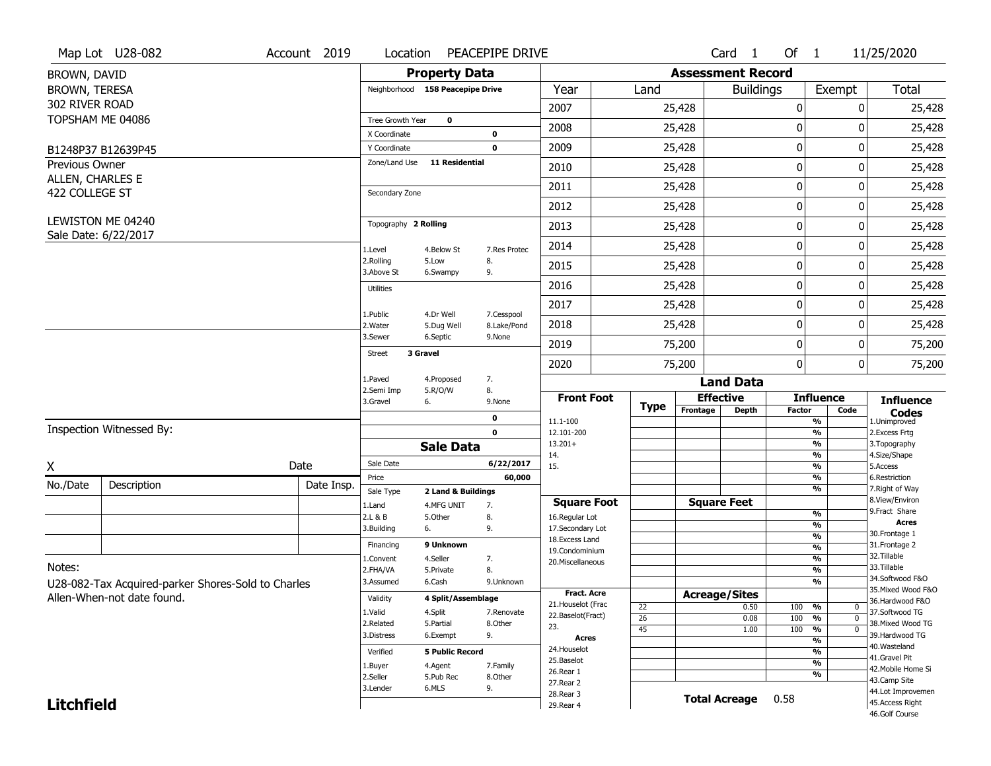|                                           | Map Lot U28-082                                    | Account 2019 | Location                      |                                  | PEACEPIPE DRIVE           |                                          |                                    |                          | Card <sub>1</sub> | Of $1$           |                                           | 11/25/2020                            |
|-------------------------------------------|----------------------------------------------------|--------------|-------------------------------|----------------------------------|---------------------------|------------------------------------------|------------------------------------|--------------------------|-------------------|------------------|-------------------------------------------|---------------------------------------|
| BROWN, DAVID                              |                                                    |              |                               | <b>Property Data</b>             |                           |                                          |                                    | <b>Assessment Record</b> |                   |                  |                                           |                                       |
| BROWN, TERESA                             |                                                    |              |                               | Neighborhood 158 Peacepipe Drive |                           | Year                                     | Land                               |                          | <b>Buildings</b>  |                  | Exempt                                    | Total                                 |
| 302 RIVER ROAD                            |                                                    |              |                               |                                  |                           | 2007                                     |                                    | 25,428                   |                   | $\boldsymbol{0}$ | 0                                         | 25,428                                |
|                                           | TOPSHAM ME 04086                                   |              | Tree Growth Year              | $\mathbf 0$                      |                           | 2008                                     |                                    | 25,428                   |                   | 0                | ŋ                                         | 25,428                                |
|                                           |                                                    |              | X Coordinate                  |                                  | 0                         |                                          |                                    |                          |                   |                  |                                           |                                       |
|                                           | B1248P37 B12639P45                                 |              | Y Coordinate<br>Zone/Land Use | <b>11 Residential</b>            | $\mathbf 0$               | 2009                                     |                                    | 25,428                   |                   | $\mathbf 0$      | 0                                         | 25,428                                |
| <b>Previous Owner</b><br>ALLEN, CHARLES E |                                                    |              |                               |                                  |                           | 2010                                     |                                    | 25,428                   |                   | $\mathbf 0$      | 0                                         | 25,428                                |
| 422 COLLEGE ST                            |                                                    |              | Secondary Zone                |                                  |                           | 2011                                     |                                    | 25,428                   |                   | $\mathbf 0$      | 0                                         | 25,428                                |
|                                           |                                                    |              |                               |                                  |                           | 2012                                     |                                    | 25,428                   |                   | $\mathbf 0$      | 0                                         | 25,428                                |
|                                           | LEWISTON ME 04240<br>Sale Date: 6/22/2017          |              | Topography 2 Rolling          |                                  |                           | 2013                                     |                                    | 25,428                   |                   | $\mathbf 0$      | 0                                         | 25,428                                |
|                                           |                                                    |              | 1.Level                       | 4.Below St                       | 7.Res Protec              | 2014                                     |                                    | 25,428                   |                   | $\mathbf 0$      | 0                                         | 25,428                                |
|                                           |                                                    |              | 2.Rolling<br>3.Above St       | 5.Low<br>6.Swampy                | 8.<br>9.                  | 2015                                     |                                    | 25,428                   |                   | 0                | 0                                         | 25,428                                |
|                                           |                                                    |              | <b>Utilities</b>              |                                  |                           | 2016                                     |                                    | 25,428                   |                   | $\mathbf 0$      | 0                                         | 25,428                                |
|                                           |                                                    |              |                               |                                  |                           | 2017                                     |                                    | 25,428                   |                   | $\mathbf 0$      | 0                                         | 25,428                                |
|                                           |                                                    |              | 1.Public<br>2. Water          | 4.Dr Well<br>5.Dug Well          | 7.Cesspool<br>8.Lake/Pond | 2018                                     |                                    | 25,428                   |                   | $\boldsymbol{0}$ | 0                                         | 25,428                                |
|                                           |                                                    |              | 3.Sewer                       | 6.Septic                         | 9.None                    | 2019                                     |                                    | 75,200                   |                   | $\boldsymbol{0}$ | 0                                         | 75,200                                |
|                                           |                                                    |              | <b>Street</b>                 | 3 Gravel                         |                           | 2020                                     |                                    | 75,200                   |                   | $\mathbf 0$      | 0                                         | 75,200                                |
|                                           |                                                    |              | 1.Paved                       | 4.Proposed                       | 7.                        |                                          |                                    |                          | <b>Land Data</b>  |                  |                                           |                                       |
|                                           |                                                    |              | 2.Semi Imp<br>3.Gravel        | 5.R/O/W<br>6.                    | 8.<br>9.None              | <b>Front Foot</b>                        |                                    | <b>Effective</b>         |                   |                  | <b>Influence</b>                          | <b>Influence</b>                      |
|                                           |                                                    |              |                               |                                  | 0                         | 11.1-100                                 | <b>Type</b>                        | Frontage                 | <b>Depth</b>      | <b>Factor</b>    | Code<br>$\overline{\frac{9}{6}}$          | <b>Codes</b><br>1.Unimproved          |
|                                           | Inspection Witnessed By:                           |              |                               |                                  | $\mathbf 0$               | 12.101-200                               |                                    |                          |                   |                  | $\frac{9}{6}$                             | 2.Excess Frtg                         |
|                                           |                                                    |              |                               | <b>Sale Data</b>                 |                           | $13.201+$<br>14.                         |                                    |                          |                   |                  | $\overline{\frac{9}{6}}$<br>$\frac{9}{6}$ | 3. Topography<br>4.Size/Shape         |
| Χ                                         |                                                    | Date         | Sale Date                     |                                  | 6/22/2017                 | 15.                                      |                                    |                          |                   |                  | $\frac{9}{6}$                             | 5.Access                              |
| No./Date                                  | Description                                        | Date Insp.   | Price                         |                                  | 60,000                    |                                          |                                    |                          |                   |                  | $\frac{9}{6}$                             | 6.Restriction                         |
|                                           |                                                    |              | Sale Type                     | 2 Land & Buildings               |                           | <b>Square Foot</b>                       |                                    | <b>Square Feet</b>       |                   |                  | $\overline{\frac{9}{6}}$                  | 7. Right of Way<br>8.View/Environ     |
|                                           |                                                    |              | 1.Land<br>2.L & B             | 4.MFG UNIT<br>5.Other            | 7.<br>8.                  | 16.Regular Lot                           |                                    |                          |                   |                  | $\frac{9}{6}$                             | 9.Fract Share                         |
|                                           |                                                    |              | 3.Building                    | 6.                               | 9.                        | 17.Secondary Lot                         |                                    |                          |                   |                  | %                                         | <b>Acres</b><br>30. Frontage 1        |
|                                           |                                                    |              | Financing                     | 9 Unknown                        |                           | 18.Excess Land                           |                                    |                          |                   |                  | %<br>%                                    | 31. Frontage 2                        |
|                                           |                                                    |              | 1.Convent                     | 4.Seller                         | 7.                        | 19.Condominium<br>20.Miscellaneous       |                                    |                          |                   |                  | %                                         | 32. Tillable                          |
| Notes:                                    |                                                    |              | 2.FHA/VA                      | 5.Private                        | 8.                        |                                          |                                    |                          |                   |                  | %                                         | 33.Tillable                           |
|                                           | U28-082-Tax Acquired-parker Shores-Sold to Charles |              | 3.Assumed                     | 6.Cash                           | 9.Unknown                 |                                          |                                    |                          |                   |                  | %                                         | 34.Softwood F&O<br>35. Mixed Wood F&O |
|                                           | Allen-When-not date found.                         |              | Validity                      | 4 Split/Assemblage               |                           | <b>Fract. Acre</b><br>21. Houselot (Frac |                                    | <b>Acreage/Sites</b>     |                   |                  |                                           | 36.Hardwood F&O                       |
|                                           |                                                    |              | 1.Valid                       | 4.Split                          | 7.Renovate                | 22.Baselot(Fract)                        | 22                                 |                          | 0.50              | 100              | %<br>$\mathbf{0}$<br>$\overline{0}$       | 37.Softwood TG                        |
|                                           |                                                    |              | 2.Related                     | 5.Partial                        | 8.Other                   | 23.                                      | $\overline{26}$<br>$\overline{45}$ |                          | 0.08<br>1.00      | 100<br>100       | %<br>$\frac{9}{6}$<br>$\overline{0}$      | 38. Mixed Wood TG                     |
|                                           |                                                    |              | 3.Distress                    | 6.Exempt                         | 9.                        | Acres                                    |                                    |                          |                   |                  | %                                         | 39.Hardwood TG                        |
|                                           |                                                    |              | Verified                      | <b>5 Public Record</b>           |                           | 24. Houselot                             |                                    |                          |                   |                  | %                                         | 40. Wasteland                         |
|                                           |                                                    |              | 1.Buyer                       | 4.Agent                          | 7.Family                  | 25.Baselot                               |                                    |                          |                   |                  | $\overline{\frac{9}{6}}$                  | 41.Gravel Pit<br>42. Mobile Home Si   |
|                                           |                                                    |              | 2.Seller                      | 5.Pub Rec                        | 8.Other                   | 26.Rear 1                                |                                    |                          |                   |                  | %                                         | 43.Camp Site                          |
|                                           |                                                    |              |                               |                                  |                           |                                          |                                    |                          |                   |                  |                                           |                                       |
|                                           |                                                    |              | 3.Lender                      | 6.MLS                            | 9.                        | 27.Rear 2                                |                                    |                          |                   |                  |                                           | 44.Lot Improvemen                     |
| <b>Litchfield</b>                         |                                                    |              |                               |                                  |                           | 28. Rear 3<br>29. Rear 4                 |                                    | <b>Total Acreage</b>     |                   | 0.58             |                                           | 45.Access Right<br>46.Golf Course     |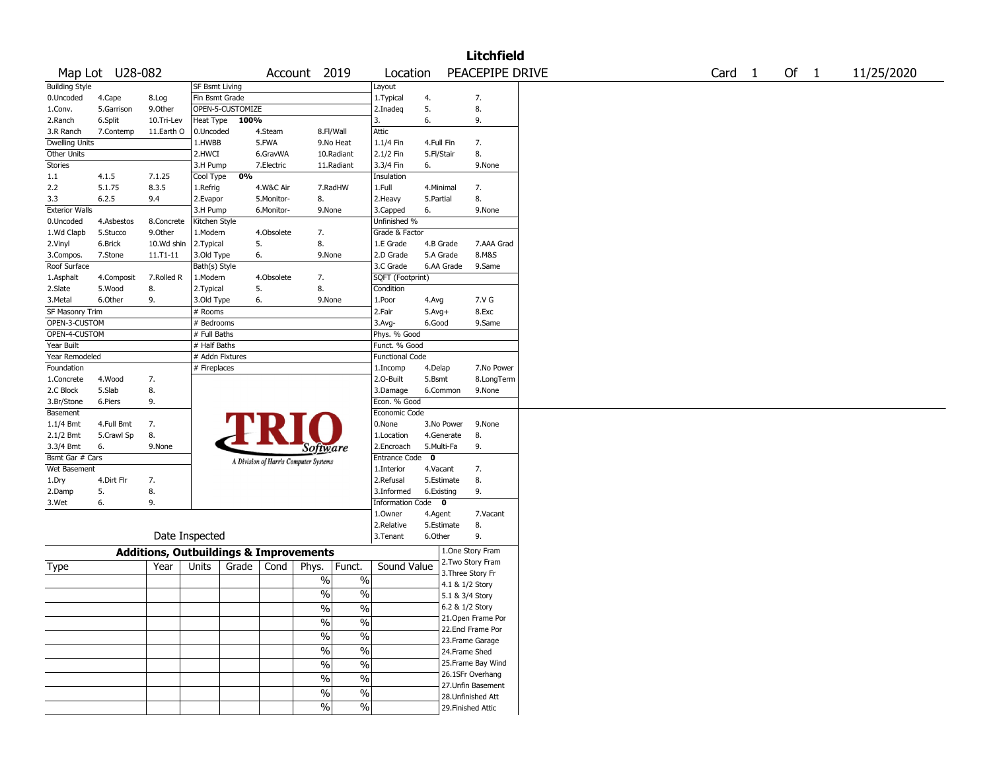|                           |                        |                                                   |                             |                  |            |                                       |               |                          |              |                 | <b>Litchfield</b>  |  |        |  |        |            |
|---------------------------|------------------------|---------------------------------------------------|-----------------------------|------------------|------------|---------------------------------------|---------------|--------------------------|--------------|-----------------|--------------------|--|--------|--|--------|------------|
|                           | Map Lot U28-082        |                                                   |                             |                  |            | Account 2019                          |               | Location                 |              |                 | PEACEPIPE DRIVE    |  | Card 1 |  | Of $1$ | 11/25/2020 |
| <b>Building Style</b>     |                        |                                                   | SF Bsmt Living              |                  |            |                                       |               | Layout                   |              |                 |                    |  |        |  |        |            |
| 0.Uncoded                 | 4.Cape                 | 8.Log                                             | Fin Bsmt Grade              |                  |            |                                       |               | 1.Typical                | 4.           |                 | 7.                 |  |        |  |        |            |
| 1.Conv.                   | 5.Garrison             | 9.0ther                                           |                             | OPEN-5-CUSTOMIZE |            |                                       |               | 2.Inadeq                 | 5.           |                 | 8.                 |  |        |  |        |            |
| 2.Ranch                   | 6.Split                | 10.Tri-Lev                                        | Heat Type                   | 100%             |            |                                       |               | 3.                       | 6.           |                 | 9.                 |  |        |  |        |            |
| 3.R Ranch                 | 7.Contemp              | 11.Earth O                                        | 0.Uncoded                   |                  | 4.Steam    |                                       | 8.Fl/Wall     | Attic                    |              |                 |                    |  |        |  |        |            |
| <b>Dwelling Units</b>     |                        |                                                   | 1.HWBB                      |                  | 5.FWA      |                                       | 9.No Heat     | 1.1/4 Fin                | 4.Full Fin   |                 | 7.                 |  |        |  |        |            |
| Other Units               |                        |                                                   | 2.HWCI                      |                  | 6.GravWA   |                                       | 10.Radiant    | 2.1/2 Fin                | 5.Fl/Stair   |                 | 8.                 |  |        |  |        |            |
| <b>Stories</b>            |                        |                                                   | 3.H Pump                    |                  | 7.Electric |                                       | 11.Radiant    | 3.3/4 Fin                | 6.           |                 | 9.None             |  |        |  |        |            |
| 1.1                       | 4.1.5                  | 7.1.25                                            | Cool Type                   | 0%               |            |                                       |               | Insulation               |              |                 |                    |  |        |  |        |            |
| 2.2                       | 5.1.75                 | 8.3.5                                             | 1.Refrig                    |                  | 4.W&C Air  |                                       | 7.RadHW       | 1.Full                   |              | 4.Minimal       | 7.                 |  |        |  |        |            |
| 3.3                       | 6.2.5                  | 9.4                                               | 2.Evapor                    |                  | 5.Monitor- | 8.                                    |               | 2.Heavy                  | 5.Partial    |                 | 8.                 |  |        |  |        |            |
| <b>Exterior Walls</b>     |                        |                                                   | 3.H Pump                    |                  | 6.Monitor- | 9.None                                |               | 3.Capped<br>Unfinished % | 6.           |                 | 9.None             |  |        |  |        |            |
| 0.Uncoded<br>1.Wd Clapb   | 4.Asbestos<br>5.Stucco | 8.Concrete<br>9.0ther                             | Kitchen Style<br>1.Modern   |                  | 4.Obsolete | 7.                                    |               | Grade & Factor           |              |                 |                    |  |        |  |        |            |
| 2.Vinyl                   | 6.Brick                | 10.Wd shin                                        | 2.Typical                   |                  | 5.         | 8.                                    |               | 1.E Grade                |              | 4.B Grade       | 7.AAA Grad         |  |        |  |        |            |
|                           |                        | $11. T1 - 11$                                     |                             |                  |            |                                       |               | 2.D Grade                |              | 5.A Grade       | 8.M&S              |  |        |  |        |            |
| 3.Compos.<br>Roof Surface | 7.Stone                |                                                   | 3.Old Type<br>Bath(s) Style |                  | 6.         | 9.None                                |               | 3.C Grade                |              | 6.AA Grade      | 9.Same             |  |        |  |        |            |
| 1.Asphalt                 | 4.Composit             | 7.Rolled R                                        | 1.Modern                    |                  | 4.Obsolete | 7.                                    |               | SQFT (Footprint)         |              |                 |                    |  |        |  |        |            |
| 2.Slate                   | 5.Wood                 | 8.                                                | 2. Typical                  | 5.               |            | 8.                                    |               | Condition                |              |                 |                    |  |        |  |        |            |
| 3.Metal                   | 6.Other                | 9.                                                | 3.Old Type                  |                  | 6.         | 9.None                                |               | 1.Poor                   | 4.Avg        |                 | 7.V G              |  |        |  |        |            |
| SF Masonry Trim           |                        |                                                   | # Rooms                     |                  |            |                                       |               | 2.Fair                   | $5.$ Avg $+$ |                 | 8.Exc              |  |        |  |        |            |
| OPEN-3-CUSTOM             |                        |                                                   | # Bedrooms                  |                  |            |                                       |               | 3.Avg-                   | 6.Good       |                 | 9.Same             |  |        |  |        |            |
| OPEN-4-CUSTOM             |                        |                                                   | # Full Baths                |                  |            |                                       |               | Phys. % Good             |              |                 |                    |  |        |  |        |            |
| Year Built                |                        |                                                   | # Half Baths                |                  |            |                                       |               | Funct. % Good            |              |                 |                    |  |        |  |        |            |
| Year Remodeled            |                        |                                                   | # Addn Fixtures             |                  |            |                                       |               | <b>Functional Code</b>   |              |                 |                    |  |        |  |        |            |
| Foundation                |                        |                                                   | # Fireplaces                |                  |            |                                       |               | 1.Incomp                 | 4.Delap      |                 | 7.No Power         |  |        |  |        |            |
| 1.Concrete                | 4.Wood                 | 7.                                                |                             |                  |            |                                       |               | 2.0-Built                | 5.Bsmt       |                 | 8.LongTerm         |  |        |  |        |            |
| 2.C Block                 | 5.Slab                 | 8.                                                |                             |                  |            |                                       |               | 3.Damage                 |              | 6.Common        | 9.None             |  |        |  |        |            |
| 3.Br/Stone                | 6.Piers                | 9.                                                |                             |                  |            |                                       |               | Econ. % Good             |              |                 |                    |  |        |  |        |            |
| Basement                  |                        |                                                   |                             |                  |            |                                       |               | Economic Code            |              |                 |                    |  |        |  |        |            |
| 1.1/4 Bmt                 | 4.Full Bmt             | 7.                                                |                             |                  |            |                                       |               | 0.None                   |              | 3.No Power      | 9.None             |  |        |  |        |            |
| 2.1/2 Bmt                 | 5.Crawl Sp             | 8.                                                |                             |                  |            |                                       |               | 1.Location               |              | 4.Generate      | 8.                 |  |        |  |        |            |
| 3.3/4 Bmt                 | 6.                     | 9.None                                            |                             |                  |            | <i>Software</i>                       |               | 2.Encroach               |              | 5.Multi-Fa      | 9.                 |  |        |  |        |            |
| Bsmt Gar # Cars           |                        |                                                   |                             |                  |            | A Division of Harris Computer Systems |               | Entrance Code            | $\mathbf 0$  |                 |                    |  |        |  |        |            |
| Wet Basement              |                        |                                                   |                             |                  |            |                                       |               | 1.Interior               | 4.Vacant     |                 | 7.                 |  |        |  |        |            |
| 1.Dry                     | 4.Dirt Flr             | 7.                                                |                             |                  |            |                                       |               | 2.Refusal                |              | 5.Estimate      | 8.                 |  |        |  |        |            |
| 2.Damp                    | 5.                     | 8.                                                |                             |                  |            |                                       |               | 3.Informed               | 6.Existing   |                 | 9.                 |  |        |  |        |            |
| 3.Wet                     | 6.                     | 9.                                                |                             |                  |            |                                       |               | Information Code 0       |              |                 |                    |  |        |  |        |            |
|                           |                        |                                                   |                             |                  |            |                                       |               | 1.0wner                  | 4.Agent      |                 | 7.Vacant           |  |        |  |        |            |
|                           |                        |                                                   |                             |                  |            |                                       |               | 2.Relative               |              | 5.Estimate      | 8.                 |  |        |  |        |            |
|                           |                        | Date Inspected                                    |                             |                  |            |                                       |               | 3.Tenant                 | 6.Other      |                 | 9.                 |  |        |  |        |            |
|                           |                        | <b>Additions, Outbuildings &amp; Improvements</b> |                             |                  |            |                                       |               |                          |              |                 | 1.One Story Fram   |  |        |  |        |            |
| Type                      |                        | Year                                              | Units                       | Grade $ $        | Cond       | Phys.                                 | Funct.        | Sound Value              |              |                 | 2. Two Story Fram  |  |        |  |        |            |
|                           |                        |                                                   |                             |                  |            | $\%$                                  | $\frac{0}{0}$ |                          |              |                 | 3. Three Story Fr  |  |        |  |        |            |
|                           |                        |                                                   |                             |                  |            | $\%$                                  | $\frac{0}{0}$ |                          |              | 4.1 & 1/2 Story |                    |  |        |  |        |            |
|                           |                        |                                                   |                             |                  |            |                                       |               |                          |              | 5.1 & 3/4 Story |                    |  |        |  |        |            |
|                           |                        |                                                   |                             |                  |            | $\sqrt{6}$                            | $\frac{0}{6}$ |                          |              | 6.2 & 1/2 Story |                    |  |        |  |        |            |
|                           |                        |                                                   |                             |                  |            | %                                     | %             |                          |              |                 | 21. Open Frame Por |  |        |  |        |            |
|                           |                        |                                                   |                             |                  |            | $\sqrt{6}$                            | $\%$          |                          |              |                 | 22.Encl Frame Por  |  |        |  |        |            |
|                           |                        |                                                   |                             |                  |            | $\%$                                  | $\frac{0}{0}$ |                          |              |                 | 23. Frame Garage   |  |        |  |        |            |
|                           |                        |                                                   |                             |                  |            |                                       |               |                          |              | 24.Frame Shed   |                    |  |        |  |        |            |
|                           |                        |                                                   |                             |                  |            | $\%$                                  | $\%$          |                          |              |                 | 25. Frame Bay Wind |  |        |  |        |            |
|                           |                        |                                                   |                             |                  |            | $\%$                                  | $\sqrt{6}$    |                          |              |                 | 26.1SFr Overhang   |  |        |  |        |            |
|                           |                        |                                                   |                             |                  |            | $\%$                                  | $\sqrt{6}$    |                          |              |                 | 27. Unfin Basement |  |        |  |        |            |
|                           |                        |                                                   |                             |                  |            | $\frac{1}{2}$                         | $\sqrt{6}$    |                          |              |                 | 28. Unfinished Att |  |        |  |        |            |
|                           |                        |                                                   |                             |                  |            |                                       |               |                          |              |                 | 29. Finished Attic |  |        |  |        |            |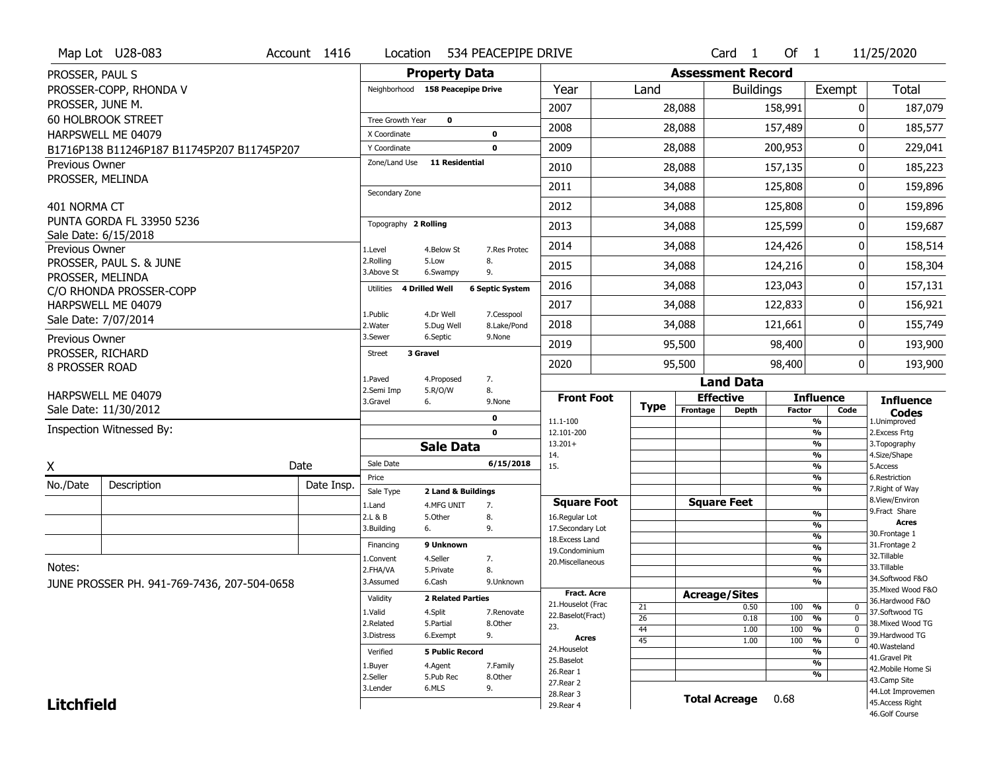|                                    | Map Lot U28-083                             | Account 1416 | Location                           |                          | 534 PEACEPIPE DRIVE    |                                         |                       |                          | Card <sub>1</sub>    | Of $1$        |                                            | 11/25/2020                            |
|------------------------------------|---------------------------------------------|--------------|------------------------------------|--------------------------|------------------------|-----------------------------------------|-----------------------|--------------------------|----------------------|---------------|--------------------------------------------|---------------------------------------|
| PROSSER, PAUL S                    |                                             |              |                                    | <b>Property Data</b>     |                        |                                         |                       | <b>Assessment Record</b> |                      |               |                                            |                                       |
|                                    | PROSSER-COPP, RHONDA V                      |              | Neighborhood 158 Peacepipe Drive   |                          |                        | Year                                    | Land                  |                          | <b>Buildings</b>     |               | Exempt                                     | Total                                 |
| PROSSER, JUNE M.                   |                                             |              |                                    |                          |                        | 2007                                    |                       | 28,088                   |                      | 158,991       | 0                                          | 187,079                               |
|                                    | <b>60 HOLBROOK STREET</b>                   |              | <b>Tree Growth Year</b>            | $\mathbf 0$              |                        | 2008                                    |                       | 28,088                   |                      | 157,489       | 0                                          | 185,577                               |
|                                    | HARPSWELL ME 04079                          |              | X Coordinate                       |                          | 0                      |                                         |                       |                          |                      |               |                                            |                                       |
|                                    | B1716P138 B11246P187 B11745P207 B11745P207  |              | Y Coordinate<br>Zone/Land Use      | <b>11 Residential</b>    | $\mathbf 0$            | 2009                                    |                       | 28,088                   |                      | 200,953       | 0                                          | 229,041                               |
| Previous Owner<br>PROSSER, MELINDA |                                             |              |                                    |                          |                        | 2010                                    |                       | 28,088                   |                      | 157,135       | 0                                          | 185,223                               |
|                                    |                                             |              | Secondary Zone                     |                          |                        | 2011                                    |                       | 34,088                   |                      | 125,808       | 0                                          | 159,896                               |
| 401 NORMA CT                       |                                             |              |                                    |                          |                        | 2012                                    |                       | 34,088                   |                      | 125,808       | 0                                          | 159,896                               |
|                                    | PUNTA GORDA FL 33950 5236                   |              | Topography 2 Rolling               |                          |                        | 2013                                    |                       | 34,088                   |                      | 125,599       | 0                                          | 159,687                               |
|                                    | Sale Date: 6/15/2018                        |              |                                    |                          |                        | 2014                                    |                       | 34,088                   |                      | 124,426       | 0                                          | 158,514                               |
| Previous Owner                     | PROSSER, PAUL S. & JUNE                     |              | 1.Level<br>2.Rolling               | 4.Below St<br>5.Low      | 7.Res Protec<br>8.     |                                         |                       |                          |                      |               |                                            |                                       |
| PROSSER, MELINDA                   |                                             |              | 3.Above St                         | 6.Swampy                 | 9.                     | 2015                                    |                       | 34,088                   |                      | 124,216       | 0                                          | 158,304                               |
|                                    | C/O RHONDA PROSSER-COPP                     |              | <b>4 Drilled Well</b><br>Utilities |                          | <b>6 Septic System</b> | 2016                                    |                       | 34,088                   |                      | 123,043       | 0                                          | 157,131                               |
|                                    | HARPSWELL ME 04079                          |              | 1.Public                           | 4.Dr Well                | 7.Cesspool             | 2017                                    |                       | 34,088                   |                      | 122,833       | 0                                          | 156,921                               |
|                                    | Sale Date: 7/07/2014                        |              | 2. Water                           | 5.Dug Well               | 8.Lake/Pond            | 2018                                    |                       | 34,088                   |                      | 121,661       | 0                                          | 155,749                               |
| Previous Owner                     |                                             |              | 3.Sewer                            | 6.Septic                 | 9.None                 | 2019                                    |                       | 95,500                   |                      | 98,400        | 0                                          | 193,900                               |
| PROSSER, RICHARD                   |                                             |              | 3 Gravel<br><b>Street</b>          |                          |                        | 2020                                    |                       | 95,500                   |                      | 98,400        | 0                                          | 193,900                               |
| 8 PROSSER ROAD                     |                                             |              | 1.Paved                            | 4.Proposed               | 7.                     |                                         |                       |                          | <b>Land Data</b>     |               |                                            |                                       |
|                                    | HARPSWELL ME 04079                          |              | 2.Semi Imp                         | 5.R/O/W                  | 8.                     | <b>Front Foot</b>                       |                       | <b>Effective</b>         |                      |               | <b>Influence</b>                           |                                       |
|                                    | Sale Date: 11/30/2012                       |              | 3.Gravel                           | 6.                       | 9.None                 |                                         | <b>Type</b>           | Frontage                 | Depth                | <b>Factor</b> | Code                                       | <b>Influence</b><br><b>Codes</b>      |
|                                    | Inspection Witnessed By:                    |              |                                    |                          | 0<br>$\mathbf 0$       | 11.1-100<br>12.101-200                  |                       |                          |                      |               | %<br>$\overline{\frac{9}{6}}$              | 1.Unimproved<br>2.Excess Frtg         |
|                                    |                                             |              |                                    | <b>Sale Data</b>         |                        | $13.201+$                               |                       |                          |                      |               | $\overline{\frac{9}{6}}$                   | 3. Topography                         |
|                                    |                                             | Date         | Sale Date                          |                          | 6/15/2018              | 14.<br>15.                              |                       |                          |                      |               | $\frac{9}{6}$<br>$\overline{\frac{9}{6}}$  | 4.Size/Shape<br>5.Access              |
| X                                  |                                             |              | Price                              |                          |                        |                                         |                       |                          |                      |               | %                                          | 6.Restriction                         |
| No./Date                           | Description                                 | Date Insp.   | Sale Type                          | 2 Land & Buildings       |                        |                                         |                       |                          |                      |               | $\overline{\frac{9}{6}}$                   | 7. Right of Way<br>8.View/Environ     |
|                                    |                                             |              | 1.Land                             | 4.MFG UNIT               | 7.                     | <b>Square Foot</b>                      |                       | <b>Square Feet</b>       |                      |               | %                                          | 9. Fract Share                        |
|                                    |                                             |              | 2.L & B<br>3.Building              | 5.Other<br>6.            | 8.<br>9.               | 16.Regular Lot<br>17.Secondary Lot      |                       |                          |                      |               | %                                          | <b>Acres</b>                          |
|                                    |                                             |              | Financing                          | 9 Unknown                |                        | 18.Excess Land                          |                       |                          |                      |               | $\frac{9}{6}$<br>$\frac{9}{6}$             | 30. Frontage 1<br>31. Frontage 2      |
|                                    |                                             |              | L.Convent                          | 4.Seller                 | 7.                     | 19.Condominium<br>20.Miscellaneous      |                       |                          |                      |               | $\frac{9}{6}$                              | 32.Tillable                           |
| Notes:                             |                                             |              | 2.FHA/VA                           | 5.Private                | 8.                     |                                         |                       |                          |                      |               | %                                          | 33.Tillable                           |
|                                    | JUNE PROSSER PH. 941-769-7436, 207-504-0658 |              | 3.Assumed                          | 6.Cash                   | 9.Unknown              |                                         |                       |                          |                      |               | %                                          | 34.Softwood F&O                       |
|                                    |                                             |              | Validity                           | <b>2 Related Parties</b> |                        | <b>Fract. Acre</b>                      |                       | <b>Acreage/Sites</b>     |                      |               |                                            | 35. Mixed Wood F&O<br>36.Hardwood F&O |
|                                    |                                             |              | 1.Valid                            | 4.Split                  | 7.Renovate             | 21. Houselot (Frac<br>22.Baselot(Fract) | 21                    |                          | 0.50                 | 100           | %<br>$\mathbf{0}$                          | 37.Softwood TG                        |
|                                    |                                             |              | 2.Related                          | 5.Partial                | 8.Other                | 23.                                     | $\overline{26}$<br>44 |                          | 0.18<br>1.00         | 100<br>100    | $\overline{0}$<br>%<br>$\overline{0}$<br>% | 38. Mixed Wood TG                     |
|                                    |                                             |              | 3.Distress                         | 6.Exempt                 | 9.                     | Acres                                   | $\overline{45}$       |                          | 1.00                 | 100           | $\overline{\frac{9}{6}}$<br>$\overline{0}$ | 39.Hardwood TG                        |
|                                    |                                             |              | Verified                           | <b>5 Public Record</b>   |                        | 24. Houselot                            |                       |                          |                      |               | %                                          | 40. Wasteland                         |
|                                    |                                             |              | 1.Buyer                            | 4.Agent                  | 7.Family               | 25.Baselot                              |                       |                          |                      |               | %                                          | 41.Gravel Pit                         |
|                                    |                                             |              | 2.Seller                           | 5.Pub Rec                | 8.Other                | 26.Rear 1                               |                       |                          |                      |               | %                                          | 42. Mobile Home Si<br>43.Camp Site    |
|                                    |                                             |              | 3.Lender                           | 6.MLS                    | 9.                     | 27. Rear 2                              |                       |                          |                      |               |                                            |                                       |
|                                    |                                             |              |                                    |                          |                        |                                         |                       |                          |                      |               |                                            |                                       |
| <b>Litchfield</b>                  |                                             |              |                                    |                          |                        | 28. Rear 3<br>29. Rear 4                |                       |                          | <b>Total Acreage</b> | 0.68          |                                            | 44.Lot Improvemen<br>45.Access Right  |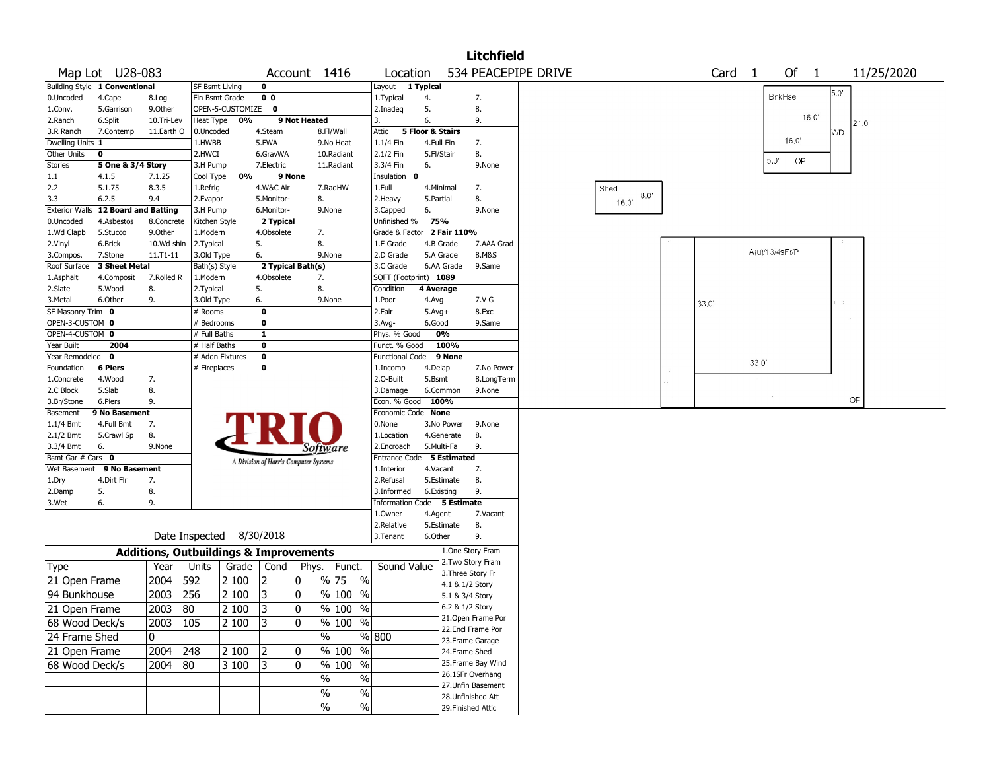|                       |                               |              |                       |                                                   |                |                                       |                     |                           |                  |                   | <b>Litchfield</b>                      |                     |              |        |       |                |              |      |            |
|-----------------------|-------------------------------|--------------|-----------------------|---------------------------------------------------|----------------|---------------------------------------|---------------------|---------------------------|------------------|-------------------|----------------------------------------|---------------------|--------------|--------|-------|----------------|--------------|------|------------|
|                       | Map Lot U28-083               |              |                       |                                                   |                | Account 1416                          |                     | Location                  |                  |                   |                                        | 534 PEACEPIPE DRIVE |              | Card 1 |       | Of             | $\mathbf{1}$ |      | 11/25/2020 |
|                       | Building Style 1 Conventional |              | <b>SF Bsmt Living</b> |                                                   | 0              |                                       |                     | Layout                    | 1 Typical        |                   |                                        |                     |              |        |       |                |              | 5.0' |            |
| 0.Uncoded             | 4.Cape                        | 8.Log        | Fin Bsmt Grade        |                                                   | 0 <sub>0</sub> |                                       |                     | 1. Typical                | 4.               |                   | 7.                                     |                     |              |        |       | BnkHse         |              |      |            |
| 1.Conv.               | 5.Garrison                    | 9.Other      |                       | OPEN-5-CUSTOMIZE                                  | $\bf{0}$       |                                       |                     | 2.Inadeg                  | 5.               |                   | 8.                                     |                     |              |        |       |                | 16.0'        |      |            |
| 2.Ranch               | 6.Split                       | 10.Tri-Lev   | Heat Type             | 0%                                                |                | 9 Not Heated                          |                     | 3.                        | 6.               |                   | 9.                                     |                     |              |        |       |                |              |      | 21.0'      |
| 3.R Ranch             | 7.Contemp                     | 11.Earth O   | 0.Uncoded             |                                                   | 4.Steam        |                                       | 8.Fl/Wall           | Attic                     | 5 Floor & Stairs |                   |                                        |                     |              |        |       |                |              | WD   |            |
| Dwelling Units 1      |                               |              | 1.HWBB                |                                                   | 5.FWA          |                                       | 9.No Heat           | 1.1/4 Fin                 | 4.Full Fin       |                   | 7.                                     |                     |              |        |       | 16.0'          |              |      |            |
| Other Units           | 0                             |              | 2.HWCI                |                                                   | 6.GravWA       |                                       | 10.Radiant          | 2.1/2 Fin                 | 5.Fl/Stair       |                   | 8.                                     |                     |              |        |       | 5.0'<br>OP     |              |      |            |
| Stories               | 5 One & 3/4 Story             |              | 3.H Pump              |                                                   | 7.Electric     |                                       | 11.Radiant          | 3.3/4 Fin                 | 6.               |                   | 9.None                                 |                     |              |        |       |                |              |      |            |
| $1.1\,$               | 4.1.5                         | 7.1.25       | Cool Type             | 0%                                                | 9 None         |                                       |                     | Insulation 0              |                  |                   |                                        |                     |              |        |       |                |              |      |            |
| 2.2                   | 5.1.75                        | 8.3.5        | 1.Refrig              |                                                   | 4.W&C Air      |                                       | 7.RadHW             | 1.Full                    | 4.Minimal        |                   | 7.                                     |                     | Shed<br>8.0' |        |       |                |              |      |            |
| 3.3                   | 6.2.5                         | 9.4          | 2.Evapor              |                                                   | 5.Monitor-     | 8.                                    |                     | 2.Heavy                   | 5.Partial        |                   | 8.                                     |                     | 16.0'        |        |       |                |              |      |            |
| <b>Exterior Walls</b> | <b>12 Board and Batting</b>   |              | 3.H Pump              |                                                   | 6.Monitor-     | 9.None                                |                     | 3.Capped                  | 6.               |                   | 9.None                                 |                     |              |        |       |                |              |      |            |
| 0.Uncoded             | 4.Asbestos                    | 8.Concrete   | Kitchen Style         |                                                   | 2 Typical      |                                       |                     | Unfinished %              | 75%              |                   |                                        |                     |              |        |       |                |              |      |            |
| 1.Wd Clapb            | 5.Stucco                      | 9.0ther      | 1.Modern              |                                                   | 4.Obsolete     | 7.                                    |                     | Grade & Factor            |                  | 2 Fair 110%       |                                        |                     |              |        |       |                |              |      |            |
| 2.Vinyl               | 6.Brick                       | 10.Wd shin   | 2. Typical            |                                                   | 5.             | 8.                                    |                     | 1.E Grade                 |                  | 4.B Grade         | 7.AAA Grad                             |                     |              |        |       | A(u)/13/4sFr/P |              |      |            |
| 3.Compos.             | 7.Stone                       | 11.T1-11     | 3.Old Type            |                                                   | 6.             | 9.None                                |                     | 2.D Grade                 |                  | 5.A Grade         | 8.M&S                                  |                     |              |        |       |                |              |      |            |
| Roof Surface          | 3 Sheet Metal                 |              | Bath(s) Style         |                                                   |                | 2 Typical Bath(s)                     |                     | 3.C Grade                 |                  | 6.AA Grade        | 9.Same                                 |                     |              |        |       |                |              |      |            |
| 1.Asphalt             | 4.Composit                    | 7.Rolled R   | 1.Modern              |                                                   | 4.Obsolete     | 7.                                    |                     | SQFT (Footprint) 1089     |                  |                   |                                        |                     |              |        |       |                |              |      |            |
| 2.Slate               | 5.Wood                        | 8.           | 2.Typical             |                                                   | 5.             | 8.                                    |                     | Condition                 | 4 Average        |                   |                                        |                     |              |        |       |                |              |      |            |
| 3.Metal               | 6.Other                       | 9.           | 3.Old Type            |                                                   | 6.             | 9.None                                |                     | 1.Poor                    | 4.Avg            |                   | 7.V G                                  |                     |              | 33.0'  |       |                |              |      |            |
| SF Masonry Trim 0     |                               |              | # Rooms               |                                                   | $\mathbf 0$    |                                       |                     | 2.Fair                    | $5.Avg+$         |                   | 8.Exc                                  |                     |              |        |       |                |              |      |            |
| OPEN-3-CUSTOM 0       |                               |              | # Bedrooms            |                                                   | $\mathbf 0$    |                                       |                     | 3.Avg-                    | 6.Good           |                   | 9.Same                                 |                     |              |        |       |                |              |      |            |
| OPEN-4-CUSTOM 0       |                               |              | # Full Baths          |                                                   | $\mathbf{1}$   |                                       |                     | Phys. % Good              |                  | 0%                |                                        |                     |              |        |       |                |              |      |            |
| Year Built            | 2004                          |              | # Half Baths          |                                                   | 0              |                                       |                     | Funct. % Good             |                  | 100%              |                                        |                     |              |        |       |                |              |      |            |
| Year Remodeled 0      |                               |              |                       | # Addn Fixtures                                   | $\bf{0}$       |                                       |                     | <b>Functional Code</b>    |                  | 9 None            |                                        |                     |              |        | 33.0' |                |              |      |            |
| Foundation            | 6 Piers                       |              | # Fireplaces          |                                                   | 0              |                                       |                     | 1.Incomp                  | 4.Delap          |                   | 7.No Power                             |                     |              |        |       |                |              |      |            |
| 1.Concrete            | 4.Wood                        | 7.           |                       |                                                   |                |                                       |                     | 2.O-Built                 | 5.Bsmt           |                   | 8.LongTerm                             |                     |              |        |       |                |              |      |            |
| 2.C Block             | 5.Slab                        | 8.           |                       |                                                   |                |                                       |                     | 3.Damage                  |                  | 6.Common          | 9.None                                 |                     |              |        |       |                |              |      |            |
| 3.Br/Stone            | 6.Piers                       | 9.           |                       |                                                   |                |                                       |                     | Econ. % Good              | 100%             |                   |                                        |                     |              |        |       |                |              | OP   |            |
| Basement              | 9 No Basement                 |              |                       |                                                   |                |                                       |                     | Economic Code None        |                  |                   |                                        |                     |              |        |       |                |              |      |            |
| 1.1/4 Bmt             | 4.Full Bmt                    | 7.           |                       |                                                   |                |                                       |                     | 0.None                    |                  | 3.No Power        | 9.None                                 |                     |              |        |       |                |              |      |            |
| 2.1/2 Bmt             | 5.Crawl Sp                    | 8.           |                       |                                                   |                |                                       |                     | 1.Location                |                  | 4.Generate        | 8.                                     |                     |              |        |       |                |              |      |            |
| 3.3/4 Bmt             | 6.                            | 9.None       |                       |                                                   |                | Software                              |                     | 2.Encroach                | 5.Multi-Fa       |                   | 9.                                     |                     |              |        |       |                |              |      |            |
| Bsmt Gar # Cars 0     |                               |              |                       |                                                   |                | A Division of Harris Computer Systems |                     | Entrance Code 5 Estimated |                  |                   |                                        |                     |              |        |       |                |              |      |            |
|                       | Wet Basement 9 No Basement    |              |                       |                                                   |                |                                       |                     | 1.Interior                | 4.Vacant         |                   | 7.                                     |                     |              |        |       |                |              |      |            |
| 1.Dry                 | 4.Dirt Flr                    | 7.           |                       |                                                   |                |                                       |                     | 2.Refusal                 |                  | 5.Estimate        | 8.                                     |                     |              |        |       |                |              |      |            |
| 2.Damp                | 5.                            | 8.           |                       |                                                   |                |                                       |                     | 3.Informed                | 6.Existing       |                   | 9.                                     |                     |              |        |       |                |              |      |            |
| 3.Wet                 | 6.                            | 9.           |                       |                                                   |                |                                       |                     | Information Code          |                  | <b>5 Estimate</b> |                                        |                     |              |        |       |                |              |      |            |
|                       |                               |              |                       |                                                   |                |                                       |                     | 1.Owner                   | 4.Agent          |                   | 7.Vacant                               |                     |              |        |       |                |              |      |            |
|                       |                               |              |                       | Date Inspected 8/30/2018                          |                |                                       |                     | 2.Relative                |                  | 5.Estimate        | 8.<br>9.                               |                     |              |        |       |                |              |      |            |
|                       |                               |              |                       |                                                   |                |                                       |                     | 3.Tenant                  | 6.Other          |                   |                                        |                     |              |        |       |                |              |      |            |
|                       |                               |              |                       | <b>Additions, Outbuildings &amp; Improvements</b> |                |                                       |                     |                           |                  |                   | 1.One Story Fram                       |                     |              |        |       |                |              |      |            |
| Type                  |                               | Year         | Units                 | Grade                                             | Cond           | Phys.                                 | Funct.              | Sound Value               |                  |                   | 2. Two Story Fram<br>3. Three Story Fr |                     |              |        |       |                |              |      |            |
| 21 Open Frame         |                               | 2004         | 592                   | 2 100                                             | 12             | 0                                     | % 75<br>%           |                           |                  | 4.1 & 1/2 Story   |                                        |                     |              |        |       |                |              |      |            |
| 94 Bunkhouse          |                               | 2003         | 256                   | 2 100                                             | 13             | 0                                     | % 100 %             |                           |                  |                   |                                        |                     |              |        |       |                |              |      |            |
|                       |                               |              |                       |                                                   |                |                                       |                     |                           |                  | 5.1 & 3/4 Story   | 6.2 & 1/2 Story                        |                     |              |        |       |                |              |      |            |
| 21 Open Frame         |                               | 2003 80      |                       | 2 100                                             | 3              | $\pmb{0}$                             | $\frac{9}{6}$ 100 % |                           |                  |                   |                                        |                     |              |        |       |                |              |      |            |
| 68 Wood Deck/s        |                               | $2003$   105 |                       | 2 100                                             | 13             | 0                                     | % 100 %             |                           |                  |                   | 21.Open Frame Por                      |                     |              |        |       |                |              |      |            |
| 24 Frame Shed         |                               | 0            |                       |                                                   |                | $\%$                                  |                     | % 800                     |                  |                   | 22.Encl Frame Por<br>23. Frame Garage  |                     |              |        |       |                |              |      |            |
| 21 Open Frame         |                               | 2004 248     |                       | 2 100                                             | $ 2\rangle$    | 0                                     | % 100 %             |                           |                  |                   | 24.Frame Shed                          |                     |              |        |       |                |              |      |            |
|                       |                               |              |                       |                                                   |                |                                       |                     |                           |                  |                   | 25. Frame Bay Wind                     |                     |              |        |       |                |              |      |            |
| 68 Wood Deck/s        |                               | $2004$ 80    |                       | $ 3100\rangle$                                    | 13             | 0                                     | % 100 %             |                           |                  |                   |                                        |                     |              |        |       |                |              |      |            |
|                       |                               |              |                       |                                                   |                | %                                     | $\%$                |                           |                  |                   | 26.1SFr Overhang<br>27.Unfin Basement  |                     |              |        |       |                |              |      |            |
|                       |                               |              |                       |                                                   |                | %                                     | $\%$                |                           |                  |                   | 28. Unfinished Att                     |                     |              |        |       |                |              |      |            |
|                       |                               |              |                       |                                                   |                | $\%$                                  | $\%$                |                           |                  |                   | 29. Finished Attic                     |                     |              |        |       |                |              |      |            |
|                       |                               |              |                       |                                                   |                |                                       |                     |                           |                  |                   |                                        |                     |              |        |       |                |              |      |            |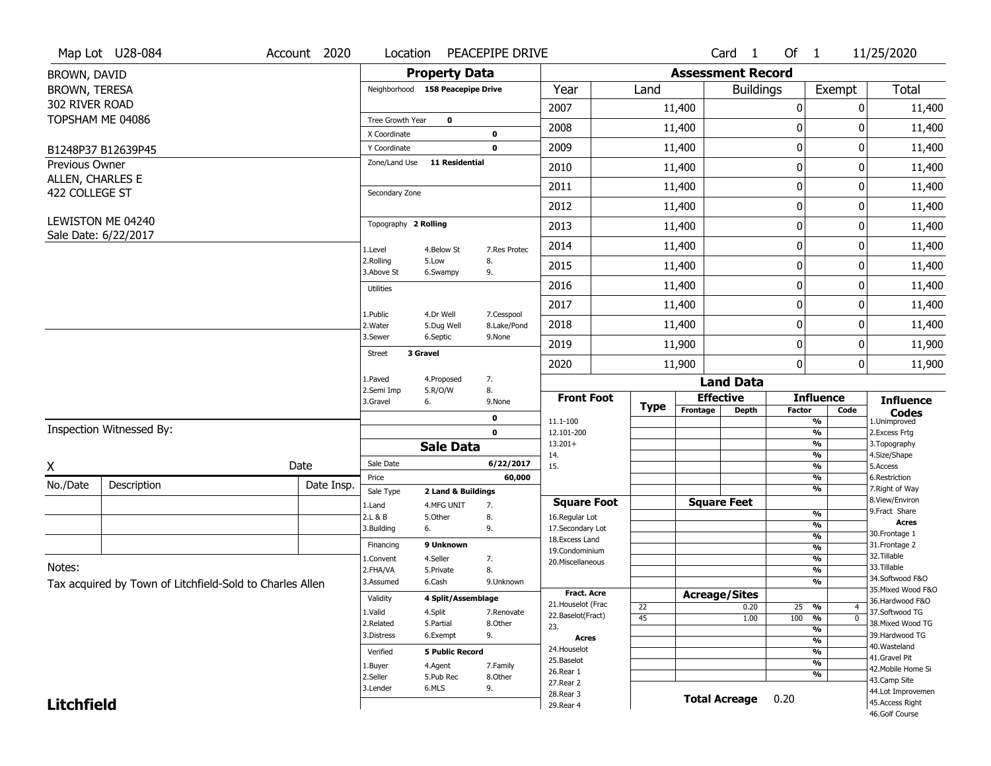|                                           | Map Lot U28-084                                          | Account 2020 | Location                         |                                  | PEACEPIPE DRIVE           |                                     |                 |             |                          | Card <sub>1</sub> | Of 1          |                                           | 11/25/2020                           |
|-------------------------------------------|----------------------------------------------------------|--------------|----------------------------------|----------------------------------|---------------------------|-------------------------------------|-----------------|-------------|--------------------------|-------------------|---------------|-------------------------------------------|--------------------------------------|
| BROWN, DAVID                              |                                                          |              |                                  | <b>Property Data</b>             |                           |                                     |                 |             | <b>Assessment Record</b> |                   |               |                                           |                                      |
| BROWN, TERESA                             |                                                          |              | Neighborhood 158 Peacepipe Drive |                                  |                           | Year                                |                 | Land        |                          | <b>Buildings</b>  |               | Exempt                                    | Total                                |
| 302 RIVER ROAD                            |                                                          |              |                                  |                                  |                           | 2007                                |                 |             | 11,400                   |                   | 0             | 0                                         | 11,400                               |
|                                           | TOPSHAM ME 04086                                         |              | Tree Growth Year                 | $\mathbf 0$                      |                           | 2008                                |                 |             | 11,400                   |                   | 0             | 0                                         | 11,400                               |
|                                           |                                                          |              | X Coordinate                     |                                  | 0                         |                                     |                 |             |                          |                   |               |                                           |                                      |
|                                           | B1248P37 B12639P45                                       |              | Y Coordinate<br>Zone/Land Use    | <b>11 Residential</b>            | $\mathbf 0$               | 2009                                |                 |             | 11,400                   |                   | $\mathbf 0$   | 0                                         | 11,400                               |
| <b>Previous Owner</b><br>ALLEN, CHARLES E |                                                          |              |                                  |                                  |                           | 2010                                |                 |             | 11,400                   |                   | $\mathbf 0$   | 0                                         | 11,400                               |
| 422 COLLEGE ST                            |                                                          |              | Secondary Zone                   |                                  |                           | 2011                                |                 |             | 11,400                   |                   | 0             | 0                                         | 11,400                               |
|                                           |                                                          |              |                                  |                                  |                           | 2012                                |                 |             | 11,400                   |                   | $\mathbf 0$   | 0                                         | 11,400                               |
|                                           | LEWISTON ME 04240<br>Sale Date: 6/22/2017                |              | Topography 2 Rolling             |                                  |                           | 2013                                |                 |             | 11,400                   |                   | $\mathbf 0$   | 0                                         | 11,400                               |
|                                           |                                                          |              | 1.Level                          | 4.Below St                       | 7.Res Protec              | 2014                                |                 |             | 11,400                   |                   | $\mathbf 0$   | 0                                         | 11,400                               |
|                                           |                                                          |              | 2.Rolling<br>3.Above St          | 5.Low<br>6.Swampy                | 8.<br>9.                  | 2015                                |                 |             | 11,400                   |                   | 0             | 0                                         | 11,400                               |
|                                           |                                                          |              | <b>Utilities</b>                 |                                  |                           | 2016                                |                 |             | 11,400                   |                   | $\mathbf 0$   | 0                                         | 11,400                               |
|                                           |                                                          |              |                                  |                                  |                           | 2017                                |                 |             | 11,400                   |                   | $\mathbf 0$   | 0                                         | 11,400                               |
|                                           |                                                          |              | 1.Public<br>2. Water             | 4.Dr Well<br>5.Dug Well          | 7.Cesspool<br>8.Lake/Pond | 2018                                |                 |             | 11,400                   |                   | $\mathbf 0$   | 0                                         | 11,400                               |
|                                           |                                                          |              | 3.Sewer                          | 6.Septic                         | 9.None                    | 2019                                |                 |             | 11,900                   |                   | 0             | 0                                         | 11,900                               |
|                                           |                                                          |              | 3 Gravel<br><b>Street</b>        |                                  |                           | 2020                                |                 |             | 11,900                   |                   | $\mathbf{0}$  | 0                                         | 11,900                               |
|                                           |                                                          |              | 1.Paved                          | 4.Proposed                       | 7.                        |                                     |                 |             |                          | <b>Land Data</b>  |               |                                           |                                      |
|                                           |                                                          |              | 2.Semi Imp<br>3.Gravel           | 5.R/O/W<br>6.                    | 8.<br>9.None              | <b>Front Foot</b>                   |                 |             | <b>Effective</b>         |                   |               | <b>Influence</b>                          | <b>Influence</b>                     |
|                                           |                                                          |              |                                  |                                  | 0                         | 11.1-100                            |                 | <b>Type</b> | Frontage                 | <b>Depth</b>      | <b>Factor</b> | Code<br>$\overline{\frac{9}{6}}$          | <b>Codes</b><br>1.Unimproved         |
|                                           | Inspection Witnessed By:                                 |              |                                  |                                  | $\mathbf 0$               | 12.101-200                          |                 |             |                          |                   |               | $\frac{9}{6}$                             | 2.Excess Frtg                        |
|                                           |                                                          |              |                                  | <b>Sale Data</b>                 |                           | $13.201+$<br>14.                    |                 |             |                          |                   |               | $\overline{\frac{9}{6}}$<br>$\frac{9}{6}$ | 3. Topography<br>4.Size/Shape        |
| Χ                                         |                                                          | Date         | Sale Date                        |                                  | 6/22/2017                 | 15.                                 |                 |             |                          |                   |               | $\overline{\frac{9}{6}}$                  | 5.Access                             |
| No./Date                                  | Description                                              | Date Insp.   | Price                            |                                  | 60,000                    |                                     |                 |             |                          |                   |               | $\frac{9}{6}$<br>$\overline{\frac{9}{6}}$ | 6.Restriction<br>7. Right of Way     |
|                                           |                                                          |              | Sale Type<br>1.Land              | 2 Land & Buildings<br>4.MFG UNIT | 7.                        | <b>Square Foot</b>                  |                 |             | <b>Square Feet</b>       |                   |               |                                           | 8.View/Environ                       |
|                                           |                                                          |              | 2.L & B                          | 5.Other                          | 8.                        | 16.Regular Lot                      |                 |             |                          |                   | $\frac{9}{6}$ |                                           | 9.Fract Share<br><b>Acres</b>        |
|                                           |                                                          |              | 3.Building                       | 6.                               | 9.                        | 17.Secondary Lot<br>18. Excess Land |                 |             |                          |                   |               | %<br>%                                    | 30. Frontage 1                       |
|                                           |                                                          |              | Financing                        | 9 Unknown                        |                           | 19.Condominium                      |                 |             |                          |                   |               | %                                         | 31. Frontage 2                       |
| Notes:                                    |                                                          |              | 1.Convent                        | 4.Seller                         | 7.                        | 20.Miscellaneous                    |                 |             |                          |                   |               | %                                         | 32. Tillable<br>33.Tillable          |
|                                           |                                                          |              | 2.FHA/VA<br>3.Assumed            | 5.Private<br>6.Cash              | 8.<br>9.Unknown           |                                     |                 |             |                          |                   |               | %<br>%                                    | 34.Softwood F&O                      |
|                                           | Tax acquired by Town of Litchfield-Sold to Charles Allen |              |                                  |                                  |                           | <b>Fract. Acre</b>                  |                 |             | <b>Acreage/Sites</b>     |                   |               |                                           | 35. Mixed Wood F&O                   |
|                                           |                                                          |              | Validity                         | 4 Split/Assemblage               |                           | 21. Houselot (Frac                  |                 | 22          |                          | 0.20              | 25 %          | 4                                         | 36.Hardwood F&O                      |
|                                           |                                                          |              | 1.Valid                          | 4.Split                          | 7.Renovate                | 22.Baselot(Fract)                   | $\overline{45}$ |             |                          | 1.00              | 100<br>%      | $\overline{0}$                            | 37.Softwood TG                       |
|                                           |                                                          |              | 2.Related<br>3.Distress          | 5.Partial<br>6.Exempt            | 8.Other<br>9.             | 23.                                 |                 |             |                          |                   |               | %                                         | 38. Mixed Wood TG<br>39.Hardwood TG  |
|                                           |                                                          |              |                                  |                                  |                           | Acres<br>24. Houselot               |                 |             |                          |                   |               | $\frac{9}{6}$                             | 40. Wasteland                        |
|                                           |                                                          |              |                                  | <b>5 Public Record</b>           |                           |                                     |                 |             |                          |                   |               | %                                         | 41.Gravel Pit                        |
|                                           |                                                          |              | Verified                         |                                  |                           | 25.Baselot                          |                 |             |                          |                   |               |                                           |                                      |
|                                           |                                                          |              | 1.Buyer                          | 4.Agent                          | 7.Family                  | 26.Rear 1                           |                 |             |                          |                   |               | $\overline{\frac{9}{6}}$                  | 42. Mobile Home Si                   |
|                                           |                                                          |              | 2.Seller                         | 5.Pub Rec                        | 8.Other                   | 27.Rear 2                           |                 |             |                          |                   |               | %                                         | 43.Camp Site                         |
| <b>Litchfield</b>                         |                                                          |              | 3.Lender                         | 6.MLS                            | 9.                        | 28. Rear 3<br>29. Rear 4            |                 |             | <b>Total Acreage</b>     |                   | 0.20          |                                           | 44.Lot Improvemen<br>45.Access Right |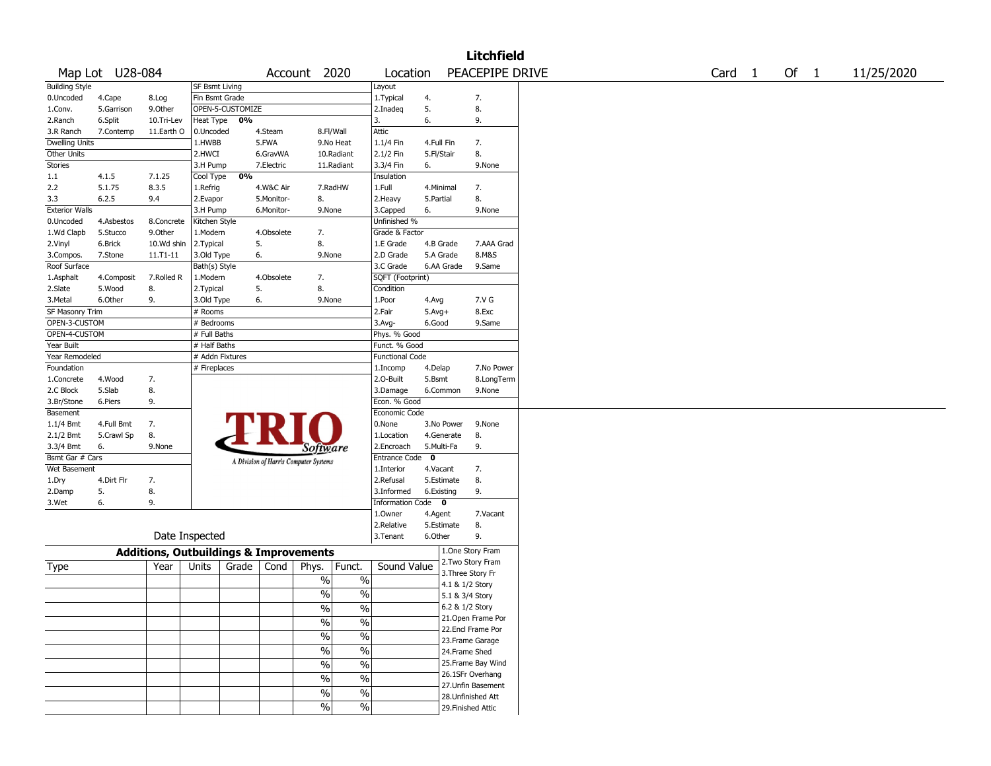|                       |                 |                                                   |                 |                  |            |                                       |               |                           |             |            | <b>Litchfield</b>  |  |  |                   |      |            |
|-----------------------|-----------------|---------------------------------------------------|-----------------|------------------|------------|---------------------------------------|---------------|---------------------------|-------------|------------|--------------------|--|--|-------------------|------|------------|
|                       | Map Lot U28-084 |                                                   |                 |                  |            | Account 2020                          |               | Location                  |             |            | PEACEPIPE DRIVE    |  |  | Card <sub>1</sub> | Of 1 | 11/25/2020 |
| <b>Building Style</b> |                 |                                                   | SF Bsmt Living  |                  |            |                                       |               | Layout                    |             |            |                    |  |  |                   |      |            |
| 0.Uncoded             | 4.Cape          | 8.Log                                             | Fin Bsmt Grade  |                  |            |                                       |               | 1. Typical                | 4.          |            | 7.                 |  |  |                   |      |            |
| 1.Conv.               | 5.Garrison      | 9.0ther                                           |                 | OPEN-5-CUSTOMIZE |            |                                       |               | 2.Inadeg                  | 5.          |            | 8.                 |  |  |                   |      |            |
| 2.Ranch               | 6.Split         | 10.Tri-Lev                                        | Heat Type       | 0%               |            |                                       |               | 3.                        | 6.          |            | 9.                 |  |  |                   |      |            |
| 3.R Ranch             | 7.Contemp       | 11.Earth O                                        | 0.Uncoded       |                  | 4.Steam    |                                       | 8.Fl/Wall     | Attic                     |             |            |                    |  |  |                   |      |            |
| <b>Dwelling Units</b> |                 |                                                   | 1.HWBB          |                  | 5.FWA      |                                       | 9.No Heat     | 1.1/4 Fin                 | 4.Full Fin  |            | 7.                 |  |  |                   |      |            |
| Other Units           |                 |                                                   | 2.HWCI          |                  | 6.GravWA   |                                       | 10.Radiant    | 2.1/2 Fin                 | 5.Fl/Stair  |            | 8.                 |  |  |                   |      |            |
| Stories               |                 |                                                   | 3.H Pump        |                  | 7.Electric |                                       | 11.Radiant    | 3.3/4 Fin                 | 6.          |            | 9.None             |  |  |                   |      |            |
| 1.1                   | 4.1.5           | 7.1.25                                            | Cool Type       | 0%               |            |                                       |               | Insulation                |             |            |                    |  |  |                   |      |            |
| 2.2                   | 5.1.75          | 8.3.5                                             | 1.Refrig        |                  | 4.W&C Air  |                                       | 7.RadHW       | 1.Full                    | 4.Minimal   |            | 7.                 |  |  |                   |      |            |
| 3.3                   | 6.2.5           | 9.4                                               | 2.Evapor        |                  | 5.Monitor- | 8.                                    |               | 2. Heavy                  | 5.Partial   |            | 8.                 |  |  |                   |      |            |
| <b>Exterior Walls</b> |                 |                                                   | 3.H Pump        |                  | 6.Monitor- | 9.None                                |               | 3.Capped                  | 6.          |            | 9.None             |  |  |                   |      |            |
| 0.Uncoded             | 4.Asbestos      | 8.Concrete                                        | Kitchen Style   |                  |            |                                       |               | Unfinished %              |             |            |                    |  |  |                   |      |            |
| 1.Wd Clapb            | 5.Stucco        | 9.Other                                           | 1.Modern        |                  | 4.Obsolete | 7.                                    |               | Grade & Factor            |             |            |                    |  |  |                   |      |            |
| 2.Vinyl               | 6.Brick         | 10.Wd shin                                        | 2.Typical       |                  | 5.         | 8.                                    |               | 1.E Grade                 |             | 4.B Grade  | 7.AAA Grad         |  |  |                   |      |            |
| 3.Compos.             | 7.Stone         | $11.71 - 11$                                      | 3.Old Type      |                  | 6.         | 9.None                                |               | 2.D Grade                 |             | 5.A Grade  | 8.M&S              |  |  |                   |      |            |
| Roof Surface          |                 |                                                   | Bath(s) Style   |                  |            |                                       |               | 3.C Grade                 |             | 6.AA Grade | 9.Same             |  |  |                   |      |            |
| 1.Asphalt             | 4.Composit      | 7.Rolled R                                        | 1.Modern        |                  | 4.Obsolete | 7.                                    |               | SQFT (Footprint)          |             |            |                    |  |  |                   |      |            |
| 2.Slate               | 5.Wood          | 8.                                                | 2. Typical      |                  | 5.         | 8.                                    |               | Condition                 |             |            |                    |  |  |                   |      |            |
| 3. Metal              | 6.Other         | 9.                                                | 3.Old Type      |                  | 6.         | 9.None                                |               | 1.Poor                    | 4.Avg       |            | 7.V G              |  |  |                   |      |            |
| SF Masonry Trim       |                 |                                                   | # Rooms         |                  |            |                                       |               | 2.Fair                    | $5.Avg+$    |            | 8.Exc              |  |  |                   |      |            |
| OPEN-3-CUSTOM         |                 |                                                   |                 |                  |            |                                       |               |                           |             |            |                    |  |  |                   |      |            |
| OPEN-4-CUSTOM         |                 |                                                   | # Bedrooms      |                  |            |                                       |               | $3.$ Avg-<br>Phys. % Good | 6.Good      |            | 9.Same             |  |  |                   |      |            |
|                       |                 |                                                   | # Full Baths    |                  |            |                                       |               |                           |             |            |                    |  |  |                   |      |            |
| Year Built            |                 |                                                   | # Half Baths    |                  |            |                                       |               | Funct. % Good             |             |            |                    |  |  |                   |      |            |
| Year Remodeled        |                 |                                                   | # Addn Fixtures |                  |            |                                       |               | <b>Functional Code</b>    |             |            |                    |  |  |                   |      |            |
| Foundation            |                 |                                                   | # Fireplaces    |                  |            |                                       |               | 1.Incomp                  | 4.Delap     |            | 7.No Power         |  |  |                   |      |            |
| 1.Concrete            | 4.Wood          | 7.                                                |                 |                  |            |                                       |               | 2.0-Built                 | 5.Bsmt      |            | 8.LongTerm         |  |  |                   |      |            |
| 2.C Block             | 5.Slab          | 8.                                                |                 |                  |            |                                       |               | 3.Damage                  |             | 6.Common   | 9.None             |  |  |                   |      |            |
| 3.Br/Stone            | 6.Piers         | 9.                                                |                 |                  |            |                                       |               | Econ. % Good              |             |            |                    |  |  |                   |      |            |
| Basement              |                 |                                                   |                 |                  |            |                                       |               | Economic Code             |             |            |                    |  |  |                   |      |            |
| $1.1/4$ Bmt           | 4.Full Bmt      | 7.                                                |                 |                  |            |                                       |               | 0.None                    |             | 3.No Power | 9.None             |  |  |                   |      |            |
| 2.1/2 Bmt             | 5.Crawl Sp      | 8.                                                |                 |                  |            |                                       |               | 1.Location                |             | 4.Generate | 8.                 |  |  |                   |      |            |
| 3.3/4 Bmt             | 6.              | 9.None                                            |                 |                  |            | <i>Software</i>                       |               | 2.Encroach                | 5.Multi-Fa  |            | 9.                 |  |  |                   |      |            |
| Bsmt Gar # Cars       |                 |                                                   |                 |                  |            | A Division of Harris Computer Systems |               | Entrance Code             | $\mathbf 0$ |            |                    |  |  |                   |      |            |
| Wet Basement          |                 |                                                   |                 |                  |            |                                       |               | 1.Interior                | 4.Vacant    |            | 7.                 |  |  |                   |      |            |
| 1.Dry                 | 4.Dirt Flr      | 7.                                                |                 |                  |            |                                       |               | 2.Refusal                 |             | 5.Estimate | 8.                 |  |  |                   |      |            |
| 2.Damp                | 5.              | 8.                                                |                 |                  |            |                                       |               | 3.Informed                | 6.Existing  |            | 9.                 |  |  |                   |      |            |
| 3.Wet                 | 6.              | 9.                                                |                 |                  |            |                                       |               | Information Code 0        |             |            |                    |  |  |                   |      |            |
|                       |                 |                                                   |                 |                  |            |                                       |               | 1.0wner                   | 4.Agent     |            | 7.Vacant           |  |  |                   |      |            |
|                       |                 |                                                   |                 |                  |            |                                       |               | 2.Relative                |             | 5.Estimate | 8.                 |  |  |                   |      |            |
|                       |                 |                                                   | Date Inspected  |                  |            |                                       |               | 3. Tenant                 | 6.Other     |            | 9.                 |  |  |                   |      |            |
|                       |                 | <b>Additions, Outbuildings &amp; Improvements</b> |                 |                  |            |                                       |               |                           |             |            | 1.One Story Fram   |  |  |                   |      |            |
| Type                  |                 | Year                                              | Units           | Grade            | Cond       | Phys.                                 | Funct.        | Sound Value               |             |            | 2. Two Story Fram  |  |  |                   |      |            |
|                       |                 |                                                   |                 |                  |            | %                                     | $\%$          |                           |             |            | 3. Three Story Fr  |  |  |                   |      |            |
|                       |                 |                                                   |                 |                  |            |                                       |               |                           |             |            | 4.1 & 1/2 Story    |  |  |                   |      |            |
|                       |                 |                                                   |                 |                  |            | $\frac{0}{0}$                         | $\%$          |                           |             |            | 5.1 & 3/4 Story    |  |  |                   |      |            |
|                       |                 |                                                   |                 |                  |            | $\sqrt{6}$                            | $\frac{0}{6}$ |                           |             |            | 6.2 & 1/2 Story    |  |  |                   |      |            |
|                       |                 |                                                   |                 |                  |            | $\sqrt{6}$                            | $\sqrt{6}$    |                           |             |            | 21. Open Frame Por |  |  |                   |      |            |
|                       |                 |                                                   |                 |                  |            | $\sqrt{6}$                            | $\sqrt{6}$    |                           |             |            | 22.Encl Frame Por  |  |  |                   |      |            |
|                       |                 |                                                   |                 |                  |            |                                       |               |                           |             |            | 23. Frame Garage   |  |  |                   |      |            |
|                       |                 |                                                   |                 |                  |            | $\sqrt{6}$                            | $\%$          |                           |             |            | 24.Frame Shed      |  |  |                   |      |            |
|                       |                 |                                                   |                 |                  |            | %                                     | $\%$          |                           |             |            | 25. Frame Bay Wind |  |  |                   |      |            |
|                       |                 |                                                   |                 |                  |            | %                                     | $\%$          |                           |             |            | 26.1SFr Overhang   |  |  |                   |      |            |
|                       |                 |                                                   |                 |                  |            |                                       |               |                           |             |            | 27.Unfin Basement  |  |  |                   |      |            |
|                       |                 |                                                   |                 |                  |            | $\sqrt{6}$                            | $\frac{9}{6}$ |                           |             |            | 28. Unfinished Att |  |  |                   |      |            |
|                       |                 |                                                   |                 |                  |            | $\sqrt{6}$                            | $\sqrt{6}$    |                           |             |            | 29. Finished Attic |  |  |                   |      |            |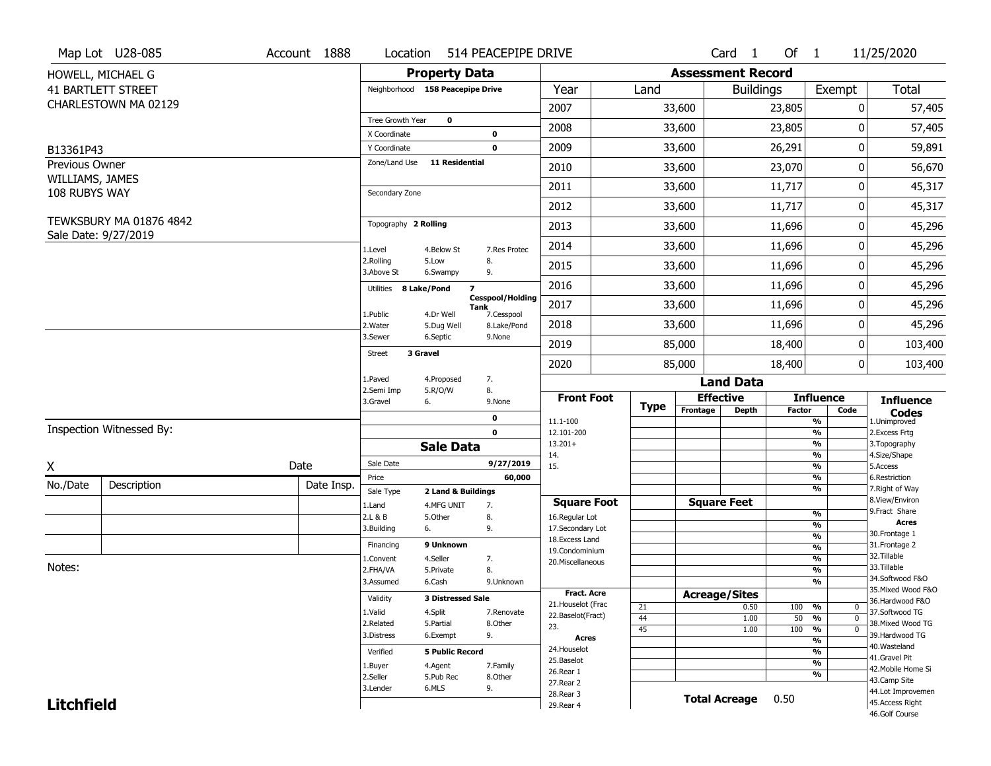| <b>Assessment Record</b><br><b>Property Data</b><br>HOWELL, MICHAEL G<br><b>41 BARTLETT STREET</b><br><b>Total</b><br>Year<br>Neighborhood 158 Peacepipe Drive<br>Land<br><b>Buildings</b><br>Exempt<br>CHARLESTOWN MA 02129<br>2007<br>33,600<br>23,805<br>0<br>57,405<br>Tree Growth Year<br>$\mathbf{o}$<br>2008<br>33,600<br>23,805<br>57,405<br>0<br>X Coordinate<br>0<br>2009<br>26,291<br>0<br>59,891<br>33,600<br>Y Coordinate<br>$\mathbf 0$<br>B13361P43<br><b>11 Residential</b><br>Zone/Land Use<br>Previous Owner<br>23,070<br>56,670<br>2010<br>33,600<br>0<br>WILLIAMS, JAMES<br>2011<br>0<br>33,600<br>11,717<br>45,317<br>108 RUBYS WAY<br>Secondary Zone<br>11,717<br>0<br>2012<br>33,600<br>45,317<br><b>TEWKSBURY MA 01876 4842</b><br>Topography 2 Rolling<br>2013<br>33,600<br>11,696<br>0<br>45,296<br>Sale Date: 9/27/2019<br>2014<br>33,600<br>11,696<br>0<br>45,296<br>1.Level<br>4.Below St<br>7.Res Protec<br>2.Rolling<br>5.Low<br>8.<br>2015<br>33,600<br>11,696<br>0<br>45,296<br>3.Above St<br>6.Swampy<br>9.<br>45,296<br>2016<br>33,600<br>11,696<br>0<br>Utilities 8 Lake/Pond<br>$\overline{\mathbf{z}}$<br><b>Cesspool/Holding</b><br>2017<br>33,600<br>11,696<br>0<br>45,296<br>Tank<br>1.Public<br>4.Dr Well<br>7.Cesspool<br>2018<br>33,600<br>11,696<br>0<br>45,296<br>2. Water<br>8.Lake/Pond<br>5.Dug Well<br>6.Septic<br>3.Sewer<br>9.None<br>2019<br>85,000<br>18,400<br>0<br>103,400<br>3 Gravel<br>Street<br>18,400<br>$\mathbf 0$<br>2020<br>85,000<br>103,400<br>7.<br>1.Paved<br>4.Proposed<br><b>Land Data</b><br>2.Semi Imp<br>5.R/O/W<br>8.<br><b>Front Foot</b><br><b>Effective</b><br><b>Influence</b><br><b>Influence</b><br>3.Gravel<br>6.<br>9.None<br>Type<br>Frontage<br><b>Depth</b><br><b>Factor</b><br>Code<br><b>Codes</b><br>1.Unimproved<br>$\mathbf 0$<br>$\frac{9}{6}$<br>11.1-100<br>Inspection Witnessed By:<br>$\frac{9}{6}$<br>$\mathbf 0$<br>12.101-200<br>2. Excess Frtg<br>$\frac{9}{6}$<br>$13.201+$<br>3. Topography<br><b>Sale Data</b><br>$\frac{9}{6}$<br>14.<br>4.Size/Shape<br>Sale Date<br>9/27/2019<br>Date<br>X<br>15.<br>$\frac{9}{6}$<br>5.Access<br>$\frac{9}{6}$<br>6.Restriction<br>Price<br>60,000<br>No./Date<br>Description<br>Date Insp.<br>$\frac{9}{6}$<br>7. Right of Way<br>Sale Type<br>2 Land & Buildings<br>8.View/Environ<br><b>Square Feet</b><br><b>Square Foot</b><br>7.<br>1.Land<br>4.MFG UNIT<br>9. Fract Share<br>$\frac{9}{6}$<br>2.L & B<br>5.Other<br>8.<br>16.Regular Lot<br><b>Acres</b><br>%<br>3.Building<br>9.<br>17.Secondary Lot<br>6.<br>30. Frontage 1<br>%<br>18.Excess Land<br>9 Unknown<br>31. Frontage 2<br>Financing<br>%<br>19.Condominium<br>32.Tillable<br>4.Seller<br>%<br>1.Convent<br>7.<br>20.Miscellaneous<br>Notes:<br>33.Tillable<br>2.FHA/VA<br>8.<br>%<br>5.Private<br>34.Softwood F&O<br>3.Assumed<br>%<br>6.Cash<br>9.Unknown<br>35. Mixed Wood F&O<br><b>Fract. Acre</b><br><b>Acreage/Sites</b><br>Validity<br><b>3 Distressed Sale</b><br>36.Hardwood F&O<br>21. Houselot (Frac<br>0.50<br>100 %<br>21<br>0<br>37.Softwood TG<br>1.Valid<br>4.Split<br>7.Renovate<br>22.Baselot(Fract)<br>44<br>50<br>$\frac{9}{6}$<br>1.00<br>$\mathbf{0}$<br>2.Related<br>5.Partial<br>8.Other<br>38. Mixed Wood TG<br>23.<br>45<br>$\frac{9}{6}$<br>1.00<br>100<br>$\mathbf{0}$<br>9.<br>39.Hardwood TG<br>3.Distress<br>6.Exempt<br><b>Acres</b><br>$\frac{9}{6}$<br>40. Wasteland<br>24. Houselot<br>$\frac{9}{6}$<br><b>5 Public Record</b><br>Verified<br>41.Gravel Pit<br>25.Baselot<br>$\frac{9}{6}$<br>1.Buyer<br>4.Agent<br>7.Family<br>42. Mobile Home Si<br>26.Rear 1<br>$\frac{9}{6}$<br>2.Seller<br>5.Pub Rec<br>8.Other<br>43.Camp Site<br>27. Rear 2<br>3.Lender<br>6.MLS<br>9.<br>44.Lot Improvemen<br>28. Rear 3<br><b>Total Acreage</b><br>0.50<br><b>Litchfield</b><br>45.Access Right<br>29. Rear 4<br>46.Golf Course | Map Lot U28-085 | Account 1888 | Location | 514 PEACEPIPE DRIVE |  |  | Card <sub>1</sub> | Of $1$ | 11/25/2020 |
|----------------------------------------------------------------------------------------------------------------------------------------------------------------------------------------------------------------------------------------------------------------------------------------------------------------------------------------------------------------------------------------------------------------------------------------------------------------------------------------------------------------------------------------------------------------------------------------------------------------------------------------------------------------------------------------------------------------------------------------------------------------------------------------------------------------------------------------------------------------------------------------------------------------------------------------------------------------------------------------------------------------------------------------------------------------------------------------------------------------------------------------------------------------------------------------------------------------------------------------------------------------------------------------------------------------------------------------------------------------------------------------------------------------------------------------------------------------------------------------------------------------------------------------------------------------------------------------------------------------------------------------------------------------------------------------------------------------------------------------------------------------------------------------------------------------------------------------------------------------------------------------------------------------------------------------------------------------------------------------------------------------------------------------------------------------------------------------------------------------------------------------------------------------------------------------------------------------------------------------------------------------------------------------------------------------------------------------------------------------------------------------------------------------------------------------------------------------------------------------------------------------------------------------------------------------------------------------------------------------------------------------------------------------------------------------------------------------------------------------------------------------------------------------------------------------------------------------------------------------------------------------------------------------------------------------------------------------------------------------------------------------------------------------------------------------------------------------------------------------------------------------------------------------------------------------------------------------------------------------------------------------------------------------------------------------------------------------------------------------------------------------------------------------------------------------------------------------------------------------------------------------------------------------------------------------------------------------------------------------------------------------------------------------------------------------------------------------------------------------------------------------------------------------------------------------------------------------------------------------------------|-----------------|--------------|----------|---------------------|--|--|-------------------|--------|------------|
|                                                                                                                                                                                                                                                                                                                                                                                                                                                                                                                                                                                                                                                                                                                                                                                                                                                                                                                                                                                                                                                                                                                                                                                                                                                                                                                                                                                                                                                                                                                                                                                                                                                                                                                                                                                                                                                                                                                                                                                                                                                                                                                                                                                                                                                                                                                                                                                                                                                                                                                                                                                                                                                                                                                                                                                                                                                                                                                                                                                                                                                                                                                                                                                                                                                                                                                                                                                                                                                                                                                                                                                                                                                                                                                                                                                                                                                                            |                 |              |          |                     |  |  |                   |        |            |
|                                                                                                                                                                                                                                                                                                                                                                                                                                                                                                                                                                                                                                                                                                                                                                                                                                                                                                                                                                                                                                                                                                                                                                                                                                                                                                                                                                                                                                                                                                                                                                                                                                                                                                                                                                                                                                                                                                                                                                                                                                                                                                                                                                                                                                                                                                                                                                                                                                                                                                                                                                                                                                                                                                                                                                                                                                                                                                                                                                                                                                                                                                                                                                                                                                                                                                                                                                                                                                                                                                                                                                                                                                                                                                                                                                                                                                                                            |                 |              |          |                     |  |  |                   |        |            |
|                                                                                                                                                                                                                                                                                                                                                                                                                                                                                                                                                                                                                                                                                                                                                                                                                                                                                                                                                                                                                                                                                                                                                                                                                                                                                                                                                                                                                                                                                                                                                                                                                                                                                                                                                                                                                                                                                                                                                                                                                                                                                                                                                                                                                                                                                                                                                                                                                                                                                                                                                                                                                                                                                                                                                                                                                                                                                                                                                                                                                                                                                                                                                                                                                                                                                                                                                                                                                                                                                                                                                                                                                                                                                                                                                                                                                                                                            |                 |              |          |                     |  |  |                   |        |            |
|                                                                                                                                                                                                                                                                                                                                                                                                                                                                                                                                                                                                                                                                                                                                                                                                                                                                                                                                                                                                                                                                                                                                                                                                                                                                                                                                                                                                                                                                                                                                                                                                                                                                                                                                                                                                                                                                                                                                                                                                                                                                                                                                                                                                                                                                                                                                                                                                                                                                                                                                                                                                                                                                                                                                                                                                                                                                                                                                                                                                                                                                                                                                                                                                                                                                                                                                                                                                                                                                                                                                                                                                                                                                                                                                                                                                                                                                            |                 |              |          |                     |  |  |                   |        |            |
|                                                                                                                                                                                                                                                                                                                                                                                                                                                                                                                                                                                                                                                                                                                                                                                                                                                                                                                                                                                                                                                                                                                                                                                                                                                                                                                                                                                                                                                                                                                                                                                                                                                                                                                                                                                                                                                                                                                                                                                                                                                                                                                                                                                                                                                                                                                                                                                                                                                                                                                                                                                                                                                                                                                                                                                                                                                                                                                                                                                                                                                                                                                                                                                                                                                                                                                                                                                                                                                                                                                                                                                                                                                                                                                                                                                                                                                                            |                 |              |          |                     |  |  |                   |        |            |
|                                                                                                                                                                                                                                                                                                                                                                                                                                                                                                                                                                                                                                                                                                                                                                                                                                                                                                                                                                                                                                                                                                                                                                                                                                                                                                                                                                                                                                                                                                                                                                                                                                                                                                                                                                                                                                                                                                                                                                                                                                                                                                                                                                                                                                                                                                                                                                                                                                                                                                                                                                                                                                                                                                                                                                                                                                                                                                                                                                                                                                                                                                                                                                                                                                                                                                                                                                                                                                                                                                                                                                                                                                                                                                                                                                                                                                                                            |                 |              |          |                     |  |  |                   |        |            |
|                                                                                                                                                                                                                                                                                                                                                                                                                                                                                                                                                                                                                                                                                                                                                                                                                                                                                                                                                                                                                                                                                                                                                                                                                                                                                                                                                                                                                                                                                                                                                                                                                                                                                                                                                                                                                                                                                                                                                                                                                                                                                                                                                                                                                                                                                                                                                                                                                                                                                                                                                                                                                                                                                                                                                                                                                                                                                                                                                                                                                                                                                                                                                                                                                                                                                                                                                                                                                                                                                                                                                                                                                                                                                                                                                                                                                                                                            |                 |              |          |                     |  |  |                   |        |            |
|                                                                                                                                                                                                                                                                                                                                                                                                                                                                                                                                                                                                                                                                                                                                                                                                                                                                                                                                                                                                                                                                                                                                                                                                                                                                                                                                                                                                                                                                                                                                                                                                                                                                                                                                                                                                                                                                                                                                                                                                                                                                                                                                                                                                                                                                                                                                                                                                                                                                                                                                                                                                                                                                                                                                                                                                                                                                                                                                                                                                                                                                                                                                                                                                                                                                                                                                                                                                                                                                                                                                                                                                                                                                                                                                                                                                                                                                            |                 |              |          |                     |  |  |                   |        |            |
|                                                                                                                                                                                                                                                                                                                                                                                                                                                                                                                                                                                                                                                                                                                                                                                                                                                                                                                                                                                                                                                                                                                                                                                                                                                                                                                                                                                                                                                                                                                                                                                                                                                                                                                                                                                                                                                                                                                                                                                                                                                                                                                                                                                                                                                                                                                                                                                                                                                                                                                                                                                                                                                                                                                                                                                                                                                                                                                                                                                                                                                                                                                                                                                                                                                                                                                                                                                                                                                                                                                                                                                                                                                                                                                                                                                                                                                                            |                 |              |          |                     |  |  |                   |        |            |
|                                                                                                                                                                                                                                                                                                                                                                                                                                                                                                                                                                                                                                                                                                                                                                                                                                                                                                                                                                                                                                                                                                                                                                                                                                                                                                                                                                                                                                                                                                                                                                                                                                                                                                                                                                                                                                                                                                                                                                                                                                                                                                                                                                                                                                                                                                                                                                                                                                                                                                                                                                                                                                                                                                                                                                                                                                                                                                                                                                                                                                                                                                                                                                                                                                                                                                                                                                                                                                                                                                                                                                                                                                                                                                                                                                                                                                                                            |                 |              |          |                     |  |  |                   |        |            |
|                                                                                                                                                                                                                                                                                                                                                                                                                                                                                                                                                                                                                                                                                                                                                                                                                                                                                                                                                                                                                                                                                                                                                                                                                                                                                                                                                                                                                                                                                                                                                                                                                                                                                                                                                                                                                                                                                                                                                                                                                                                                                                                                                                                                                                                                                                                                                                                                                                                                                                                                                                                                                                                                                                                                                                                                                                                                                                                                                                                                                                                                                                                                                                                                                                                                                                                                                                                                                                                                                                                                                                                                                                                                                                                                                                                                                                                                            |                 |              |          |                     |  |  |                   |        |            |
|                                                                                                                                                                                                                                                                                                                                                                                                                                                                                                                                                                                                                                                                                                                                                                                                                                                                                                                                                                                                                                                                                                                                                                                                                                                                                                                                                                                                                                                                                                                                                                                                                                                                                                                                                                                                                                                                                                                                                                                                                                                                                                                                                                                                                                                                                                                                                                                                                                                                                                                                                                                                                                                                                                                                                                                                                                                                                                                                                                                                                                                                                                                                                                                                                                                                                                                                                                                                                                                                                                                                                                                                                                                                                                                                                                                                                                                                            |                 |              |          |                     |  |  |                   |        |            |
|                                                                                                                                                                                                                                                                                                                                                                                                                                                                                                                                                                                                                                                                                                                                                                                                                                                                                                                                                                                                                                                                                                                                                                                                                                                                                                                                                                                                                                                                                                                                                                                                                                                                                                                                                                                                                                                                                                                                                                                                                                                                                                                                                                                                                                                                                                                                                                                                                                                                                                                                                                                                                                                                                                                                                                                                                                                                                                                                                                                                                                                                                                                                                                                                                                                                                                                                                                                                                                                                                                                                                                                                                                                                                                                                                                                                                                                                            |                 |              |          |                     |  |  |                   |        |            |
|                                                                                                                                                                                                                                                                                                                                                                                                                                                                                                                                                                                                                                                                                                                                                                                                                                                                                                                                                                                                                                                                                                                                                                                                                                                                                                                                                                                                                                                                                                                                                                                                                                                                                                                                                                                                                                                                                                                                                                                                                                                                                                                                                                                                                                                                                                                                                                                                                                                                                                                                                                                                                                                                                                                                                                                                                                                                                                                                                                                                                                                                                                                                                                                                                                                                                                                                                                                                                                                                                                                                                                                                                                                                                                                                                                                                                                                                            |                 |              |          |                     |  |  |                   |        |            |
|                                                                                                                                                                                                                                                                                                                                                                                                                                                                                                                                                                                                                                                                                                                                                                                                                                                                                                                                                                                                                                                                                                                                                                                                                                                                                                                                                                                                                                                                                                                                                                                                                                                                                                                                                                                                                                                                                                                                                                                                                                                                                                                                                                                                                                                                                                                                                                                                                                                                                                                                                                                                                                                                                                                                                                                                                                                                                                                                                                                                                                                                                                                                                                                                                                                                                                                                                                                                                                                                                                                                                                                                                                                                                                                                                                                                                                                                            |                 |              |          |                     |  |  |                   |        |            |
|                                                                                                                                                                                                                                                                                                                                                                                                                                                                                                                                                                                                                                                                                                                                                                                                                                                                                                                                                                                                                                                                                                                                                                                                                                                                                                                                                                                                                                                                                                                                                                                                                                                                                                                                                                                                                                                                                                                                                                                                                                                                                                                                                                                                                                                                                                                                                                                                                                                                                                                                                                                                                                                                                                                                                                                                                                                                                                                                                                                                                                                                                                                                                                                                                                                                                                                                                                                                                                                                                                                                                                                                                                                                                                                                                                                                                                                                            |                 |              |          |                     |  |  |                   |        |            |
|                                                                                                                                                                                                                                                                                                                                                                                                                                                                                                                                                                                                                                                                                                                                                                                                                                                                                                                                                                                                                                                                                                                                                                                                                                                                                                                                                                                                                                                                                                                                                                                                                                                                                                                                                                                                                                                                                                                                                                                                                                                                                                                                                                                                                                                                                                                                                                                                                                                                                                                                                                                                                                                                                                                                                                                                                                                                                                                                                                                                                                                                                                                                                                                                                                                                                                                                                                                                                                                                                                                                                                                                                                                                                                                                                                                                                                                                            |                 |              |          |                     |  |  |                   |        |            |
|                                                                                                                                                                                                                                                                                                                                                                                                                                                                                                                                                                                                                                                                                                                                                                                                                                                                                                                                                                                                                                                                                                                                                                                                                                                                                                                                                                                                                                                                                                                                                                                                                                                                                                                                                                                                                                                                                                                                                                                                                                                                                                                                                                                                                                                                                                                                                                                                                                                                                                                                                                                                                                                                                                                                                                                                                                                                                                                                                                                                                                                                                                                                                                                                                                                                                                                                                                                                                                                                                                                                                                                                                                                                                                                                                                                                                                                                            |                 |              |          |                     |  |  |                   |        |            |
|                                                                                                                                                                                                                                                                                                                                                                                                                                                                                                                                                                                                                                                                                                                                                                                                                                                                                                                                                                                                                                                                                                                                                                                                                                                                                                                                                                                                                                                                                                                                                                                                                                                                                                                                                                                                                                                                                                                                                                                                                                                                                                                                                                                                                                                                                                                                                                                                                                                                                                                                                                                                                                                                                                                                                                                                                                                                                                                                                                                                                                                                                                                                                                                                                                                                                                                                                                                                                                                                                                                                                                                                                                                                                                                                                                                                                                                                            |                 |              |          |                     |  |  |                   |        |            |
|                                                                                                                                                                                                                                                                                                                                                                                                                                                                                                                                                                                                                                                                                                                                                                                                                                                                                                                                                                                                                                                                                                                                                                                                                                                                                                                                                                                                                                                                                                                                                                                                                                                                                                                                                                                                                                                                                                                                                                                                                                                                                                                                                                                                                                                                                                                                                                                                                                                                                                                                                                                                                                                                                                                                                                                                                                                                                                                                                                                                                                                                                                                                                                                                                                                                                                                                                                                                                                                                                                                                                                                                                                                                                                                                                                                                                                                                            |                 |              |          |                     |  |  |                   |        |            |
|                                                                                                                                                                                                                                                                                                                                                                                                                                                                                                                                                                                                                                                                                                                                                                                                                                                                                                                                                                                                                                                                                                                                                                                                                                                                                                                                                                                                                                                                                                                                                                                                                                                                                                                                                                                                                                                                                                                                                                                                                                                                                                                                                                                                                                                                                                                                                                                                                                                                                                                                                                                                                                                                                                                                                                                                                                                                                                                                                                                                                                                                                                                                                                                                                                                                                                                                                                                                                                                                                                                                                                                                                                                                                                                                                                                                                                                                            |                 |              |          |                     |  |  |                   |        |            |
|                                                                                                                                                                                                                                                                                                                                                                                                                                                                                                                                                                                                                                                                                                                                                                                                                                                                                                                                                                                                                                                                                                                                                                                                                                                                                                                                                                                                                                                                                                                                                                                                                                                                                                                                                                                                                                                                                                                                                                                                                                                                                                                                                                                                                                                                                                                                                                                                                                                                                                                                                                                                                                                                                                                                                                                                                                                                                                                                                                                                                                                                                                                                                                                                                                                                                                                                                                                                                                                                                                                                                                                                                                                                                                                                                                                                                                                                            |                 |              |          |                     |  |  |                   |        |            |
|                                                                                                                                                                                                                                                                                                                                                                                                                                                                                                                                                                                                                                                                                                                                                                                                                                                                                                                                                                                                                                                                                                                                                                                                                                                                                                                                                                                                                                                                                                                                                                                                                                                                                                                                                                                                                                                                                                                                                                                                                                                                                                                                                                                                                                                                                                                                                                                                                                                                                                                                                                                                                                                                                                                                                                                                                                                                                                                                                                                                                                                                                                                                                                                                                                                                                                                                                                                                                                                                                                                                                                                                                                                                                                                                                                                                                                                                            |                 |              |          |                     |  |  |                   |        |            |
|                                                                                                                                                                                                                                                                                                                                                                                                                                                                                                                                                                                                                                                                                                                                                                                                                                                                                                                                                                                                                                                                                                                                                                                                                                                                                                                                                                                                                                                                                                                                                                                                                                                                                                                                                                                                                                                                                                                                                                                                                                                                                                                                                                                                                                                                                                                                                                                                                                                                                                                                                                                                                                                                                                                                                                                                                                                                                                                                                                                                                                                                                                                                                                                                                                                                                                                                                                                                                                                                                                                                                                                                                                                                                                                                                                                                                                                                            |                 |              |          |                     |  |  |                   |        |            |
|                                                                                                                                                                                                                                                                                                                                                                                                                                                                                                                                                                                                                                                                                                                                                                                                                                                                                                                                                                                                                                                                                                                                                                                                                                                                                                                                                                                                                                                                                                                                                                                                                                                                                                                                                                                                                                                                                                                                                                                                                                                                                                                                                                                                                                                                                                                                                                                                                                                                                                                                                                                                                                                                                                                                                                                                                                                                                                                                                                                                                                                                                                                                                                                                                                                                                                                                                                                                                                                                                                                                                                                                                                                                                                                                                                                                                                                                            |                 |              |          |                     |  |  |                   |        |            |
|                                                                                                                                                                                                                                                                                                                                                                                                                                                                                                                                                                                                                                                                                                                                                                                                                                                                                                                                                                                                                                                                                                                                                                                                                                                                                                                                                                                                                                                                                                                                                                                                                                                                                                                                                                                                                                                                                                                                                                                                                                                                                                                                                                                                                                                                                                                                                                                                                                                                                                                                                                                                                                                                                                                                                                                                                                                                                                                                                                                                                                                                                                                                                                                                                                                                                                                                                                                                                                                                                                                                                                                                                                                                                                                                                                                                                                                                            |                 |              |          |                     |  |  |                   |        |            |
|                                                                                                                                                                                                                                                                                                                                                                                                                                                                                                                                                                                                                                                                                                                                                                                                                                                                                                                                                                                                                                                                                                                                                                                                                                                                                                                                                                                                                                                                                                                                                                                                                                                                                                                                                                                                                                                                                                                                                                                                                                                                                                                                                                                                                                                                                                                                                                                                                                                                                                                                                                                                                                                                                                                                                                                                                                                                                                                                                                                                                                                                                                                                                                                                                                                                                                                                                                                                                                                                                                                                                                                                                                                                                                                                                                                                                                                                            |                 |              |          |                     |  |  |                   |        |            |
|                                                                                                                                                                                                                                                                                                                                                                                                                                                                                                                                                                                                                                                                                                                                                                                                                                                                                                                                                                                                                                                                                                                                                                                                                                                                                                                                                                                                                                                                                                                                                                                                                                                                                                                                                                                                                                                                                                                                                                                                                                                                                                                                                                                                                                                                                                                                                                                                                                                                                                                                                                                                                                                                                                                                                                                                                                                                                                                                                                                                                                                                                                                                                                                                                                                                                                                                                                                                                                                                                                                                                                                                                                                                                                                                                                                                                                                                            |                 |              |          |                     |  |  |                   |        |            |
|                                                                                                                                                                                                                                                                                                                                                                                                                                                                                                                                                                                                                                                                                                                                                                                                                                                                                                                                                                                                                                                                                                                                                                                                                                                                                                                                                                                                                                                                                                                                                                                                                                                                                                                                                                                                                                                                                                                                                                                                                                                                                                                                                                                                                                                                                                                                                                                                                                                                                                                                                                                                                                                                                                                                                                                                                                                                                                                                                                                                                                                                                                                                                                                                                                                                                                                                                                                                                                                                                                                                                                                                                                                                                                                                                                                                                                                                            |                 |              |          |                     |  |  |                   |        |            |
|                                                                                                                                                                                                                                                                                                                                                                                                                                                                                                                                                                                                                                                                                                                                                                                                                                                                                                                                                                                                                                                                                                                                                                                                                                                                                                                                                                                                                                                                                                                                                                                                                                                                                                                                                                                                                                                                                                                                                                                                                                                                                                                                                                                                                                                                                                                                                                                                                                                                                                                                                                                                                                                                                                                                                                                                                                                                                                                                                                                                                                                                                                                                                                                                                                                                                                                                                                                                                                                                                                                                                                                                                                                                                                                                                                                                                                                                            |                 |              |          |                     |  |  |                   |        |            |
|                                                                                                                                                                                                                                                                                                                                                                                                                                                                                                                                                                                                                                                                                                                                                                                                                                                                                                                                                                                                                                                                                                                                                                                                                                                                                                                                                                                                                                                                                                                                                                                                                                                                                                                                                                                                                                                                                                                                                                                                                                                                                                                                                                                                                                                                                                                                                                                                                                                                                                                                                                                                                                                                                                                                                                                                                                                                                                                                                                                                                                                                                                                                                                                                                                                                                                                                                                                                                                                                                                                                                                                                                                                                                                                                                                                                                                                                            |                 |              |          |                     |  |  |                   |        |            |
|                                                                                                                                                                                                                                                                                                                                                                                                                                                                                                                                                                                                                                                                                                                                                                                                                                                                                                                                                                                                                                                                                                                                                                                                                                                                                                                                                                                                                                                                                                                                                                                                                                                                                                                                                                                                                                                                                                                                                                                                                                                                                                                                                                                                                                                                                                                                                                                                                                                                                                                                                                                                                                                                                                                                                                                                                                                                                                                                                                                                                                                                                                                                                                                                                                                                                                                                                                                                                                                                                                                                                                                                                                                                                                                                                                                                                                                                            |                 |              |          |                     |  |  |                   |        |            |
|                                                                                                                                                                                                                                                                                                                                                                                                                                                                                                                                                                                                                                                                                                                                                                                                                                                                                                                                                                                                                                                                                                                                                                                                                                                                                                                                                                                                                                                                                                                                                                                                                                                                                                                                                                                                                                                                                                                                                                                                                                                                                                                                                                                                                                                                                                                                                                                                                                                                                                                                                                                                                                                                                                                                                                                                                                                                                                                                                                                                                                                                                                                                                                                                                                                                                                                                                                                                                                                                                                                                                                                                                                                                                                                                                                                                                                                                            |                 |              |          |                     |  |  |                   |        |            |
|                                                                                                                                                                                                                                                                                                                                                                                                                                                                                                                                                                                                                                                                                                                                                                                                                                                                                                                                                                                                                                                                                                                                                                                                                                                                                                                                                                                                                                                                                                                                                                                                                                                                                                                                                                                                                                                                                                                                                                                                                                                                                                                                                                                                                                                                                                                                                                                                                                                                                                                                                                                                                                                                                                                                                                                                                                                                                                                                                                                                                                                                                                                                                                                                                                                                                                                                                                                                                                                                                                                                                                                                                                                                                                                                                                                                                                                                            |                 |              |          |                     |  |  |                   |        |            |
|                                                                                                                                                                                                                                                                                                                                                                                                                                                                                                                                                                                                                                                                                                                                                                                                                                                                                                                                                                                                                                                                                                                                                                                                                                                                                                                                                                                                                                                                                                                                                                                                                                                                                                                                                                                                                                                                                                                                                                                                                                                                                                                                                                                                                                                                                                                                                                                                                                                                                                                                                                                                                                                                                                                                                                                                                                                                                                                                                                                                                                                                                                                                                                                                                                                                                                                                                                                                                                                                                                                                                                                                                                                                                                                                                                                                                                                                            |                 |              |          |                     |  |  |                   |        |            |
|                                                                                                                                                                                                                                                                                                                                                                                                                                                                                                                                                                                                                                                                                                                                                                                                                                                                                                                                                                                                                                                                                                                                                                                                                                                                                                                                                                                                                                                                                                                                                                                                                                                                                                                                                                                                                                                                                                                                                                                                                                                                                                                                                                                                                                                                                                                                                                                                                                                                                                                                                                                                                                                                                                                                                                                                                                                                                                                                                                                                                                                                                                                                                                                                                                                                                                                                                                                                                                                                                                                                                                                                                                                                                                                                                                                                                                                                            |                 |              |          |                     |  |  |                   |        |            |
|                                                                                                                                                                                                                                                                                                                                                                                                                                                                                                                                                                                                                                                                                                                                                                                                                                                                                                                                                                                                                                                                                                                                                                                                                                                                                                                                                                                                                                                                                                                                                                                                                                                                                                                                                                                                                                                                                                                                                                                                                                                                                                                                                                                                                                                                                                                                                                                                                                                                                                                                                                                                                                                                                                                                                                                                                                                                                                                                                                                                                                                                                                                                                                                                                                                                                                                                                                                                                                                                                                                                                                                                                                                                                                                                                                                                                                                                            |                 |              |          |                     |  |  |                   |        |            |
|                                                                                                                                                                                                                                                                                                                                                                                                                                                                                                                                                                                                                                                                                                                                                                                                                                                                                                                                                                                                                                                                                                                                                                                                                                                                                                                                                                                                                                                                                                                                                                                                                                                                                                                                                                                                                                                                                                                                                                                                                                                                                                                                                                                                                                                                                                                                                                                                                                                                                                                                                                                                                                                                                                                                                                                                                                                                                                                                                                                                                                                                                                                                                                                                                                                                                                                                                                                                                                                                                                                                                                                                                                                                                                                                                                                                                                                                            |                 |              |          |                     |  |  |                   |        |            |
|                                                                                                                                                                                                                                                                                                                                                                                                                                                                                                                                                                                                                                                                                                                                                                                                                                                                                                                                                                                                                                                                                                                                                                                                                                                                                                                                                                                                                                                                                                                                                                                                                                                                                                                                                                                                                                                                                                                                                                                                                                                                                                                                                                                                                                                                                                                                                                                                                                                                                                                                                                                                                                                                                                                                                                                                                                                                                                                                                                                                                                                                                                                                                                                                                                                                                                                                                                                                                                                                                                                                                                                                                                                                                                                                                                                                                                                                            |                 |              |          |                     |  |  |                   |        |            |
|                                                                                                                                                                                                                                                                                                                                                                                                                                                                                                                                                                                                                                                                                                                                                                                                                                                                                                                                                                                                                                                                                                                                                                                                                                                                                                                                                                                                                                                                                                                                                                                                                                                                                                                                                                                                                                                                                                                                                                                                                                                                                                                                                                                                                                                                                                                                                                                                                                                                                                                                                                                                                                                                                                                                                                                                                                                                                                                                                                                                                                                                                                                                                                                                                                                                                                                                                                                                                                                                                                                                                                                                                                                                                                                                                                                                                                                                            |                 |              |          |                     |  |  |                   |        |            |
|                                                                                                                                                                                                                                                                                                                                                                                                                                                                                                                                                                                                                                                                                                                                                                                                                                                                                                                                                                                                                                                                                                                                                                                                                                                                                                                                                                                                                                                                                                                                                                                                                                                                                                                                                                                                                                                                                                                                                                                                                                                                                                                                                                                                                                                                                                                                                                                                                                                                                                                                                                                                                                                                                                                                                                                                                                                                                                                                                                                                                                                                                                                                                                                                                                                                                                                                                                                                                                                                                                                                                                                                                                                                                                                                                                                                                                                                            |                 |              |          |                     |  |  |                   |        |            |
|                                                                                                                                                                                                                                                                                                                                                                                                                                                                                                                                                                                                                                                                                                                                                                                                                                                                                                                                                                                                                                                                                                                                                                                                                                                                                                                                                                                                                                                                                                                                                                                                                                                                                                                                                                                                                                                                                                                                                                                                                                                                                                                                                                                                                                                                                                                                                                                                                                                                                                                                                                                                                                                                                                                                                                                                                                                                                                                                                                                                                                                                                                                                                                                                                                                                                                                                                                                                                                                                                                                                                                                                                                                                                                                                                                                                                                                                            |                 |              |          |                     |  |  |                   |        |            |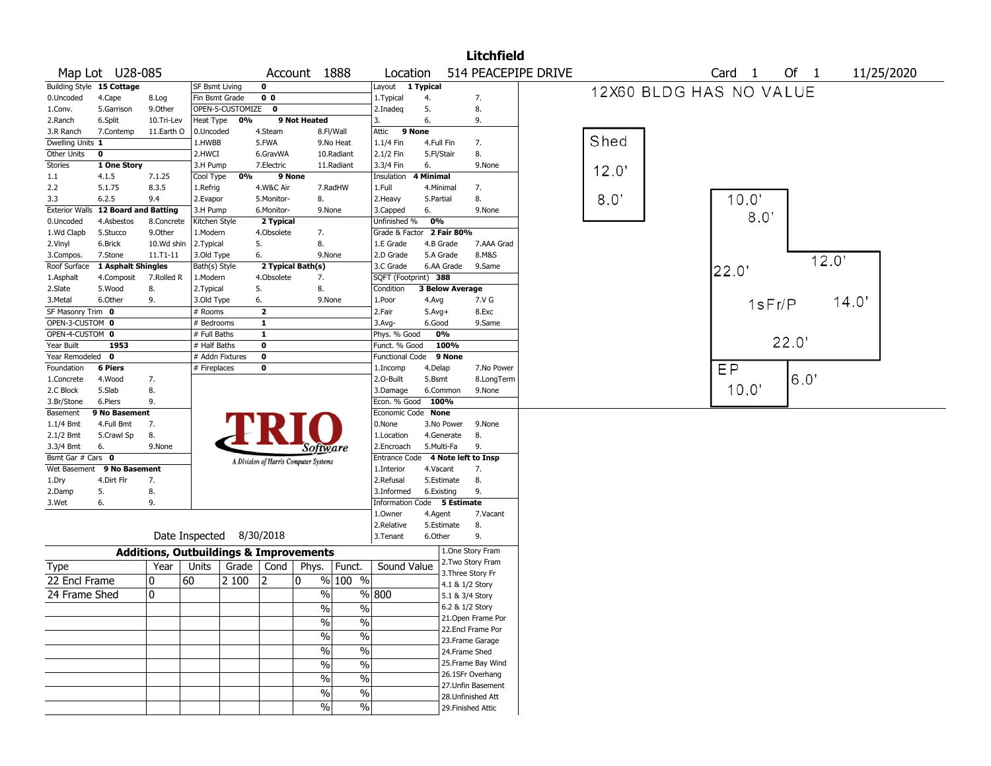|                       |                             |                                                   |                 |                  |                         |                                       |                          |                             |                        | <b>Litchfield</b>                    |                     |       |                         |       |            |
|-----------------------|-----------------------------|---------------------------------------------------|-----------------|------------------|-------------------------|---------------------------------------|--------------------------|-----------------------------|------------------------|--------------------------------------|---------------------|-------|-------------------------|-------|------------|
|                       | Map Lot U28-085             |                                                   |                 |                  |                         | Account 1888                          |                          | Location                    |                        |                                      | 514 PEACEPIPE DRIVE |       | Card 1                  | Of 1  | 11/25/2020 |
|                       | Building Style 15 Cottage   |                                                   | SF Bsmt Living  |                  | $\mathbf 0$             |                                       |                          | Layout 1 Typical            |                        |                                      |                     |       | 12X60 BLDG HAS NO VALUE |       |            |
| 0.Uncoded             | 4.Cape                      | 8.Log                                             | Fin Bsmt Grade  |                  | $\overline{0}0$         |                                       |                          | 1. Typical                  | 4.                     | 7.                                   |                     |       |                         |       |            |
| 1.Conv.               | 5.Garrison                  | 9.0ther                                           |                 | OPEN-5-CUSTOMIZE | $\mathbf 0$             |                                       |                          | 2.Inadeg                    | 5.                     | 8.                                   |                     |       |                         |       |            |
| 2.Ranch               | 6.Split                     | 10.Tri-Lev                                        | Heat Type       | 0%               |                         | 9 Not Heated                          |                          | 3.                          | 6.                     | 9.                                   |                     |       |                         |       |            |
| 3.R Ranch             | 7.Contemp                   | 11.Earth O                                        | 0.Uncoded       |                  | 4.Steam                 |                                       | 8.Fl/Wall                | Attic<br>9 None             |                        |                                      |                     |       |                         |       |            |
| Dwelling Units 1      |                             |                                                   | 1.HWBB          |                  | 5.FWA                   |                                       | 9.No Heat                | $1.1/4$ Fin                 | 4.Full Fin             | 7.                                   |                     | Shed  |                         |       |            |
| Other Units           | 0                           |                                                   | 2.HWCI          |                  | 6.GravWA                |                                       | 10.Radiant               | 2.1/2 Fin                   | 5.Fl/Stair             | 8.                                   |                     |       |                         |       |            |
| Stories               | 1 One Story                 |                                                   | 3.H Pump        |                  | 7.Electric              |                                       | 11.Radiant               | 3.3/4 Fin                   | 6.                     | 9.None                               |                     | 12.0' |                         |       |            |
| 1.1                   | 4.1.5                       | 7.1.25                                            | Cool Type       | 0%               | 9 None                  |                                       |                          | Insulation                  | 4 Minimal              |                                      |                     |       |                         |       |            |
| 2.2                   | 5.1.75                      | 8.3.5                                             | 1.Refrig        |                  | 4.W&C Air               |                                       | 7.RadHW                  | 1.Full                      | 4.Minimal              | 7.                                   |                     |       |                         |       |            |
| 3.3                   | 6.2.5                       | 9.4                                               | 2.Evapor        |                  | 5.Monitor-              | 8.                                    |                          | 2.Heavy                     | 5.Partial              | 8.                                   |                     | 8.0   | 10.0'                   |       |            |
| <b>Exterior Walls</b> | <b>12 Board and Batting</b> |                                                   | 3.H Pump        |                  | 6.Monitor-              | 9.None                                |                          | 3.Capped                    | 6.                     | 9.None                               |                     |       | 8.0                     |       |            |
| 0.Uncoded             | 4.Asbestos                  | 8.Concrete                                        | Kitchen Style   |                  | 2 Typical               |                                       |                          | Unfinished %                | 0%                     |                                      |                     |       |                         |       |            |
| 1.Wd Clapb            | 5.Stucco                    | 9.0ther                                           | 1.Modern        |                  | 4.Obsolete              | 7.                                    |                          | Grade & Factor 2 Fair 80%   |                        |                                      |                     |       |                         |       |            |
| 2.Vinyl               | 6.Brick                     | 10.Wd shin                                        | 2.Typical       |                  | 5.                      | 8.                                    |                          | 1.E Grade                   | 4.B Grade              | 7.AAA Grad                           |                     |       |                         |       |            |
| 3.Compos.             | 7.Stone                     | 11.T1-11                                          | 3.Old Type      |                  | 6.                      | 9.None                                |                          | 2.D Grade                   | 5.A Grade              | 8.M&S                                |                     |       |                         | 12.0' |            |
| Roof Surface          | 1 Asphalt Shingles          |                                                   | Bath(s) Style   |                  |                         | 2 Typical Bath(s)                     |                          | 3.C Grade                   | 6.AA Grade             | 9.Same                               |                     |       | 22.0                    |       |            |
| 1.Asphalt             | 4.Composit                  | 7.Rolled R                                        | 1.Modern        |                  | 4.Obsolete              | 7.                                    |                          | SQFT (Footprint) 388        |                        |                                      |                     |       |                         |       |            |
| 2.Slate               | 5.Wood                      | 8.                                                | 2.Typical       |                  | 5.                      | 8.                                    |                          | Condition                   | <b>3 Below Average</b> |                                      |                     |       |                         |       |            |
| 3.Metal               | 6.Other                     | 9.                                                | 3.Old Type      |                  | 6.                      | 9.None                                |                          | 1.Poor                      | 4.Avg                  | 7.V G                                |                     |       | 1sFr/P                  | 14.0' |            |
| SF Masonry Trim 0     |                             |                                                   | # Rooms         |                  | $\overline{\mathbf{2}}$ |                                       |                          | 2.Fair                      | $5.Avg+$               | 8.Exc                                |                     |       |                         |       |            |
| OPEN-3-CUSTOM 0       |                             |                                                   | # Bedrooms      |                  | $\mathbf{1}$            |                                       |                          | $3.$ Avg-                   | 6.Good                 | 9.Same                               |                     |       |                         |       |            |
| OPEN-4-CUSTOM 0       |                             |                                                   | # Full Baths    |                  | $\mathbf{1}$            |                                       |                          | Phys. % Good                | 0%                     |                                      |                     |       |                         | 22.0' |            |
| Year Built            | 1953                        |                                                   | # Half Baths    |                  | $\mathbf 0$             |                                       |                          | Funct. % Good               | 100%                   |                                      |                     |       |                         |       |            |
| Year Remodeled        | $\mathbf 0$                 |                                                   | # Addn Fixtures |                  | $\overline{\mathbf{0}}$ |                                       |                          | <b>Functional Code</b>      | 9 None                 |                                      |                     |       |                         |       |            |
| Foundation            | <b>6 Piers</b>              |                                                   | # Fireplaces    |                  | $\mathbf 0$             |                                       |                          | 1.Incomp                    | 4.Delap                | 7.No Power                           |                     |       | EP                      |       |            |
| 1.Concrete            | 4.Wood                      | 7.                                                |                 |                  |                         |                                       |                          | 2.0-Built                   | 5.Bsmt                 | 8.LongTerm                           |                     |       |                         | 6.0'  |            |
| 2.C Block             | 5.Slab                      | 8.                                                |                 |                  |                         |                                       |                          | 3.Damage                    | 6.Common               | 9.None                               |                     |       | 10.0"                   |       |            |
| 3.Br/Stone            | 6.Piers                     | 9.                                                |                 |                  |                         |                                       |                          | Econ. % Good                | 100%                   |                                      |                     |       |                         |       |            |
| Basement              | 9 No Basement               |                                                   |                 |                  |                         |                                       |                          | Economic Code None          |                        |                                      |                     |       |                         |       |            |
| $1.1/4$ Bmt           | 4.Full Bmt                  | 7.                                                |                 |                  |                         |                                       |                          | 0.None                      | 3.No Power             | 9.None                               |                     |       |                         |       |            |
| 2.1/2 Bmt             | 5.Crawl Sp                  | 8.                                                |                 |                  |                         |                                       |                          | 1.Location                  | 4.Generate             | 8.                                   |                     |       |                         |       |            |
| 3.3/4 Bmt             | 6.                          | 9.None                                            |                 |                  |                         | Software                              |                          | 2.Encroach                  | 5.Multi-Fa             | 9.                                   |                     |       |                         |       |            |
| Bsmt Gar # Cars 0     |                             |                                                   |                 |                  |                         | A Division of Harris Computer Systems |                          | Entrance Code               |                        | 4 Note left to Insp                  |                     |       |                         |       |            |
| Wet Basement          | 9 No Basement               |                                                   |                 |                  |                         |                                       |                          | 1.Interior                  | 4.Vacant               | 7.                                   |                     |       |                         |       |            |
| 1.Dry                 | 4.Dirt Flr                  | 7.                                                |                 |                  |                         |                                       |                          | 2.Refusal                   | 5.Estimate             | 8.                                   |                     |       |                         |       |            |
| 2.Damp                | 5.                          | 8.                                                |                 |                  |                         |                                       |                          | 3.Informed                  | 6.Existing             | 9.                                   |                     |       |                         |       |            |
| 3.Wet                 | 6.                          | 9.                                                |                 |                  |                         |                                       |                          | Information Code 5 Estimate |                        |                                      |                     |       |                         |       |            |
|                       |                             |                                                   |                 |                  |                         |                                       |                          | 1.0wner                     | 4.Agent                | 7.Vacant                             |                     |       |                         |       |            |
|                       |                             |                                                   | Date Inspected  |                  | 8/30/2018               |                                       |                          | 2.Relative                  | 5.Estimate             | 8.                                   |                     |       |                         |       |            |
|                       |                             |                                                   |                 |                  |                         |                                       |                          | 3.Tenant                    | 6.Other                | 9.                                   |                     |       |                         |       |            |
|                       |                             | <b>Additions, Outbuildings &amp; Improvements</b> |                 |                  |                         |                                       |                          |                             |                        | 1.One Story Fram                     |                     |       |                         |       |            |
| Type                  |                             | Year                                              | Units           | Grade            | Cond                    | Phys.                                 | Funct.                   | Sound Value                 |                        | 2. Two Story Fram                    |                     |       |                         |       |            |
| 22 Encl Frame         |                             | 0                                                 | 60              | 2 100            | 12                      | 10                                    | % 100 %                  |                             |                        | 3. Three Story Fr<br>4.1 & 1/2 Story |                     |       |                         |       |            |
| 24 Frame Shed         |                             | 0                                                 |                 |                  |                         | $\frac{0}{0}$                         |                          | % 800                       |                        | 5.1 & 3/4 Story                      |                     |       |                         |       |            |
|                       |                             |                                                   |                 |                  |                         | $\sqrt{6}$                            |                          |                             |                        | 6.2 & 1/2 Story                      |                     |       |                         |       |            |
|                       |                             |                                                   |                 |                  |                         |                                       | $\%$                     |                             |                        | 21. Open Frame Por                   |                     |       |                         |       |            |
|                       |                             |                                                   |                 |                  |                         | $\frac{0}{0}$                         | $\%$                     |                             |                        | 22.Encl Frame Por                    |                     |       |                         |       |            |
|                       |                             |                                                   |                 |                  |                         | $\frac{9}{6}$                         | $\overline{\frac{0}{6}}$ |                             |                        | 23. Frame Garage                     |                     |       |                         |       |            |
|                       |                             |                                                   |                 |                  |                         | $\sqrt{2}$                            | $\%$                     |                             |                        | 24.Frame Shed                        |                     |       |                         |       |            |
|                       |                             |                                                   |                 |                  |                         |                                       |                          |                             |                        | 25. Frame Bay Wind                   |                     |       |                         |       |            |
|                       |                             |                                                   |                 |                  |                         | $\sqrt{2}$                            | $\%$                     |                             |                        | 26.1SFr Overhang                     |                     |       |                         |       |            |
|                       |                             |                                                   |                 |                  |                         | $\%$                                  | $\%$                     |                             |                        | 27. Unfin Basement                   |                     |       |                         |       |            |
|                       |                             |                                                   |                 |                  |                         | %                                     | $\%$                     |                             |                        | 28. Unfinished Att                   |                     |       |                         |       |            |
|                       |                             |                                                   |                 |                  |                         | $\%$                                  | %                        |                             |                        | 29. Finished Attic                   |                     |       |                         |       |            |
|                       |                             |                                                   |                 |                  |                         |                                       |                          |                             |                        |                                      |                     |       |                         |       |            |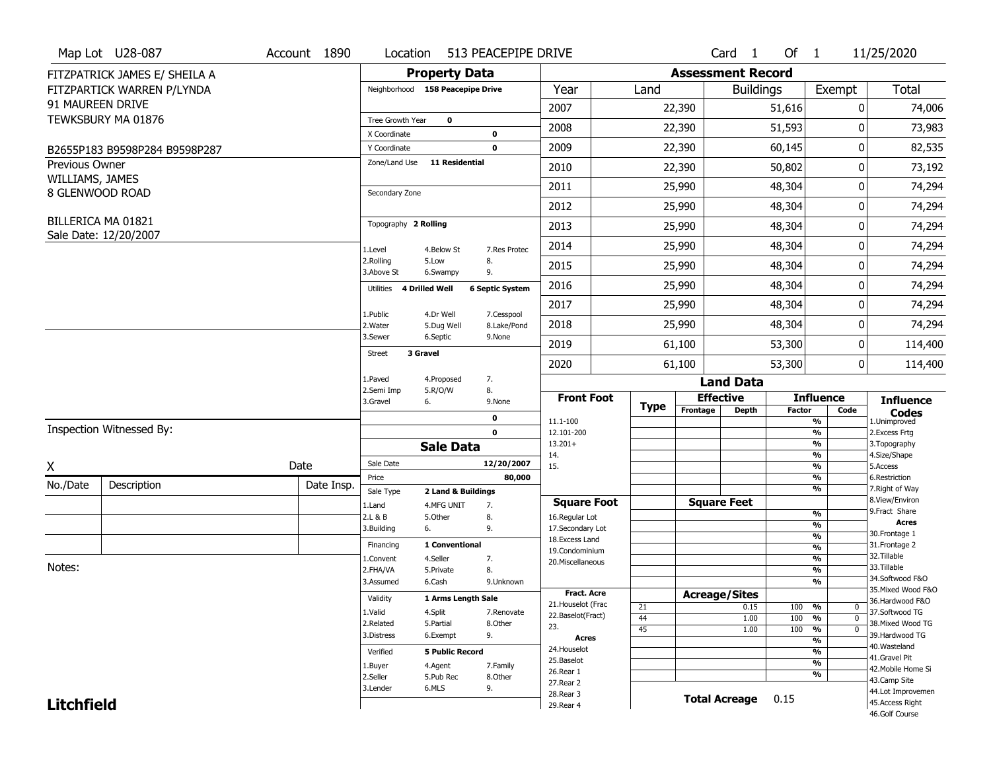|                       | Map Lot U28-087               | Account 1890 | Location                         |                                  | 513 PEACEPIPE DRIVE       |                          |             |                              | Card 1               | Of $1$        |                                 | 11/25/2020                          |
|-----------------------|-------------------------------|--------------|----------------------------------|----------------------------------|---------------------------|--------------------------|-------------|------------------------------|----------------------|---------------|---------------------------------|-------------------------------------|
|                       | FITZPATRICK JAMES E/ SHEILA A |              |                                  | <b>Property Data</b>             |                           |                          |             | <b>Assessment Record</b>     |                      |               |                                 |                                     |
|                       | FITZPARTICK WARREN P/LYNDA    |              | Neighborhood 158 Peacepipe Drive |                                  |                           | Year                     | Land        |                              | <b>Buildings</b>     |               | Exempt                          | <b>Total</b>                        |
|                       | 91 MAUREEN DRIVE              |              |                                  |                                  |                           | 2007                     |             | 22,390                       |                      | 51,616        | 0                               | 74,006                              |
|                       | TEWKSBURY MA 01876            |              | Tree Growth Year                 | $\mathbf 0$                      |                           |                          |             |                              |                      |               |                                 |                                     |
|                       |                               |              | X Coordinate                     |                                  | 0                         | 2008                     |             | 22,390                       |                      | 51,593        | 0                               | 73,983                              |
|                       | B2655P183 B9598P284 B9598P287 |              | Y Coordinate                     |                                  | $\mathbf 0$               | 2009                     |             | 22,390                       |                      | 60,145        | $\mathbf 0$                     | 82,535                              |
| <b>Previous Owner</b> |                               |              | Zone/Land Use                    | 11 Residential                   |                           | 2010                     |             | 22,390                       |                      | 50,802        | 0                               | 73,192                              |
| WILLIAMS, JAMES       | 8 GLENWOOD ROAD               |              | Secondary Zone                   |                                  |                           | 2011                     |             | 25,990                       |                      | 48,304        | 0                               | 74,294                              |
|                       |                               |              |                                  |                                  |                           | 2012                     |             | 25,990                       |                      | 48,304        | 0                               | 74,294                              |
|                       | BILLERICA MA 01821            |              | Topography 2 Rolling             |                                  |                           | 2013                     |             | 25,990                       |                      | 48,304        | 0                               | 74,294                              |
|                       | Sale Date: 12/20/2007         |              | 1.Level                          | 4.Below St                       | 7.Res Protec              | 2014                     |             | 25,990                       |                      | 48,304        | 0                               | 74,294                              |
|                       |                               |              | 2.Rolling<br>3.Above St          | 5.Low<br>6.Swampy                | 8.<br>9.                  | 2015                     |             | 25,990                       |                      | 48,304        | 0                               | 74,294                              |
|                       |                               |              | Utilities                        | 4 Drilled Well                   | <b>6 Septic System</b>    | 2016                     |             | 25,990                       |                      | 48,304        | 0                               | 74,294                              |
|                       |                               |              |                                  |                                  |                           | 2017                     |             | 25,990                       |                      | 48,304        | 0                               | 74,294                              |
|                       |                               |              | 1.Public<br>2. Water             | 4.Dr Well<br>5.Dug Well          | 7.Cesspool<br>8.Lake/Pond | 2018                     |             | 25,990                       |                      | 48,304        | 0                               | 74,294                              |
|                       |                               |              | 3.Sewer                          | 6.Septic                         | 9.None                    | 2019                     |             | 61,100                       |                      | 53,300        | 0                               | 114,400                             |
|                       |                               |              | 3 Gravel<br>Street               |                                  |                           | 2020                     |             | 61,100                       |                      | 53,300        | 0                               | 114,400                             |
|                       |                               |              | 1.Paved<br>2.Semi Imp            | 4.Proposed                       | 7.<br>8.                  |                          |             |                              | <b>Land Data</b>     |               |                                 |                                     |
|                       |                               |              | 3.Gravel                         | 5.R/O/W<br>6.                    | 9.None                    | <b>Front Foot</b>        | <b>Type</b> | <b>Effective</b><br>Frontage |                      | <b>Factor</b> | <b>Influence</b><br>Code        | <b>Influence</b>                    |
|                       |                               |              |                                  |                                  | 0                         | 11.1-100                 |             |                              | <b>Depth</b>         |               | %                               | <b>Codes</b><br>1.Unimproved        |
|                       | Inspection Witnessed By:      |              |                                  |                                  | $\mathbf 0$               | 12.101-200               |             |                              |                      |               | $\frac{9}{6}$                   | 2.Excess Frtg                       |
|                       |                               |              |                                  | <b>Sale Data</b>                 |                           | $13.201+$<br>14.         |             |                              |                      |               | $\frac{9}{6}$<br>$\frac{9}{6}$  | 3. Topography<br>4.Size/Shape       |
| X                     |                               | Date         | Sale Date                        |                                  | 12/20/2007                | 15.                      |             |                              |                      |               | $\frac{9}{6}$                   | 5.Access                            |
| No./Date              | Description                   | Date Insp.   | Price                            |                                  | 80,000                    |                          |             |                              |                      |               | %<br>%                          | 6.Restriction<br>7. Right of Way    |
|                       |                               |              | Sale Type<br>1.Land              | 2 Land & Buildings<br>4.MFG UNIT | 7.                        | <b>Square Foot</b>       |             |                              | <b>Square Feet</b>   |               |                                 | 8.View/Environ                      |
|                       |                               |              | 2.L & B                          | 5.Other                          | 8.                        | 16.Regular Lot           |             |                              |                      |               | $\frac{9}{6}$                   | 9. Fract Share                      |
|                       |                               |              | 3.Building                       | 6.                               | 9.                        | 17.Secondary Lot         |             |                              |                      |               | $\frac{9}{6}$                   | <b>Acres</b><br>30. Frontage 1      |
|                       |                               |              | Financing                        | 1 Conventional                   |                           | 18. Excess Land          |             |                              |                      |               | $\frac{9}{6}$<br>$\frac{9}{6}$  | 31. Frontage 2                      |
|                       |                               |              | 1.Convent                        | 4.Seller                         | 7.                        | 19.Condominium           |             |                              |                      |               | $\frac{9}{6}$                   | 32. Tillable                        |
| Notes:                |                               |              | 2.FHA/VA                         | 5.Private                        | 8.                        | 20.Miscellaneous         |             |                              |                      |               | $\frac{9}{6}$                   | 33.Tillable                         |
|                       |                               |              | 3.Assumed                        | 6.Cash                           | 9.Unknown                 |                          |             |                              |                      |               | $\overline{\frac{9}{6}}$        | 34.Softwood F&O                     |
|                       |                               |              | Validity                         | 1 Arms Length Sale               |                           | <b>Fract, Acre</b>       |             | <b>Acreage/Sites</b>         |                      |               |                                 | 35. Mixed Wood F&O                  |
|                       |                               |              |                                  |                                  |                           | 21. Houselot (Frac       | 21          |                              | 0.15                 | 100           | %<br>0                          | 36.Hardwood F&O                     |
|                       |                               |              | 1.Valid                          | 4.Split                          | 7.Renovate                | 22.Baselot(Fract)        | 44          |                              | 1.00                 | 100           | %<br>$\mathbf{0}$               | 37.Softwood TG                      |
|                       |                               |              | 2.Related<br>3.Distress          | 5.Partial<br>6.Exempt            | 8.Other<br>9.             | 23.                      | 45          |                              | 1.00                 | 100           | $\frac{9}{6}$<br>$\overline{0}$ | 38. Mixed Wood TG<br>39.Hardwood TG |
|                       |                               |              |                                  |                                  |                           | <b>Acres</b>             |             |                              |                      |               | $\frac{9}{6}$                   | 40. Wasteland                       |
|                       |                               |              | Verified                         | <b>5 Public Record</b>           |                           | 24. Houselot             |             |                              |                      |               | $\frac{9}{6}$                   | 41.Gravel Pit                       |
|                       |                               |              |                                  |                                  |                           |                          |             |                              |                      |               |                                 |                                     |
|                       |                               |              | 1.Buyer                          | 4.Agent                          | 7.Family                  | 25.Baselot               |             |                              |                      |               | $\frac{9}{6}$                   |                                     |
|                       |                               |              | 2.Seller                         | 5.Pub Rec                        | 8.Other                   | 26.Rear 1                |             |                              |                      |               | $\frac{9}{6}$                   | 42. Mobile Home Si<br>43.Camp Site  |
|                       |                               |              | 3.Lender                         | 6.MLS                            | 9.                        | 27.Rear 2                |             |                              |                      |               |                                 | 44.Lot Improvemen                   |
| <b>Litchfield</b>     |                               |              |                                  |                                  |                           | 28. Rear 3<br>29. Rear 4 |             |                              | <b>Total Acreage</b> | 0.15          |                                 | 45.Access Right<br>46.Golf Course   |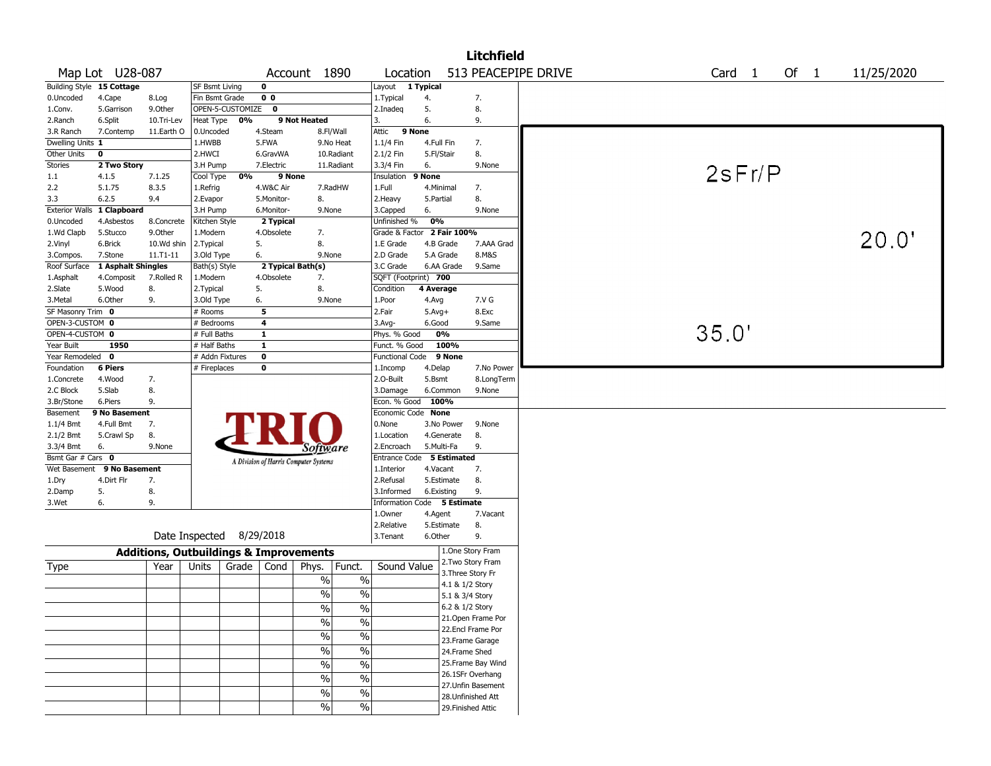|                                |                           |                                                   |                                 |                  |                                         |                                       |                          |                                         |                   |             | <b>Litchfield</b>   |                   |      |            |
|--------------------------------|---------------------------|---------------------------------------------------|---------------------------------|------------------|-----------------------------------------|---------------------------------------|--------------------------|-----------------------------------------|-------------------|-------------|---------------------|-------------------|------|------------|
|                                | Map Lot U28-087           |                                                   |                                 |                  |                                         | Account 1890                          |                          | Location                                |                   |             | 513 PEACEPIPE DRIVE | Card <sub>1</sub> | Of 1 | 11/25/2020 |
|                                | Building Style 15 Cottage |                                                   | <b>SF Bsmt Living</b>           |                  | 0                                       |                                       |                          | Layout                                  | 1 Typical         |             |                     |                   |      |            |
| 0.Uncoded                      | 4.Cape                    | 8.Log                                             | Fin Bsmt Grade                  |                  | 0 <sub>0</sub>                          |                                       |                          | 1. Typical                              | 4.                |             | 7.                  |                   |      |            |
| 1.Conv.                        | 5.Garrison                | 9.0ther                                           |                                 | OPEN-5-CUSTOMIZE | $\mathbf 0$                             |                                       |                          | 2.Inadeg                                | 5.                |             | 8.                  |                   |      |            |
| 2.Ranch                        | 6.Split                   | 10.Tri-Lev                                        | Heat Type                       | 0%               |                                         | 9 Not Heated                          |                          | 3.                                      | 6.                |             | 9.                  |                   |      |            |
| 3.R Ranch                      | 7.Contemp                 | 11.Earth O                                        | 0.Uncoded                       |                  | 4.Steam                                 |                                       | 8.Fl/Wall                | 9 None<br>Attic                         |                   |             |                     |                   |      |            |
| Dwelling Units 1               |                           |                                                   | 1.HWBB                          |                  | 5.FWA                                   |                                       | 9.No Heat                | 1.1/4 Fin                               |                   | 4.Full Fin  | 7.                  |                   |      |            |
| Other Units                    | $\bf o$                   |                                                   | 2.HWCI                          |                  | 6.GravWA                                |                                       | 10.Radiant               | 2.1/2 Fin                               | 5.Fl/Stair        |             | 8.                  |                   |      |            |
| <b>Stories</b>                 | 2 Two Story               |                                                   | 3.H Pump                        |                  | 7.Electric                              |                                       | 11.Radiant               | 3.3/4 Fin                               | 6.                |             | 9.None              |                   |      |            |
| 1.1                            | 4.1.5                     | 7.1.25                                            | Cool Type                       | 0%               | 9 None                                  |                                       |                          | Insulation                              | 9 None            |             |                     | 2sFr/P            |      |            |
| 2.2                            | 5.1.75                    | 8.3.5                                             | 1.Refrig                        |                  | 4.W&C Air                               |                                       | 7.RadHW                  | 1.Full                                  |                   | 4.Minimal   | 7.                  |                   |      |            |
| 3.3                            | 6.2.5                     | 9.4                                               | 2.Evapor                        |                  | 5.Monitor-                              | 8.                                    |                          | 2. Heavy                                | 5.Partial         |             | 8.                  |                   |      |            |
| <b>Exterior Walls</b>          | 1 Clapboard               |                                                   | 3.H Pump                        |                  | 6.Monitor-                              | 9.None                                |                          | 3.Capped                                | 6.                |             | 9.None              |                   |      |            |
| 0.Uncoded                      | 4.Asbestos                | 8.Concrete                                        | Kitchen Style                   |                  | 2 Typical                               |                                       |                          | Unfinished %                            | 0%                |             |                     |                   |      |            |
| 1.Wd Clapb                     | 5.Stucco                  | 9.0ther                                           | 1.Modern                        |                  | 4.Obsolete                              | 7.                                    |                          | Grade & Factor 2 Fair 100%              |                   |             |                     |                   |      | 20.0"      |
| 2.Vinyl                        | 6.Brick                   | 10.Wd shin                                        | 2.Typical                       |                  | 5.                                      | 8.                                    |                          | 1.E Grade                               |                   | 4.B Grade   | 7.AAA Grad          |                   |      |            |
| 3.Compos.                      | 7.Stone                   | $11.71 - 11$                                      | 3.Old Type                      |                  | 6.                                      | 9.None                                |                          | 2.D Grade                               |                   | 5.A Grade   | 8.M&S               |                   |      |            |
| Roof Surface                   | 1 Asphalt Shingles        |                                                   | Bath(s) Style                   |                  |                                         | 2 Typical Bath(s)                     |                          | 3.C Grade                               |                   | 6.AA Grade  | 9.Same              |                   |      |            |
| 1.Asphalt                      | 4.Composit                | 7.Rolled R                                        | 1.Modern                        |                  | 4.Obsolete                              | 7.                                    |                          | SQFT (Footprint) 700                    |                   |             |                     |                   |      |            |
| 2.Slate                        | 5.Wood                    | 8.                                                | 2. Typical                      |                  | 5.                                      | 8.                                    |                          | Condition                               | 4 Average         |             |                     |                   |      |            |
| 3.Metal                        | 6.Other                   | 9.                                                | 3.Old Type                      |                  | 6.                                      | 9.None                                |                          | 1.Poor                                  | 4.Avg             |             | 7.V G               |                   |      |            |
| SF Masonry Trim 0              |                           |                                                   | # Rooms                         |                  | 5                                       |                                       |                          | 2.Fair                                  | $5.$ Avg $+$      |             | 8.Exc               |                   |      |            |
| OPEN-3-CUSTOM 0                |                           |                                                   | # Bedrooms                      |                  | 4                                       |                                       |                          | $3.$ Avg-                               | 6.Good            |             | 9.Same              | 35.0'             |      |            |
| OPEN-4-CUSTOM 0                |                           |                                                   | # Full Baths                    |                  | $\mathbf{1}$                            |                                       |                          | Phys. % Good                            |                   | 0%          |                     |                   |      |            |
| Year Built                     | 1950                      |                                                   | # Half Baths<br># Addn Fixtures |                  | $\mathbf{1}$<br>$\overline{\mathbf{0}}$ |                                       |                          | Funct. % Good<br><b>Functional Code</b> |                   | 100%        |                     |                   |      |            |
| Year Remodeled 0<br>Foundation | <b>6 Piers</b>            |                                                   | # Fireplaces                    |                  | 0                                       |                                       |                          |                                         |                   | 9 None      | 7.No Power          |                   |      |            |
| 1.Concrete                     | 4.Wood                    | 7.                                                |                                 |                  |                                         |                                       |                          | 1.Incomp<br>2.0-Built                   | 4.Delap<br>5.Bsmt |             | 8.LongTerm          |                   |      |            |
| 2.C Block                      | 5.Slab                    | 8.                                                |                                 |                  |                                         |                                       |                          | 3.Damage                                |                   | 6.Common    | 9.None              |                   |      |            |
| 3.Br/Stone                     | 6.Piers                   | 9.                                                |                                 |                  |                                         |                                       |                          | Econ. % Good                            | 100%              |             |                     |                   |      |            |
| Basement                       | 9 No Basement             |                                                   |                                 |                  |                                         |                                       |                          | Economic Code None                      |                   |             |                     |                   |      |            |
| $1.1/4$ Bmt                    | 4.Full Bmt                | 7.                                                |                                 |                  |                                         |                                       |                          | 0.None                                  |                   | 3.No Power  | 9.None              |                   |      |            |
| 2.1/2 Bmt                      | 5.Crawl Sp                | 8.                                                |                                 |                  |                                         |                                       |                          | 1.Location                              |                   | 4.Generate  | 8.                  |                   |      |            |
| 3.3/4 Bmt                      | 6.                        | 9.None                                            |                                 |                  |                                         | Software                              |                          | 2.Encroach                              |                   | 5.Multi-Fa  | 9.                  |                   |      |            |
| Bsmt Gar # Cars 0              |                           |                                                   |                                 |                  |                                         | A Division of Harris Computer Systems |                          | Entrance Code                           |                   | 5 Estimated |                     |                   |      |            |
| Wet Basement                   | 9 No Basement             |                                                   |                                 |                  |                                         |                                       |                          | 1.Interior                              | 4.Vacant          |             | 7.                  |                   |      |            |
| 1.Dry                          | 4.Dirt Flr                | 7.                                                |                                 |                  |                                         |                                       |                          | 2.Refusal                               |                   | 5.Estimate  | 8.                  |                   |      |            |
| 2.Damp                         | 5.                        | 8.                                                |                                 |                  |                                         |                                       |                          | 3.Informed                              |                   | 6.Existing  | 9.                  |                   |      |            |
| 3.Wet                          | 6.                        | 9.                                                |                                 |                  |                                         |                                       |                          | Information Code 5 Estimate             |                   |             |                     |                   |      |            |
|                                |                           |                                                   |                                 |                  |                                         |                                       |                          | 1.0wner                                 | 4.Agent           |             | 7.Vacant            |                   |      |            |
|                                |                           |                                                   |                                 |                  |                                         |                                       |                          | 2.Relative                              |                   | 5.Estimate  | 8.                  |                   |      |            |
|                                |                           | Date Inspected 8/29/2018                          |                                 |                  |                                         |                                       |                          | 3. Tenant                               | 6.Other           |             | 9.                  |                   |      |            |
|                                |                           | <b>Additions, Outbuildings &amp; Improvements</b> |                                 |                  |                                         |                                       |                          |                                         |                   |             | 1.One Story Fram    |                   |      |            |
|                                |                           | Year                                              |                                 | Grade            |                                         |                                       | Funct.                   | Sound Value                             |                   |             | 2. Two Story Fram   |                   |      |            |
| Type                           |                           |                                                   | Units                           |                  | Cond                                    | Phys.                                 |                          |                                         |                   |             | 3. Three Story Fr   |                   |      |            |
|                                |                           |                                                   |                                 |                  |                                         | $\%$                                  | $\%$                     |                                         |                   |             | 4.1 & 1/2 Story     |                   |      |            |
|                                |                           |                                                   |                                 |                  |                                         | $\%$                                  | $\%$                     |                                         |                   |             | 5.1 & 3/4 Story     |                   |      |            |
|                                |                           |                                                   |                                 |                  |                                         | %                                     | $\%$                     |                                         |                   |             | 6.2 & 1/2 Story     |                   |      |            |
|                                |                           |                                                   |                                 |                  |                                         | $\frac{0}{6}$                         | $\frac{0}{6}$            |                                         |                   |             | 21. Open Frame Por  |                   |      |            |
|                                |                           |                                                   |                                 |                  |                                         | $\frac{9}{6}$                         | $\overline{\frac{0}{0}}$ |                                         |                   |             | 22.Encl Frame Por   |                   |      |            |
|                                |                           |                                                   |                                 |                  |                                         |                                       |                          |                                         |                   |             | 23. Frame Garage    |                   |      |            |
|                                |                           |                                                   |                                 |                  |                                         | $\frac{9}{6}$                         | $\overline{\frac{0}{0}}$ |                                         |                   |             | 24.Frame Shed       |                   |      |            |
|                                |                           |                                                   |                                 |                  |                                         | $\sqrt{6}$                            | $\overline{\frac{0}{0}}$ |                                         |                   |             | 25. Frame Bay Wind  |                   |      |            |
|                                |                           |                                                   |                                 |                  |                                         | $\sqrt{6}$                            | $\frac{0}{0}$            |                                         |                   |             | 26.1SFr Overhang    |                   |      |            |
|                                |                           |                                                   |                                 |                  |                                         | $\%$                                  | $\%$                     |                                         |                   |             | 27.Unfin Basement   |                   |      |            |
|                                |                           |                                                   |                                 |                  |                                         |                                       |                          |                                         |                   |             | 28. Unfinished Att  |                   |      |            |
|                                |                           |                                                   |                                 |                  |                                         | %                                     | $\frac{9}{6}$            |                                         |                   |             | 29. Finished Attic  |                   |      |            |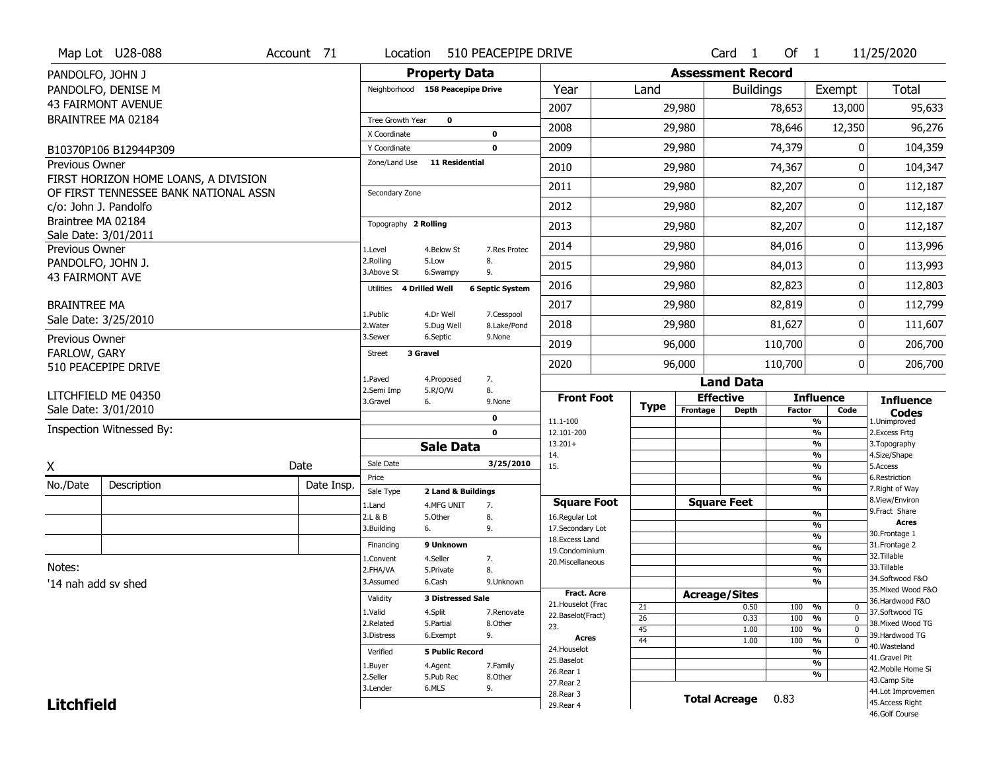|                        | Map Lot U28-088                                                               | Account 71 | Location                |                                   | 510 PEACEPIPE DRIVE          |                                  |                 |                              | Card<br>$\overline{1}$ | Of $1$        |                                           | 11/25/2020                            |
|------------------------|-------------------------------------------------------------------------------|------------|-------------------------|-----------------------------------|------------------------------|----------------------------------|-----------------|------------------------------|------------------------|---------------|-------------------------------------------|---------------------------------------|
| PANDOLFO, JOHN J       |                                                                               |            |                         | <b>Property Data</b>              |                              |                                  |                 | <b>Assessment Record</b>     |                        |               |                                           |                                       |
|                        | PANDOLFO, DENISE M                                                            |            |                         | Neighborhood 158 Peacepipe Drive  |                              | Year                             | Land            |                              | <b>Buildings</b>       |               | Exempt                                    | <b>Total</b>                          |
|                        | <b>43 FAIRMONT AVENUE</b>                                                     |            |                         |                                   |                              | 2007                             |                 | 29,980                       |                        | 78,653        | 13,000                                    | 95,633                                |
|                        | BRAINTREE MA 02184                                                            |            | Tree Growth Year        | $\mathbf 0$                       |                              |                                  |                 |                              |                        |               |                                           |                                       |
|                        |                                                                               |            | X Coordinate            |                                   | 0                            | 2008                             |                 | 29,980                       |                        | 78,646        | 12,350                                    | 96,276                                |
|                        | B10370P106 B12944P309                                                         |            | Y Coordinate            |                                   | $\mathbf 0$                  | 2009                             |                 | 29,980                       |                        | 74,379        | 0                                         | 104,359                               |
| Previous Owner         |                                                                               |            | Zone/Land Use           | <b>11 Residential</b>             |                              | 2010                             |                 | 29,980                       |                        | 74,367        | 0                                         | 104,347                               |
|                        | FIRST HORIZON HOME LOANS, A DIVISION<br>OF FIRST TENNESSEE BANK NATIONAL ASSN |            | Secondary Zone          |                                   |                              | 2011                             |                 | 29,980                       |                        | 82,207        | 0                                         | 112,187                               |
|                        | c/o: John J. Pandolfo                                                         |            |                         |                                   |                              | 2012                             |                 | 29,980                       |                        | 82,207        | 0                                         | 112,187                               |
| Braintree MA 02184     |                                                                               |            | Topography 2 Rolling    |                                   |                              | 2013                             |                 | 29,980                       |                        | 82,207        | 0                                         | 112,187                               |
| Previous Owner         | Sale Date: 3/01/2011                                                          |            | 1.Level                 | 4.Below St                        | 7.Res Protec                 | 2014                             |                 | 29,980                       |                        | 84,016        | 0                                         | 113,996                               |
| PANDOLFO, JOHN J.      |                                                                               |            | 2.Rolling               | 5.Low                             | 8.                           | 2015                             |                 | 29,980                       |                        | 84,013        | 0                                         | 113,993                               |
| <b>43 FAIRMONT AVE</b> |                                                                               |            | 3.Above St<br>Utilities | 6.Swampy<br><b>4 Drilled Well</b> | 9.<br><b>6 Septic System</b> | 2016                             |                 | 29,980                       |                        | 82,823        | 0                                         | 112,803                               |
| <b>BRAINTREE MA</b>    |                                                                               |            |                         |                                   |                              | 2017                             |                 | 29,980                       |                        | 82,819        | 0                                         | 112,799                               |
|                        | Sale Date: 3/25/2010                                                          |            | 1.Public<br>2. Water    | 4.Dr Well<br>5.Dug Well           | 7.Cesspool<br>8.Lake/Pond    | 2018                             |                 | 29,980                       |                        | 81,627        | 0                                         | 111,607                               |
| Previous Owner         |                                                                               |            | 3.Sewer                 | 6.Septic                          | 9.None                       | 2019                             |                 | 96,000                       |                        | 110,700       | 0                                         | 206,700                               |
| FARLOW, GARY           | 510 PEACEPIPE DRIVE                                                           |            | <b>Street</b>           | 3 Gravel                          |                              | 2020                             |                 | 96,000                       |                        | 110,700       | 0                                         | 206,700                               |
|                        |                                                                               |            | 1.Paved                 | 4.Proposed                        | 7.                           |                                  |                 |                              | <b>Land Data</b>       |               |                                           |                                       |
|                        | LITCHFIELD ME 04350                                                           |            | 2.Semi Imp              | 5.R/O/W                           | 8.                           |                                  |                 |                              |                        |               | <b>Influence</b>                          |                                       |
|                        |                                                                               |            |                         |                                   |                              |                                  |                 |                              |                        |               |                                           |                                       |
|                        | Sale Date: 3/01/2010                                                          |            | 3.Gravel                | 6.                                | 9.None                       | <b>Front Foot</b>                | <b>Type</b>     | <b>Effective</b><br>Frontage | <b>Depth</b>           | <b>Factor</b> | Code                                      | <b>Influence</b>                      |
|                        |                                                                               |            |                         |                                   | 0                            | 11.1-100                         |                 |                              |                        |               | %                                         | <b>Codes</b><br>1.Unimproved          |
|                        | Inspection Witnessed By:                                                      |            |                         |                                   | $\mathbf{0}$                 | 12.101-200<br>$13.201+$          |                 |                              |                        |               | $\frac{9}{6}$<br>$\frac{9}{6}$            | 2.Excess Frtg<br>3. Topography        |
|                        |                                                                               |            |                         | <b>Sale Data</b>                  |                              | 14.                              |                 |                              |                        |               | $\frac{9}{6}$                             | 4.Size/Shape                          |
| Χ                      |                                                                               | Date       | Sale Date               |                                   | 3/25/2010                    | 15.                              |                 |                              |                        |               | $\frac{9}{6}$                             | 5.Access                              |
| No./Date               | Description                                                                   | Date Insp. | Price<br>Sale Type      | 2 Land & Buildings                |                              |                                  |                 |                              |                        |               | %<br>%                                    | 6.Restriction<br>7. Right of Way      |
|                        |                                                                               |            | 1.Land                  | 4.MFG UNIT                        | 7.                           | <b>Square Foot</b>               |                 |                              | <b>Square Feet</b>     |               |                                           | 8.View/Environ                        |
|                        |                                                                               |            | 2.L & B                 | 5.Other                           | 8.                           | 16.Regular Lot                   |                 |                              |                        |               | %                                         | 9. Fract Share<br><b>Acres</b>        |
|                        |                                                                               |            | 3.Building              | 6.                                | 9.                           | 17.Secondary Lot                 |                 |                              |                        |               | $\frac{9}{6}$<br>$\overline{\frac{9}{6}}$ | 30. Frontage 1                        |
|                        |                                                                               |            | Financing               | 9 Unknown                         |                              | 18.Excess Land<br>19.Condominium |                 |                              |                        |               | $\frac{9}{6}$                             | 31. Frontage 2                        |
|                        |                                                                               |            | 1.Convent               | 4.Seller                          | 7.                           | 20.Miscellaneous                 |                 |                              |                        |               | $\frac{9}{6}$                             | 32. Tillable                          |
| Notes:                 |                                                                               |            | 2.FHA/VA                | 5.Private                         | 8.                           |                                  |                 |                              |                        |               | $\frac{9}{6}$                             | 33.Tillable                           |
| '14 nah add sv shed    |                                                                               |            | 3.Assumed               | 6.Cash                            | 9.Unknown                    |                                  |                 |                              |                        |               | $\overline{\frac{9}{6}}$                  | 34.Softwood F&O                       |
|                        |                                                                               |            | Validity                | <b>3 Distressed Sale</b>          |                              | <b>Fract. Acre</b>               |                 |                              | <b>Acreage/Sites</b>   |               |                                           | 35. Mixed Wood F&O<br>36.Hardwood F&O |
|                        |                                                                               |            | 1.Valid                 | 4.Split                           | 7.Renovate                   | 21. Houselot (Frac               | 21              |                              | 0.50                   | 100           | %<br>0                                    | 37.Softwood TG                        |
|                        |                                                                               |            | 2.Related               | 5.Partial                         | 8.Other                      | 22.Baselot(Fract)                | $\overline{26}$ |                              | 0.33                   | 100           | %<br>$\mathbf{0}$                         | 38. Mixed Wood TG                     |
|                        |                                                                               |            | 3.Distress              | 6.Exempt                          | 9.                           | 23.<br>Acres                     | 45              |                              | 1.00                   | 100           | %<br>$\mathbf{0}$<br>$\mathbf{0}$         | 39.Hardwood TG                        |
|                        |                                                                               |            | Verified                | <b>5 Public Record</b>            |                              | 24. Houselot                     | 44              |                              | 1.00                   | 100           | $\frac{9}{6}$<br>%                        | 40. Wasteland                         |
|                        |                                                                               |            |                         |                                   |                              | 25.Baselot                       |                 |                              |                        |               | $\frac{9}{6}$                             | 41.Gravel Pit                         |
|                        |                                                                               |            | 1.Buyer<br>2.Seller     | 4.Agent<br>5.Pub Rec              | 7.Family<br>8.Other          | 26.Rear 1                        |                 |                              |                        |               | $\frac{9}{6}$                             | 42. Mobile Home Si                    |
|                        |                                                                               |            | 3.Lender                | 6.MLS                             | 9.                           | 27. Rear 2                       |                 |                              |                        |               |                                           | 43.Camp Site                          |
| <b>Litchfield</b>      |                                                                               |            |                         |                                   |                              | 28. Rear 3<br>29. Rear 4         |                 |                              | <b>Total Acreage</b>   | 0.83          |                                           | 44.Lot Improvemen<br>45.Access Right  |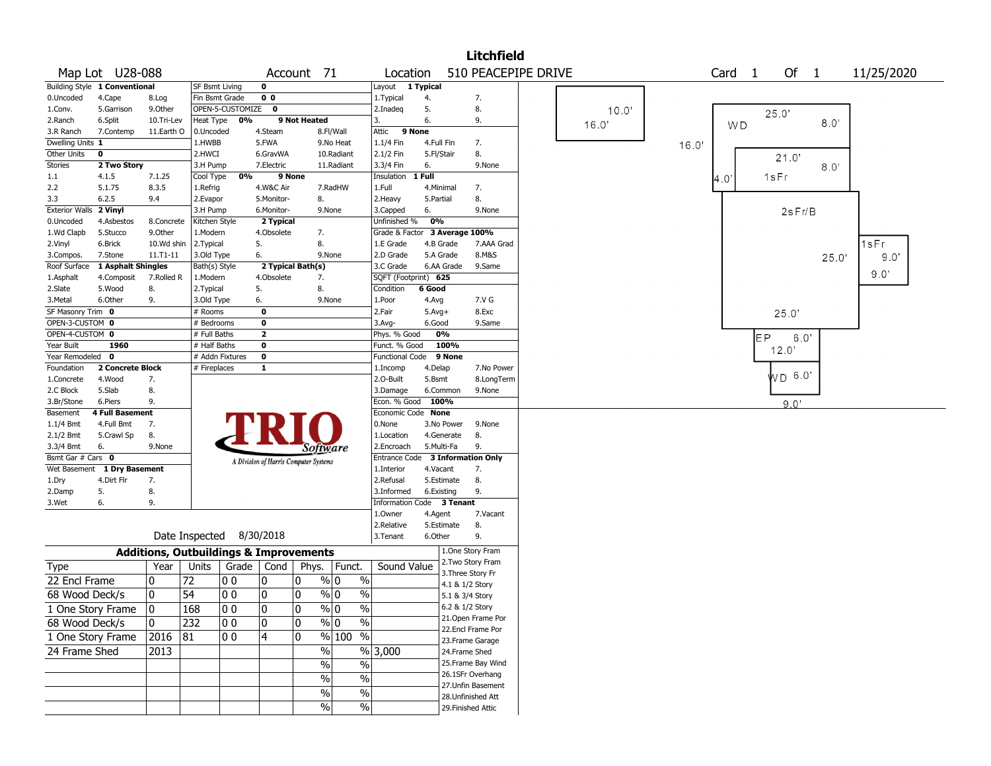| 510 PEACEPIPE DRIVE<br>Map Lot U28-088<br>Of 1<br>Account 71<br>Location<br>Card 1<br>11/25/2020<br>Building Style 1 Conventional<br>$\mathbf 0$<br>Layout 1 Typical<br><b>SF Bsmt Living</b><br>0.Uncoded<br>4.Cape<br>Fin Bsmt Grade<br>0 <sub>0</sub><br>1. Typical<br>7.<br>8.Log<br>4.<br>9.Other<br>OPEN-5-CUSTOMIZE<br>5.<br>8.<br>5.Garrison<br>0<br>2.Inadeg<br>1.Conv.<br>10.0'<br>25.0'<br>0%<br>9 Not Heated<br>3.<br>6.<br>2.Ranch<br>6.Split<br>10.Tri-Lev<br>Heat Type<br>9.<br>8.0'<br>16.0<br><b>WD</b><br>9 None<br>4.Steam<br>3.R Ranch<br>7.Contemp<br>11.Earth O<br>0.Uncoded<br>8.Fl/Wall<br>Attic<br>1.HWBB<br>5.FWA<br>9.No Heat<br>1.1/4 Fin<br>7.<br>Dwelling Units 1<br>4.Full Fin<br>16.0'<br>0<br>2.HWCI<br>2.1/2 Fin<br>5.Fl/Stair<br>8.<br>Other Units<br>6.GravWA<br>10.Radiant<br>21.0' |  |
|--------------------------------------------------------------------------------------------------------------------------------------------------------------------------------------------------------------------------------------------------------------------------------------------------------------------------------------------------------------------------------------------------------------------------------------------------------------------------------------------------------------------------------------------------------------------------------------------------------------------------------------------------------------------------------------------------------------------------------------------------------------------------------------------------------------------------|--|
|                                                                                                                                                                                                                                                                                                                                                                                                                                                                                                                                                                                                                                                                                                                                                                                                                          |  |
|                                                                                                                                                                                                                                                                                                                                                                                                                                                                                                                                                                                                                                                                                                                                                                                                                          |  |
|                                                                                                                                                                                                                                                                                                                                                                                                                                                                                                                                                                                                                                                                                                                                                                                                                          |  |
|                                                                                                                                                                                                                                                                                                                                                                                                                                                                                                                                                                                                                                                                                                                                                                                                                          |  |
|                                                                                                                                                                                                                                                                                                                                                                                                                                                                                                                                                                                                                                                                                                                                                                                                                          |  |
|                                                                                                                                                                                                                                                                                                                                                                                                                                                                                                                                                                                                                                                                                                                                                                                                                          |  |
|                                                                                                                                                                                                                                                                                                                                                                                                                                                                                                                                                                                                                                                                                                                                                                                                                          |  |
|                                                                                                                                                                                                                                                                                                                                                                                                                                                                                                                                                                                                                                                                                                                                                                                                                          |  |
| <b>Stories</b><br>2 Two Story<br>3.H Pump<br>7.Electric<br>3.3/4 Fin<br>6.<br>11.Radiant<br>9.None<br>8.0'                                                                                                                                                                                                                                                                                                                                                                                                                                                                                                                                                                                                                                                                                                               |  |
| 0%<br>9 None<br>1 Full<br>1sFr<br>7.1.25<br>Cool Type<br>Insulation<br>$1.1\,$<br>4.1.5<br>4.0                                                                                                                                                                                                                                                                                                                                                                                                                                                                                                                                                                                                                                                                                                                           |  |
| 1.Full<br>2.2<br>5.1.75<br>8.3.5<br>1.Refrig<br>4.W&C Air<br>7.RadHW<br>4.Minimal<br>7.                                                                                                                                                                                                                                                                                                                                                                                                                                                                                                                                                                                                                                                                                                                                  |  |
| 8.<br>6.2.5<br>8.<br>3.3<br>9.4<br>2.Evapor<br>5.Monitor-<br>2. Heavy<br>5.Partial                                                                                                                                                                                                                                                                                                                                                                                                                                                                                                                                                                                                                                                                                                                                       |  |
| Exterior Walls 2 Vinyl<br>3.H Pump<br>6.<br>6.Monitor-<br>9.None<br>3.Capped<br>9.None<br>2sFr/B                                                                                                                                                                                                                                                                                                                                                                                                                                                                                                                                                                                                                                                                                                                         |  |
| 0%<br>Unfinished %<br>4.Asbestos<br>Kitchen Style<br>2 Typical<br>0.Uncoded<br>8.Concrete                                                                                                                                                                                                                                                                                                                                                                                                                                                                                                                                                                                                                                                                                                                                |  |
| 1.Wd Clapb<br>4.Obsolete<br>Grade & Factor 3 Average 100%<br>5.Stucco<br>9.0ther<br>1.Modern<br>7.                                                                                                                                                                                                                                                                                                                                                                                                                                                                                                                                                                                                                                                                                                                       |  |
| 1sFr<br>5.<br>8.<br>4.B Grade<br>7.AAA Grad<br>2.Vinyl<br>6.Brick<br>10.Wd shin<br>2.Typical<br>1.E Grade                                                                                                                                                                                                                                                                                                                                                                                                                                                                                                                                                                                                                                                                                                                |  |
| 3.Old Type<br>6.<br>2.D Grade<br>5.A Grade<br>8.M&S<br>7.Stone<br>11.T1-11<br>9.None<br>3.Compos.<br>9.0'<br>25.0'                                                                                                                                                                                                                                                                                                                                                                                                                                                                                                                                                                                                                                                                                                       |  |
| 1 Asphalt Shingles<br>2 Typical Bath(s)<br>3.C Grade<br>9.Same<br>Roof Surface<br>Bath(s) Style<br>6.AA Grade<br>9.0'                                                                                                                                                                                                                                                                                                                                                                                                                                                                                                                                                                                                                                                                                                    |  |
| 4.Obsolete<br>SQFT (Footprint) 625<br>1.Asphalt<br>4.Composit<br>7.Rolled R<br>1.Modern<br>7.                                                                                                                                                                                                                                                                                                                                                                                                                                                                                                                                                                                                                                                                                                                            |  |
| 8.<br>5.<br>8.<br>6 Good<br>2.Slate<br>5.Wood<br>2. Typical<br>Condition                                                                                                                                                                                                                                                                                                                                                                                                                                                                                                                                                                                                                                                                                                                                                 |  |
| 3.Metal<br>6.Other<br>9.<br>3.Old Type<br>6.<br>9.None<br>1.Poor<br>4.Avg<br>7.V G                                                                                                                                                                                                                                                                                                                                                                                                                                                                                                                                                                                                                                                                                                                                       |  |
| SF Masonry Trim 0<br>2.Fair<br>8.Exc<br># Rooms<br>$\mathbf{o}$<br>$5.Avg+$<br>25.0'                                                                                                                                                                                                                                                                                                                                                                                                                                                                                                                                                                                                                                                                                                                                     |  |
| OPEN-3-CUSTOM 0<br>9.Same<br># Bedrooms<br>0<br>3.Avg-<br>6.Good                                                                                                                                                                                                                                                                                                                                                                                                                                                                                                                                                                                                                                                                                                                                                         |  |
| OPEN-4-CUSTOM 0<br>$\overline{2}$<br>0%<br>Phys. % Good<br># Full Baths<br>FР<br>6.0'                                                                                                                                                                                                                                                                                                                                                                                                                                                                                                                                                                                                                                                                                                                                    |  |
| 100%<br>Year Built<br>1960<br># Half Baths<br>0<br>Funct. % Good<br>12.0'                                                                                                                                                                                                                                                                                                                                                                                                                                                                                                                                                                                                                                                                                                                                                |  |
| Year Remodeled 0<br># Addn Fixtures<br>$\mathbf 0$<br><b>Functional Code</b><br>9 None                                                                                                                                                                                                                                                                                                                                                                                                                                                                                                                                                                                                                                                                                                                                   |  |
| Foundation<br>2 Concrete Block<br># Fireplaces<br>1<br>1.Incomp<br>4.Delap<br>7.No Power<br><b>WD 6.0</b>                                                                                                                                                                                                                                                                                                                                                                                                                                                                                                                                                                                                                                                                                                                |  |
| 7.<br>1.Concrete<br>4.Wood<br>2.O-Built<br>5.Bsmt<br>8.LongTerm                                                                                                                                                                                                                                                                                                                                                                                                                                                                                                                                                                                                                                                                                                                                                          |  |
| 8.<br>5.Slab<br>2.C Block<br>3.Damage<br>6.Common<br>9.None                                                                                                                                                                                                                                                                                                                                                                                                                                                                                                                                                                                                                                                                                                                                                              |  |
| 100%<br>6.Piers<br>9.<br>Econ. % Good<br>3.Br/Stone<br>9.0'                                                                                                                                                                                                                                                                                                                                                                                                                                                                                                                                                                                                                                                                                                                                                              |  |
| <b>4 Full Basement</b><br>Economic Code None<br>Basement                                                                                                                                                                                                                                                                                                                                                                                                                                                                                                                                                                                                                                                                                                                                                                 |  |
| 7.<br>0.None<br>$1.1/4$ Bmt<br>4.Full Bmt<br>3.No Power<br>9.None                                                                                                                                                                                                                                                                                                                                                                                                                                                                                                                                                                                                                                                                                                                                                        |  |
| 2.1/2 Bmt<br>8.<br>4.Generate<br>8.<br>5.Crawl Sp<br>1.Location                                                                                                                                                                                                                                                                                                                                                                                                                                                                                                                                                                                                                                                                                                                                                          |  |
| 3.3/4 Bmt<br>2.Encroach<br>5.Multi-Fa<br>9.<br>6.<br>9.None<br>Software                                                                                                                                                                                                                                                                                                                                                                                                                                                                                                                                                                                                                                                                                                                                                  |  |
| Bsmt Gar # Cars 0<br>Entrance Code 3 Information Only<br>A Division of Harris Computer Systems                                                                                                                                                                                                                                                                                                                                                                                                                                                                                                                                                                                                                                                                                                                           |  |
| <b>1 Dry Basement</b><br>7.<br>Wet Basement<br>1.Interior<br>4.Vacant                                                                                                                                                                                                                                                                                                                                                                                                                                                                                                                                                                                                                                                                                                                                                    |  |
| 8.<br>4.Dirt Flr<br>2.Refusal<br>5.Estimate<br>7.<br>1.Dry                                                                                                                                                                                                                                                                                                                                                                                                                                                                                                                                                                                                                                                                                                                                                               |  |
| 8.<br>5.<br>9.<br>3.Informed<br>6.Existing<br>2.Damp                                                                                                                                                                                                                                                                                                                                                                                                                                                                                                                                                                                                                                                                                                                                                                     |  |
| 9.<br>Information Code 3 Tenant<br>3.Wet<br>6.                                                                                                                                                                                                                                                                                                                                                                                                                                                                                                                                                                                                                                                                                                                                                                           |  |
| 1.Owner<br>7.Vacant<br>4.Agent                                                                                                                                                                                                                                                                                                                                                                                                                                                                                                                                                                                                                                                                                                                                                                                           |  |
| 8.<br>2.Relative<br>5.Estimate                                                                                                                                                                                                                                                                                                                                                                                                                                                                                                                                                                                                                                                                                                                                                                                           |  |
| Date Inspected 8/30/2018<br>6.Other<br>3.Tenant<br>9.                                                                                                                                                                                                                                                                                                                                                                                                                                                                                                                                                                                                                                                                                                                                                                    |  |
| 1.One Story Fram<br><b>Additions, Outbuildings &amp; Improvements</b>                                                                                                                                                                                                                                                                                                                                                                                                                                                                                                                                                                                                                                                                                                                                                    |  |
| 2. Two Story Fram<br>Year<br>Units<br>Grade   Cond  <br>Phys.   Funct.<br>Sound Value<br>Type                                                                                                                                                                                                                                                                                                                                                                                                                                                                                                                                                                                                                                                                                                                            |  |
| 3. Three Story Fr<br>22 Encl Frame<br>72<br>% 0<br>0<br> O O<br>10<br>0                                                                                                                                                                                                                                                                                                                                                                                                                                                                                                                                                                                                                                                                                                                                                  |  |
| $\%$<br>4.1 & 1/2 Story                                                                                                                                                                                                                                                                                                                                                                                                                                                                                                                                                                                                                                                                                                                                                                                                  |  |
| 54<br>$\frac{9}{0}$ 0<br>$\%$<br>10<br>00<br>10<br>0<br>68 Wood Deck/s<br>5.1 & 3/4 Story                                                                                                                                                                                                                                                                                                                                                                                                                                                                                                                                                                                                                                                                                                                                |  |
| 0<br>$\pmb{0}$<br>$\%$ 0<br>$\%$<br>6.2 & 1/2 Story<br>0<br>168<br>00<br>1 One Story Frame                                                                                                                                                                                                                                                                                                                                                                                                                                                                                                                                                                                                                                                                                                                               |  |
| 21.Open Frame Por<br>10<br>$\%$<br>0<br>232<br>00<br>0<br>% 0<br>68 Wood Deck/s                                                                                                                                                                                                                                                                                                                                                                                                                                                                                                                                                                                                                                                                                                                                          |  |
| 22.Encl Frame Por<br>1 One Story Frame<br> 4<br>$%100$ %<br> 2016 81<br>0<br> O O                                                                                                                                                                                                                                                                                                                                                                                                                                                                                                                                                                                                                                                                                                                                        |  |
| 23. Frame Garage                                                                                                                                                                                                                                                                                                                                                                                                                                                                                                                                                                                                                                                                                                                                                                                                         |  |
| $\sqrt{6}$<br>%3,000<br>24 Frame Shed<br>2013<br>24.Frame Shed                                                                                                                                                                                                                                                                                                                                                                                                                                                                                                                                                                                                                                                                                                                                                           |  |
| 25.Frame Bay Wind<br>%<br>$\%$                                                                                                                                                                                                                                                                                                                                                                                                                                                                                                                                                                                                                                                                                                                                                                                           |  |
| 26.1SFr Overhang<br>$\%$<br>$\%$                                                                                                                                                                                                                                                                                                                                                                                                                                                                                                                                                                                                                                                                                                                                                                                         |  |
| 27.Unfin Basement<br>%<br>$\%$                                                                                                                                                                                                                                                                                                                                                                                                                                                                                                                                                                                                                                                                                                                                                                                           |  |
| 28.Unfinished Att                                                                                                                                                                                                                                                                                                                                                                                                                                                                                                                                                                                                                                                                                                                                                                                                        |  |
| $\%$<br>$\%$<br>29. Finished Attic                                                                                                                                                                                                                                                                                                                                                                                                                                                                                                                                                                                                                                                                                                                                                                                       |  |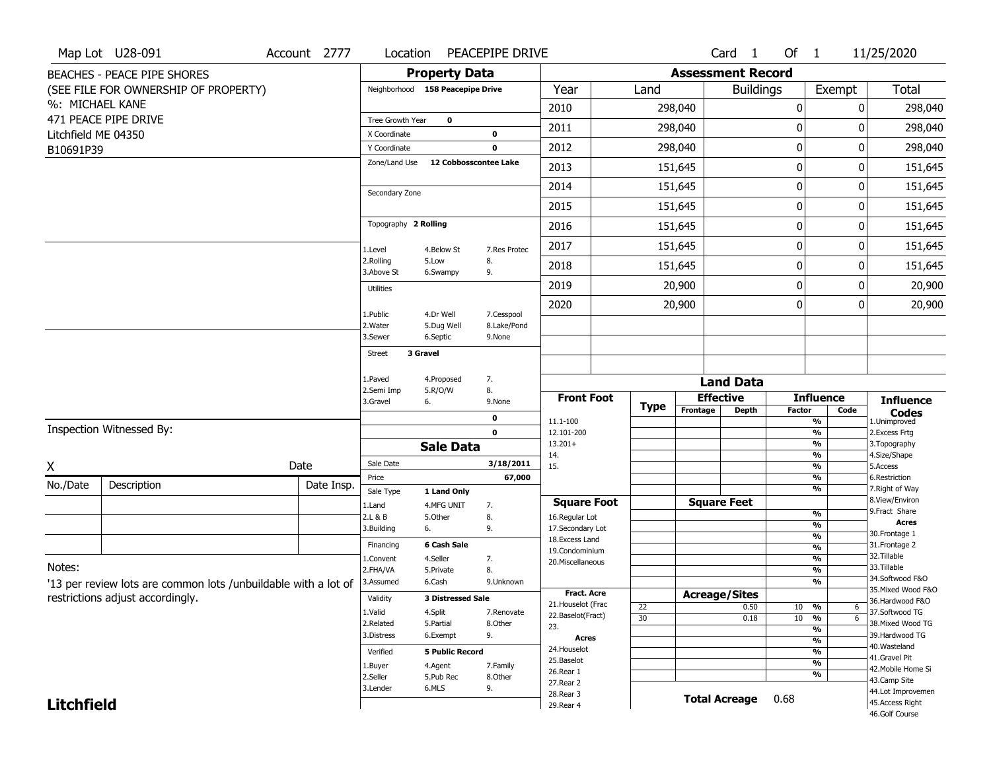|                     | Map Lot U28-091                                                | Account 2777 | Location                      |                                  | PEACEPIPE DRIVE           |                                         |                       |                          | Card <sub>1</sub>    | Of 1          |                                           | 11/25/2020                            |
|---------------------|----------------------------------------------------------------|--------------|-------------------------------|----------------------------------|---------------------------|-----------------------------------------|-----------------------|--------------------------|----------------------|---------------|-------------------------------------------|---------------------------------------|
|                     | <b>BEACHES - PEACE PIPE SHORES</b>                             |              |                               | <b>Property Data</b>             |                           |                                         |                       | <b>Assessment Record</b> |                      |               |                                           |                                       |
|                     | (SEE FILE FOR OWNERSHIP OF PROPERTY)                           |              |                               | Neighborhood 158 Peacepipe Drive |                           | Year                                    | Land                  |                          | <b>Buildings</b>     |               | Exempt                                    | Total                                 |
| %: MICHAEL KANE     |                                                                |              |                               |                                  |                           | 2010                                    |                       | 298,040                  |                      | 0             |                                           | 298,040<br>0                          |
|                     | 471 PEACE PIPE DRIVE                                           |              | Tree Growth Year              | 0                                |                           | 2011                                    |                       | 298,040                  |                      | 0             |                                           | 298,040<br>ŋ                          |
| Litchfield ME 04350 |                                                                |              | X Coordinate                  |                                  | 0                         |                                         |                       |                          |                      |               |                                           |                                       |
| B10691P39           |                                                                |              | Y Coordinate<br>Zone/Land Use | 12 Cobbosscontee Lake            | $\mathbf 0$               | 2012                                    |                       | 298,040                  |                      | $\mathbf 0$   |                                           | 0<br>298,040                          |
|                     |                                                                |              |                               |                                  |                           | 2013                                    |                       | 151,645                  |                      | 0             |                                           | 151,645<br>0                          |
|                     |                                                                |              | Secondary Zone                |                                  |                           | 2014                                    |                       | 151,645                  |                      | $\mathbf 0$   |                                           | 151,645<br>0                          |
|                     |                                                                |              |                               |                                  |                           | 2015                                    |                       | 151,645                  |                      | 0             |                                           | 151,645<br>0                          |
|                     |                                                                |              | Topography 2 Rolling          |                                  |                           | 2016                                    |                       | 151,645                  |                      | $\mathbf 0$   |                                           | 151,645<br>0                          |
|                     |                                                                |              | 1.Level                       | 4.Below St                       | 7.Res Protec              | 2017                                    |                       | 151,645                  |                      | 0             |                                           | 151,645<br>0                          |
|                     |                                                                |              | 2.Rolling<br>3.Above St       | 5.Low<br>6.Swampy                | 8.<br>9.                  | 2018                                    |                       | 151,645                  |                      | 0             |                                           | 151,645<br>0                          |
|                     |                                                                |              | <b>Utilities</b>              |                                  |                           | 2019                                    |                       | 20,900                   |                      | 0             |                                           | 20,900<br>0                           |
|                     |                                                                |              |                               |                                  |                           | 2020                                    |                       | 20,900                   |                      | 0             |                                           | 0<br>20,900                           |
|                     |                                                                |              | 1.Public<br>2. Water          | 4.Dr Well<br>5.Dug Well          | 7.Cesspool<br>8.Lake/Pond |                                         |                       |                          |                      |               |                                           |                                       |
|                     |                                                                |              | 3.Sewer                       | 6.Septic                         | 9.None                    |                                         |                       |                          |                      |               |                                           |                                       |
|                     |                                                                |              | <b>Street</b>                 | 3 Gravel                         |                           |                                         |                       |                          |                      |               |                                           |                                       |
|                     |                                                                |              | 1.Paved                       | 4.Proposed                       | 7.                        |                                         |                       |                          | <b>Land Data</b>     |               |                                           |                                       |
|                     |                                                                |              | 2.Semi Imp                    | 5.R/O/W                          | 8.                        | <b>Front Foot</b>                       |                       |                          | <b>Effective</b>     |               | <b>Influence</b>                          |                                       |
|                     |                                                                |              | 3.Gravel                      | 6.                               | 9.None                    |                                         | <b>Type</b>           | Frontage                 | <b>Depth</b>         | <b>Factor</b> | Code                                      | <b>Influence</b><br><b>Codes</b>      |
|                     | Inspection Witnessed By:                                       |              |                               |                                  | 0<br>$\mathbf 0$          | 11.1-100<br>12.101-200                  |                       |                          |                      |               | $\overline{\frac{9}{6}}$<br>$\frac{9}{6}$ | 1.Unimproved<br>2.Excess Frtg         |
|                     |                                                                |              |                               | <b>Sale Data</b>                 |                           | $13.201+$                               |                       |                          |                      |               | %                                         | 3. Topography                         |
| Χ                   |                                                                | Date         | Sale Date                     |                                  | 3/18/2011                 | 14.<br>15.                              |                       |                          |                      |               | $\frac{9}{6}$<br>$\overline{\frac{9}{6}}$ | 4.Size/Shape<br>5.Access              |
|                     |                                                                |              | Price                         |                                  | 67,000                    |                                         |                       |                          |                      |               | $\frac{9}{6}$                             | 6.Restriction                         |
| No./Date            | Description                                                    | Date Insp.   | Sale Type                     | 1 Land Only                      |                           |                                         |                       |                          |                      |               | $\overline{\frac{9}{6}}$                  | 7. Right of Way<br>8.View/Environ     |
|                     |                                                                |              | 1.Land<br>2.L & B             | 4.MFG UNIT<br>5.Other            | 7.<br>8.                  | <b>Square Foot</b><br>16.Regular Lot    |                       |                          | <b>Square Feet</b>   |               | $\frac{9}{6}$                             | 9.Fract Share                         |
|                     |                                                                |              | 3.Building                    | 6.                               | 9.                        | 17.Secondary Lot                        |                       |                          |                      |               | %                                         | <b>Acres</b>                          |
|                     |                                                                |              | Financing                     | 6 Cash Sale                      |                           | 18. Excess Land                         |                       |                          |                      |               | %<br>%                                    | 30. Frontage 1<br>31. Frontage 2      |
|                     |                                                                |              | 1.Convent                     | 4.Seller                         | 7.                        | 19.Condominium<br>20.Miscellaneous      |                       |                          |                      |               | %                                         | 32.Tillable                           |
| Notes:              |                                                                |              | 2.FHA/VA                      | 5.Private                        | 8.                        |                                         |                       |                          |                      |               | %                                         | 33.Tillable                           |
|                     | '13 per review lots are common lots /unbuildable with a lot of |              | 3.Assumed                     | 6.Cash                           | 9.Unknown                 |                                         |                       |                          |                      |               | %                                         | 34.Softwood F&O<br>35. Mixed Wood F&O |
|                     | restrictions adjust accordingly.                               |              | Validity                      | <b>3 Distressed Sale</b>         |                           | <b>Fract. Acre</b>                      |                       | <b>Acreage/Sites</b>     |                      |               |                                           | 36.Hardwood F&O                       |
|                     |                                                                |              | 1.Valid                       | 4.Split                          | 7.Renovate                | 21. Houselot (Frac<br>22.Baselot(Fract) | 22<br>$\overline{30}$ |                          | 0.50                 |               | 10 %<br>6<br>$\overline{6}$               | 37.Softwood TG                        |
|                     |                                                                |              | 2.Related                     | 5.Partial                        | 8.Other                   | 23.                                     |                       |                          | 0.18                 |               | $10 - 96$<br>%                            | 38. Mixed Wood TG                     |
|                     |                                                                |              | 3.Distress                    | 6.Exempt                         | 9.                        | <b>Acres</b>                            |                       |                          |                      |               | $\frac{9}{6}$                             | 39.Hardwood TG                        |
|                     |                                                                |              | Verified                      | <b>5 Public Record</b>           |                           | 24. Houselot                            |                       |                          |                      |               | %                                         | 40. Wasteland<br>41.Gravel Pit        |
|                     |                                                                |              | 1.Buyer                       | 4.Agent                          | 7.Family                  | 25.Baselot                              |                       |                          |                      |               | $\overline{\frac{9}{6}}$                  | 42. Mobile Home Si                    |
|                     |                                                                |              | 2.Seller                      | 5.Pub Rec                        | 8.Other                   | 26.Rear 1                               |                       |                          |                      |               | %                                         | 43.Camp Site                          |
|                     |                                                                |              |                               |                                  |                           |                                         |                       |                          |                      |               |                                           |                                       |
|                     |                                                                |              | 3.Lender                      | 6.MLS                            | 9.                        | 27.Rear 2<br>28. Rear 3                 |                       |                          |                      |               |                                           | 44.Lot Improvemen                     |
| <b>Litchfield</b>   |                                                                |              |                               |                                  |                           | 29. Rear 4                              |                       |                          | <b>Total Acreage</b> | 0.68          |                                           | 45.Access Right<br>46.Golf Course     |